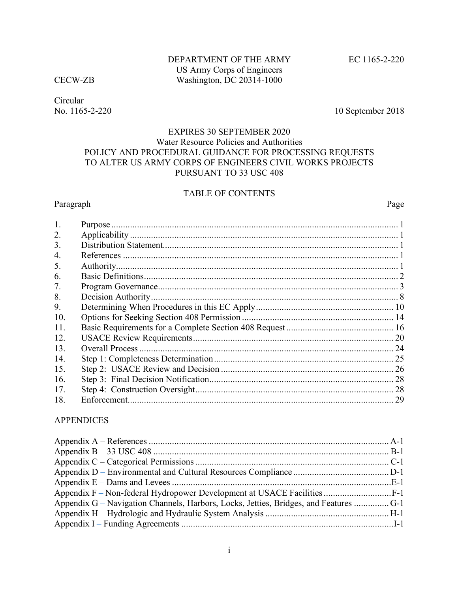Circular

No. 1165-2-220 10 September 2018

# EXPIRES 30 SEPTEMBER 2020 Water Resource Policies and Authorities POLICY AND PROCEDURAL GUIDANCE FOR PROCESSING REQUESTS TO ALTER US ARMY CORPS OF ENGINEERS CIVIL WORKS PROJECTS PURSUANT TO 33 USC 408

# TABLE OF CONTENTS

## Paragraph Page

| $\mathbf{1}$ . |    |
|----------------|----|
| 2.             |    |
| 3.             |    |
| 4.             |    |
| 5.             |    |
| 6.             |    |
| 7.             |    |
| 8.             |    |
| 9.             |    |
| 10.            |    |
| 11.            |    |
| 12.            |    |
| 13.            | 24 |
| 14.            |    |
| 15.            | 26 |
| 16.            | 28 |
| 17.            |    |
| 18.            |    |

## APPENDICES

| Appendix G – Navigation Channels, Harbors, Locks, Jetties, Bridges, and Features  G-1 |  |
|---------------------------------------------------------------------------------------|--|
|                                                                                       |  |
|                                                                                       |  |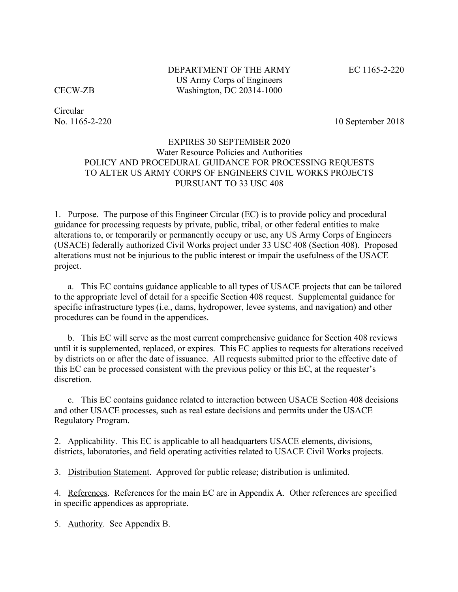DEPARTMENT OF THE ARMY EC 1165-2-220 US Army Corps of Engineers CECW-ZB Washington, DC 20314-1000

Circular

No. 1165-2-220 10 September 2018

## EXPIRES 30 SEPTEMBER 2020 Water Resource Policies and Authorities POLICY AND PROCEDURAL GUIDANCE FOR PROCESSING REQUESTS TO ALTER US ARMY CORPS OF ENGINEERS CIVIL WORKS PROJECTS PURSUANT TO 33 USC 408

1. Purpose. The purpose of this Engineer Circular (EC) is to provide policy and procedural guidance for processing requests by private, public, tribal, or other federal entities to make alterations to, or temporarily or permanently occupy or use, any US Army Corps of Engineers (USACE) federally authorized Civil Works project under 33 USC 408 (Section 408). Proposed alterations must not be injurious to the public interest or impair the usefulness of the USACE project.

a. This EC contains guidance applicable to all types of USACE projects that can be tailored to the appropriate level of detail for a specific Section 408 request. Supplemental guidance for specific infrastructure types (i.e., dams, hydropower, levee systems, and navigation) and other procedures can be found in the appendices.

b. This EC will serve as the most current comprehensive guidance for Section 408 reviews until it is supplemented, replaced, or expires. This EC applies to requests for alterations received by districts on or after the date of issuance. All requests submitted prior to the effective date of this EC can be processed consistent with the previous policy or this EC, at the requester's discretion.

c. This EC contains guidance related to interaction between USACE Section 408 decisions and other USACE processes, such as real estate decisions and permits under the USACE Regulatory Program.

2. Applicability. This EC is applicable to all headquarters USACE elements, divisions, districts, laboratories, and field operating activities related to USACE Civil Works projects.

3. Distribution Statement. Approved for public release; distribution is unlimited.

4. References. References for the main EC are in Appendix A. Other references are specified in specific appendices as appropriate.

5. Authority. See Appendix B.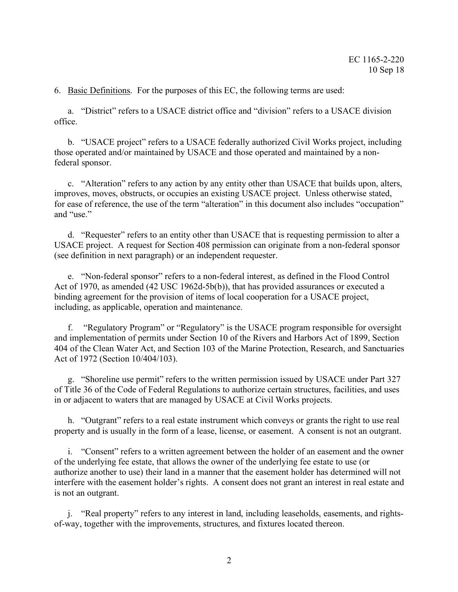6. Basic Definitions. For the purposes of this EC, the following terms are used:

a. "District" refers to a USACE district office and "division" refers to a USACE division office.

b. "USACE project" refers to a USACE federally authorized Civil Works project, including those operated and/or maintained by USACE and those operated and maintained by a nonfederal sponsor.

c. "Alteration" refers to any action by any entity other than USACE that builds upon, alters, improves, moves, obstructs, or occupies an existing USACE project. Unless otherwise stated, for ease of reference, the use of the term "alteration" in this document also includes "occupation" and "use."

d. "Requester" refers to an entity other than USACE that is requesting permission to alter a USACE project. A request for Section 408 permission can originate from a non-federal sponsor (see definition in next paragraph) or an independent requester.

e. "Non-federal sponsor" refers to a non-federal interest, as defined in the Flood Control Act of 1970, as amended (42 USC 1962d-5b(b)), that has provided assurances or executed a binding agreement for the provision of items of local cooperation for a USACE project, including, as applicable, operation and maintenance.

f. "Regulatory Program" or "Regulatory" is the USACE program responsible for oversight and implementation of permits under Section 10 of the Rivers and Harbors Act of 1899, Section 404 of the Clean Water Act, and Section 103 of the Marine Protection, Research, and Sanctuaries Act of 1972 (Section 10/404/103).

g. "Shoreline use permit" refers to the written permission issued by USACE under Part 327 of Title 36 of the Code of Federal Regulations to authorize certain structures, facilities, and uses in or adjacent to waters that are managed by USACE at Civil Works projects.

h. "Outgrant" refers to a real estate instrument which conveys or grants the right to use real property and is usually in the form of a lease, license, or easement. A consent is not an outgrant.

i. "Consent" refers to a written agreement between the holder of an easement and the owner of the underlying fee estate, that allows the owner of the underlying fee estate to use (or authorize another to use) their land in a manner that the easement holder has determined will not interfere with the easement holder's rights. A consent does not grant an interest in real estate and is not an outgrant.

j. "Real property" refers to any interest in land, including leaseholds, easements, and rightsof-way, together with the improvements, structures, and fixtures located thereon.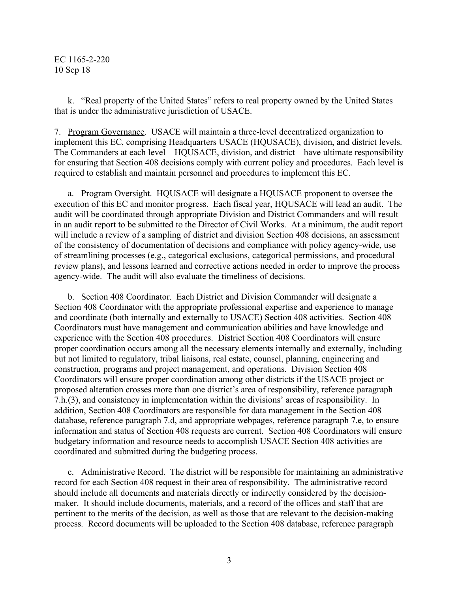k. "Real property of the United States" refers to real property owned by the United States that is under the administrative jurisdiction of USACE.

7. Program Governance. USACE will maintain a three-level decentralized organization to implement this EC, comprising Headquarters USACE (HQUSACE), division, and district levels. The Commanders at each level – HQUSACE, division, and district – have ultimate responsibility for ensuring that Section 408 decisions comply with current policy and procedures. Each level is required to establish and maintain personnel and procedures to implement this EC.

a. Program Oversight. HQUSACE will designate a HQUSACE proponent to oversee the execution of this EC and monitor progress. Each fiscal year, HQUSACE will lead an audit. The audit will be coordinated through appropriate Division and District Commanders and will result in an audit report to be submitted to the Director of Civil Works. At a minimum, the audit report will include a review of a sampling of district and division Section 408 decisions, an assessment of the consistency of documentation of decisions and compliance with policy agency-wide, use of streamlining processes (e.g., categorical exclusions, categorical permissions, and procedural review plans), and lessons learned and corrective actions needed in order to improve the process agency-wide. The audit will also evaluate the timeliness of decisions.

b. Section 408 Coordinator. Each District and Division Commander will designate a Section 408 Coordinator with the appropriate professional expertise and experience to manage and coordinate (both internally and externally to USACE) Section 408 activities. Section 408 Coordinators must have management and communication abilities and have knowledge and experience with the Section 408 procedures. District Section 408 Coordinators will ensure proper coordination occurs among all the necessary elements internally and externally, including but not limited to regulatory, tribal liaisons, real estate, counsel, planning, engineering and construction, programs and project management, and operations. Division Section 408 Coordinators will ensure proper coordination among other districts if the USACE project or proposed alteration crosses more than one district's area of responsibility, reference paragraph 7.h.(3), and consistency in implementation within the divisions' areas of responsibility. In addition, Section 408 Coordinators are responsible for data management in the Section 408 database, reference paragraph 7.d, and appropriate webpages, reference paragraph 7.e, to ensure information and status of Section 408 requests are current. Section 408 Coordinators will ensure budgetary information and resource needs to accomplish USACE Section 408 activities are coordinated and submitted during the budgeting process.

c. Administrative Record. The district will be responsible for maintaining an administrative record for each Section 408 request in their area of responsibility. The administrative record should include all documents and materials directly or indirectly considered by the decisionmaker. It should include documents, materials, and a record of the offices and staff that are pertinent to the merits of the decision, as well as those that are relevant to the decision-making process. Record documents will be uploaded to the Section 408 database, reference paragraph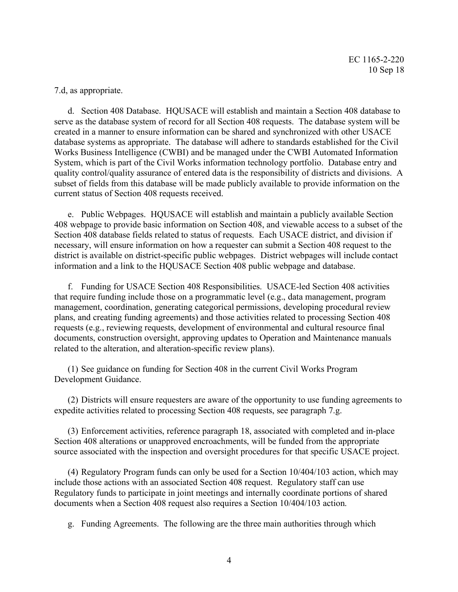7.d, as appropriate.

d. Section 408 Database. HQUSACE will establish and maintain a Section 408 database to serve as the database system of record for all Section 408 requests. The database system will be created in a manner to ensure information can be shared and synchronized with other USACE database systems as appropriate. The database will adhere to standards established for the Civil Works Business Intelligence (CWBI) and be managed under the CWBI Automated Information System, which is part of the Civil Works information technology portfolio. Database entry and quality control/quality assurance of entered data is the responsibility of districts and divisions. A subset of fields from this database will be made publicly available to provide information on the current status of Section 408 requests received.

e. Public Webpages. HQUSACE will establish and maintain a publicly available Section 408 webpage to provide basic information on Section 408, and viewable access to a subset of the Section 408 database fields related to status of requests. Each USACE district, and division if necessary, will ensure information on how a requester can submit a Section 408 request to the district is available on district-specific public webpages. District webpages will include contact information and a link to the HQUSACE Section 408 public webpage and database.

f. Funding for USACE Section 408 Responsibilities. USACE-led Section 408 activities that require funding include those on a programmatic level (e.g., data management, program management, coordination, generating categorical permissions, developing procedural review plans, and creating funding agreements) and those activities related to processing Section 408 requests (e.g., reviewing requests, development of environmental and cultural resource final documents, construction oversight, approving updates to Operation and Maintenance manuals related to the alteration, and alteration-specific review plans).

(1) See guidance on funding for Section 408 in the current Civil Works Program Development Guidance.

(2) Districts will ensure requesters are aware of the opportunity to use funding agreements to expedite activities related to processing Section 408 requests, see paragraph 7.g.

(3) Enforcement activities, reference paragraph 18, associated with completed and in-place Section 408 alterations or unapproved encroachments, will be funded from the appropriate source associated with the inspection and oversight procedures for that specific USACE project.

(4) Regulatory Program funds can only be used for a Section 10/404/103 action, which may include those actions with an associated Section 408 request. Regulatory staff can use Regulatory funds to participate in joint meetings and internally coordinate portions of shared documents when a Section 408 request also requires a Section 10/404/103 action.

g. Funding Agreements. The following are the three main authorities through which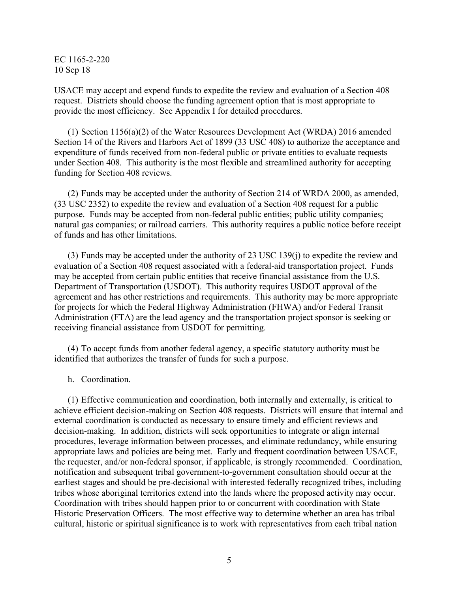USACE may accept and expend funds to expedite the review and evaluation of a Section 408 request. Districts should choose the funding agreement option that is most appropriate to provide the most efficiency. See Appendix I for detailed procedures.

(1) Section 1156(a)(2) of the Water Resources Development Act (WRDA) 2016 amended Section 14 of the Rivers and Harbors Act of 1899 (33 USC 408) to authorize the acceptance and expenditure of funds received from non-federal public or private entities to evaluate requests under Section 408. This authority is the most flexible and streamlined authority for accepting funding for Section 408 reviews.

(2) Funds may be accepted under the authority of Section 214 of WRDA 2000, as amended, (33 USC 2352) to expedite the review and evaluation of a Section 408 request for a public purpose. Funds may be accepted from non-federal public entities; public utility companies; natural gas companies; or railroad carriers. This authority requires a public notice before receipt of funds and has other limitations.

(3) Funds may be accepted under the authority of 23 USC 139(j) to expedite the review and evaluation of a Section 408 request associated with a federal-aid transportation project. Funds may be accepted from certain public entities that receive financial assistance from the U.S. Department of Transportation (USDOT). This authority requires USDOT approval of the agreement and has other restrictions and requirements. This authority may be more appropriate for projects for which the Federal Highway Administration (FHWA) and/or Federal Transit Administration (FTA) are the lead agency and the transportation project sponsor is seeking or receiving financial assistance from USDOT for permitting.

(4) To accept funds from another federal agency, a specific statutory authority must be identified that authorizes the transfer of funds for such a purpose.

h. Coordination.

(1) Effective communication and coordination, both internally and externally, is critical to achieve efficient decision-making on Section 408 requests. Districts will ensure that internal and external coordination is conducted as necessary to ensure timely and efficient reviews and decision-making. In addition, districts will seek opportunities to integrate or align internal procedures, leverage information between processes, and eliminate redundancy, while ensuring appropriate laws and policies are being met. Early and frequent coordination between USACE, the requester, and/or non-federal sponsor, if applicable, is strongly recommended. Coordination, notification and subsequent tribal government-to-government consultation should occur at the earliest stages and should be pre-decisional with interested federally recognized tribes, including tribes whose aboriginal territories extend into the lands where the proposed activity may occur. Coordination with tribes should happen prior to or concurrent with coordination with State Historic Preservation Officers. The most effective way to determine whether an area has tribal cultural, historic or spiritual significance is to work with representatives from each tribal nation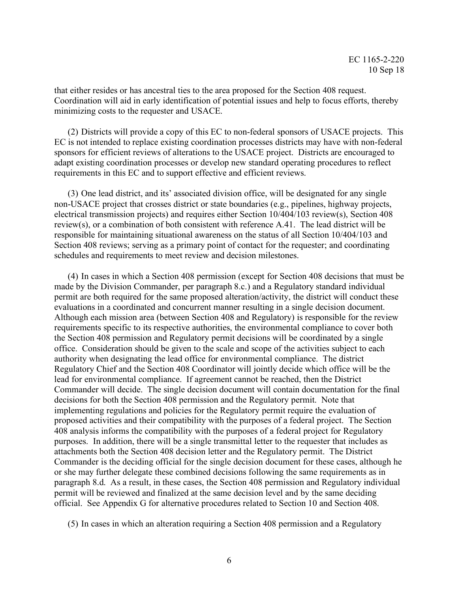that either resides or has ancestral ties to the area proposed for the Section 408 request. Coordination will aid in early identification of potential issues and help to focus efforts, thereby minimizing costs to the requester and USACE.

(2) Districts will provide a copy of this EC to non-federal sponsors of USACE projects. This EC is not intended to replace existing coordination processes districts may have with non-federal sponsors for efficient reviews of alterations to the USACE project. Districts are encouraged to adapt existing coordination processes or develop new standard operating procedures to reflect requirements in this EC and to support effective and efficient reviews.

(3) One lead district, and its' associated division office, will be designated for any single non-USACE project that crosses district or state boundaries (e.g., pipelines, highway projects, electrical transmission projects) and requires either Section 10/404/103 review(s), Section 408 review(s), or a combination of both consistent with reference A.41. The lead district will be responsible for maintaining situational awareness on the status of all Section 10/404/103 and Section 408 reviews; serving as a primary point of contact for the requester; and coordinating schedules and requirements to meet review and decision milestones.

(4) In cases in which a Section 408 permission (except for Section 408 decisions that must be made by the Division Commander, per paragraph 8.c.) and a Regulatory standard individual permit are both required for the same proposed alteration/activity, the district will conduct these evaluations in a coordinated and concurrent manner resulting in a single decision document. Although each mission area (between Section 408 and Regulatory) is responsible for the review requirements specific to its respective authorities, the environmental compliance to cover both the Section 408 permission and Regulatory permit decisions will be coordinated by a single office. Consideration should be given to the scale and scope of the activities subject to each authority when designating the lead office for environmental compliance. The district Regulatory Chief and the Section 408 Coordinator will jointly decide which office will be the lead for environmental compliance. If agreement cannot be reached, then the District Commander will decide. The single decision document will contain documentation for the final decisions for both the Section 408 permission and the Regulatory permit. Note that implementing regulations and policies for the Regulatory permit require the evaluation of proposed activities and their compatibility with the purposes of a federal project. The Section 408 analysis informs the compatibility with the purposes of a federal project for Regulatory purposes. In addition, there will be a single transmittal letter to the requester that includes as attachments both the Section 408 decision letter and the Regulatory permit. The District Commander is the deciding official for the single decision document for these cases, although he or she may further delegate these combined decisions following the same requirements as in paragraph 8.d. As a result, in these cases, the Section 408 permission and Regulatory individual permit will be reviewed and finalized at the same decision level and by the same deciding official. See Appendix G for alternative procedures related to Section 10 and Section 408.

(5) In cases in which an alteration requiring a Section 408 permission and a Regulatory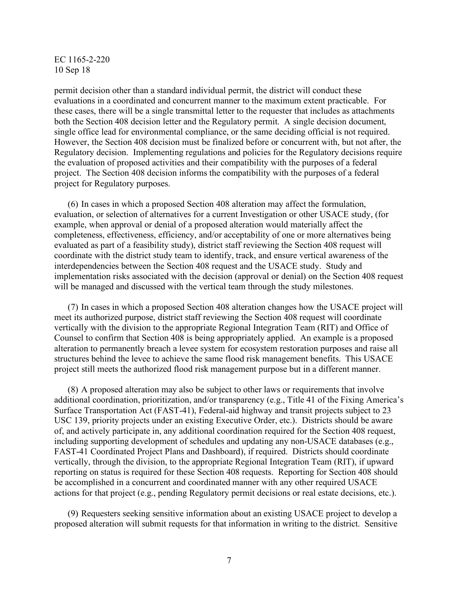permit decision other than a standard individual permit, the district will conduct these evaluations in a coordinated and concurrent manner to the maximum extent practicable. For these cases, there will be a single transmittal letter to the requester that includes as attachments both the Section 408 decision letter and the Regulatory permit. A single decision document, single office lead for environmental compliance, or the same deciding official is not required. However, the Section 408 decision must be finalized before or concurrent with, but not after, the Regulatory decision. Implementing regulations and policies for the Regulatory decisions require the evaluation of proposed activities and their compatibility with the purposes of a federal project. The Section 408 decision informs the compatibility with the purposes of a federal project for Regulatory purposes.

(6) In cases in which a proposed Section 408 alteration may affect the formulation, evaluation, or selection of alternatives for a current Investigation or other USACE study, (for example, when approval or denial of a proposed alteration would materially affect the completeness, effectiveness, efficiency, and/or acceptability of one or more alternatives being evaluated as part of a feasibility study), district staff reviewing the Section 408 request will coordinate with the district study team to identify, track, and ensure vertical awareness of the interdependencies between the Section 408 request and the USACE study. Study and implementation risks associated with the decision (approval or denial) on the Section 408 request will be managed and discussed with the vertical team through the study milestones.

(7) In cases in which a proposed Section 408 alteration changes how the USACE project will meet its authorized purpose, district staff reviewing the Section 408 request will coordinate vertically with the division to the appropriate Regional Integration Team (RIT) and Office of Counsel to confirm that Section 408 is being appropriately applied. An example is a proposed alteration to permanently breach a levee system for ecosystem restoration purposes and raise all structures behind the levee to achieve the same flood risk management benefits. This USACE project still meets the authorized flood risk management purpose but in a different manner.

(8) A proposed alteration may also be subject to other laws or requirements that involve additional coordination, prioritization, and/or transparency (e.g., Title 41 of the Fixing America's Surface Transportation Act (FAST-41), Federal-aid highway and transit projects subject to 23 USC 139, priority projects under an existing Executive Order, etc.). Districts should be aware of, and actively participate in, any additional coordination required for the Section 408 request, including supporting development of schedules and updating any non-USACE databases (e.g., FAST-41 Coordinated Project Plans and Dashboard), if required. Districts should coordinate vertically, through the division, to the appropriate Regional Integration Team (RIT), if upward reporting on status is required for these Section 408 requests. Reporting for Section 408 should be accomplished in a concurrent and coordinated manner with any other required USACE actions for that project (e.g., pending Regulatory permit decisions or real estate decisions, etc.).

(9) Requesters seeking sensitive information about an existing USACE project to develop a proposed alteration will submit requests for that information in writing to the district. Sensitive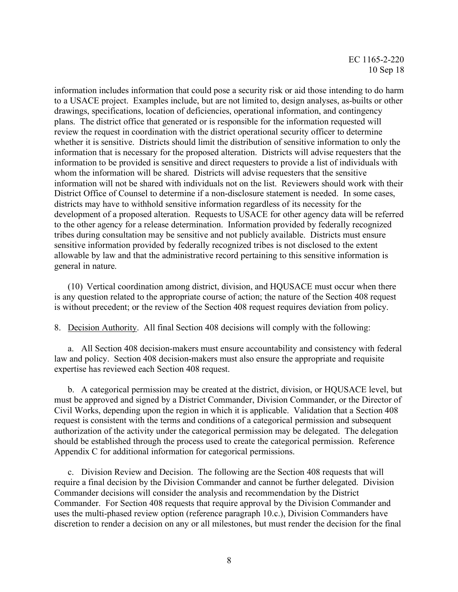information includes information that could pose a security risk or aid those intending to do harm to a USACE project. Examples include, but are not limited to, design analyses, as-builts or other drawings, specifications, location of deficiencies, operational information, and contingency plans. The district office that generated or is responsible for the information requested will review the request in coordination with the district operational security officer to determine whether it is sensitive. Districts should limit the distribution of sensitive information to only the information that is necessary for the proposed alteration. Districts will advise requesters that the information to be provided is sensitive and direct requesters to provide a list of individuals with whom the information will be shared. Districts will advise requesters that the sensitive information will not be shared with individuals not on the list. Reviewers should work with their District Office of Counsel to determine if a non-disclosure statement is needed. In some cases, districts may have to withhold sensitive information regardless of its necessity for the development of a proposed alteration. Requests to USACE for other agency data will be referred to the other agency for a release determination. Information provided by federally recognized tribes during consultation may be sensitive and not publicly available. Districts must ensure sensitive information provided by federally recognized tribes is not disclosed to the extent allowable by law and that the administrative record pertaining to this sensitive information is general in nature.

(10) Vertical coordination among district, division, and HQUSACE must occur when there is any question related to the appropriate course of action; the nature of the Section 408 request is without precedent; or the review of the Section 408 request requires deviation from policy.

8. Decision Authority. All final Section 408 decisions will comply with the following:

a. All Section 408 decision-makers must ensure accountability and consistency with federal law and policy. Section 408 decision-makers must also ensure the appropriate and requisite expertise has reviewed each Section 408 request.

b. A categorical permission may be created at the district, division, or HQUSACE level, but must be approved and signed by a District Commander, Division Commander, or the Director of Civil Works, depending upon the region in which it is applicable. Validation that a Section 408 request is consistent with the terms and conditions of a categorical permission and subsequent authorization of the activity under the categorical permission may be delegated. The delegation should be established through the process used to create the categorical permission. Reference Appendix C for additional information for categorical permissions.

c. Division Review and Decision. The following are the Section 408 requests that will require a final decision by the Division Commander and cannot be further delegated. Division Commander decisions will consider the analysis and recommendation by the District Commander. For Section 408 requests that require approval by the Division Commander and uses the multi-phased review option (reference paragraph 10.c.), Division Commanders have discretion to render a decision on any or all milestones, but must render the decision for the final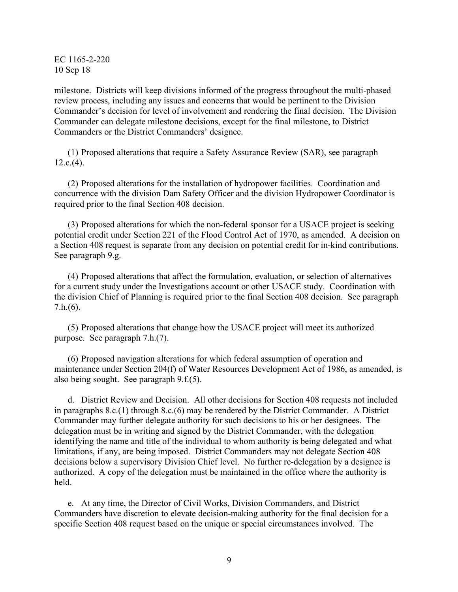milestone. Districts will keep divisions informed of the progress throughout the multi-phased review process, including any issues and concerns that would be pertinent to the Division Commander's decision for level of involvement and rendering the final decision. The Division Commander can delegate milestone decisions, except for the final milestone, to District Commanders or the District Commanders' designee.

(1) Proposed alterations that require a Safety Assurance Review (SAR), see paragraph  $12.c.(4)$ .

(2) Proposed alterations for the installation of hydropower facilities. Coordination and concurrence with the division Dam Safety Officer and the division Hydropower Coordinator is required prior to the final Section 408 decision.

(3) Proposed alterations for which the non-federal sponsor for a USACE project is seeking potential credit under Section 221 of the Flood Control Act of 1970, as amended. A decision on a Section 408 request is separate from any decision on potential credit for in-kind contributions. See paragraph 9.g.

(4) Proposed alterations that affect the formulation, evaluation, or selection of alternatives for a current study under the Investigations account or other USACE study. Coordination with the division Chief of Planning is required prior to the final Section 408 decision. See paragraph 7.h.(6).

(5) Proposed alterations that change how the USACE project will meet its authorized purpose. See paragraph 7.h.(7).

(6) Proposed navigation alterations for which federal assumption of operation and maintenance under Section 204(f) of Water Resources Development Act of 1986, as amended, is also being sought. See paragraph 9.f.(5).

d. District Review and Decision. All other decisions for Section 408 requests not included in paragraphs 8.c.(1) through 8.c.(6) may be rendered by the District Commander. A District Commander may further delegate authority for such decisions to his or her designees. The delegation must be in writing and signed by the District Commander, with the delegation identifying the name and title of the individual to whom authority is being delegated and what limitations, if any, are being imposed. District Commanders may not delegate Section 408 decisions below a supervisory Division Chief level. No further re-delegation by a designee is authorized. A copy of the delegation must be maintained in the office where the authority is held.

e. At any time, the Director of Civil Works, Division Commanders, and District Commanders have discretion to elevate decision-making authority for the final decision for a specific Section 408 request based on the unique or special circumstances involved. The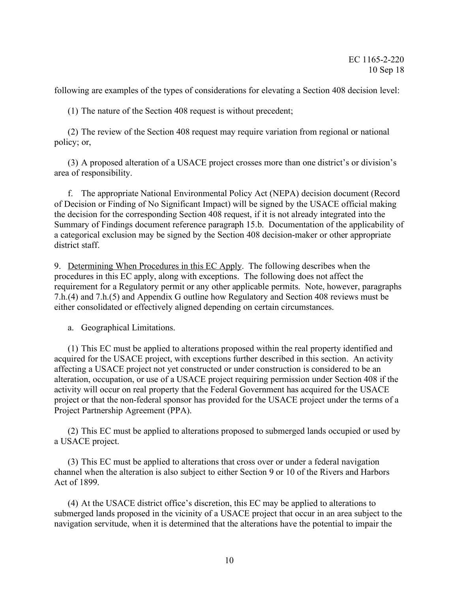following are examples of the types of considerations for elevating a Section 408 decision level:

(1) The nature of the Section 408 request is without precedent;

(2) The review of the Section 408 request may require variation from regional or national policy; or,

(3) A proposed alteration of a USACE project crosses more than one district's or division's area of responsibility.

f. The appropriate National Environmental Policy Act (NEPA) decision document (Record of Decision or Finding of No Significant Impact) will be signed by the USACE official making the decision for the corresponding Section 408 request, if it is not already integrated into the Summary of Findings document reference paragraph 15.b. Documentation of the applicability of a categorical exclusion may be signed by the Section 408 decision-maker or other appropriate district staff.

9. Determining When Procedures in this EC Apply. The following describes when the procedures in this EC apply, along with exceptions. The following does not affect the requirement for a Regulatory permit or any other applicable permits. Note, however, paragraphs 7.h.(4) and 7.h.(5) and Appendix G outline how Regulatory and Section 408 reviews must be either consolidated or effectively aligned depending on certain circumstances.

a. Geographical Limitations.

(1) This EC must be applied to alterations proposed within the real property identified and acquired for the USACE project, with exceptions further described in this section. An activity affecting a USACE project not yet constructed or under construction is considered to be an alteration, occupation, or use of a USACE project requiring permission under Section 408 if the activity will occur on real property that the Federal Government has acquired for the USACE project or that the non-federal sponsor has provided for the USACE project under the terms of a Project Partnership Agreement (PPA).

(2) This EC must be applied to alterations proposed to submerged lands occupied or used by a USACE project.

(3) This EC must be applied to alterations that cross over or under a federal navigation channel when the alteration is also subject to either Section 9 or 10 of the Rivers and Harbors Act of 1899.

(4) At the USACE district office's discretion, this EC may be applied to alterations to submerged lands proposed in the vicinity of a USACE project that occur in an area subject to the navigation servitude, when it is determined that the alterations have the potential to impair the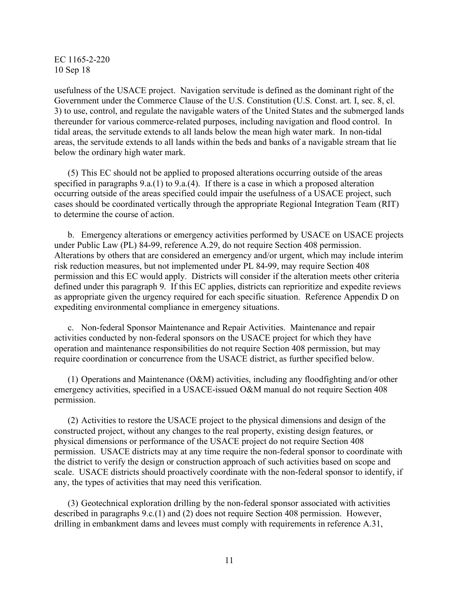usefulness of the USACE project. Navigation servitude is defined as the dominant right of the Government under the Commerce Clause of the U.S. Constitution (U.S. Const. art. I, sec. 8, cl. 3) to use, control, and regulate the navigable waters of the United States and the submerged lands thereunder for various commerce-related purposes, including navigation and flood control. In tidal areas, the servitude extends to all lands below the mean high water mark. In non-tidal areas, the servitude extends to all lands within the beds and banks of a navigable stream that lie below the ordinary high water mark.

(5) This EC should not be applied to proposed alterations occurring outside of the areas specified in paragraphs 9.a.(1) to 9.a.(4). If there is a case in which a proposed alteration occurring outside of the areas specified could impair the usefulness of a USACE project, such cases should be coordinated vertically through the appropriate Regional Integration Team (RIT) to determine the course of action.

b. Emergency alterations or emergency activities performed by USACE on USACE projects under Public Law (PL) 84-99, reference A.29, do not require Section 408 permission. Alterations by others that are considered an emergency and/or urgent, which may include interim risk reduction measures, but not implemented under PL 84-99, may require Section 408 permission and this EC would apply. Districts will consider if the alteration meets other criteria defined under this paragraph 9. If this EC applies, districts can reprioritize and expedite reviews as appropriate given the urgency required for each specific situation. Reference Appendix D on expediting environmental compliance in emergency situations.

c. Non-federal Sponsor Maintenance and Repair Activities. Maintenance and repair activities conducted by non-federal sponsors on the USACE project for which they have operation and maintenance responsibilities do not require Section 408 permission, but may require coordination or concurrence from the USACE district, as further specified below.

(1) Operations and Maintenance (O&M) activities, including any floodfighting and/or other emergency activities, specified in a USACE-issued O&M manual do not require Section 408 permission.

(2) Activities to restore the USACE project to the physical dimensions and design of the constructed project, without any changes to the real property, existing design features, or physical dimensions or performance of the USACE project do not require Section 408 permission. USACE districts may at any time require the non-federal sponsor to coordinate with the district to verify the design or construction approach of such activities based on scope and scale. USACE districts should proactively coordinate with the non-federal sponsor to identify, if any, the types of activities that may need this verification.

(3) Geotechnical exploration drilling by the non-federal sponsor associated with activities described in paragraphs 9.c.(1) and (2) does not require Section 408 permission. However, drilling in embankment dams and levees must comply with requirements in reference A.31,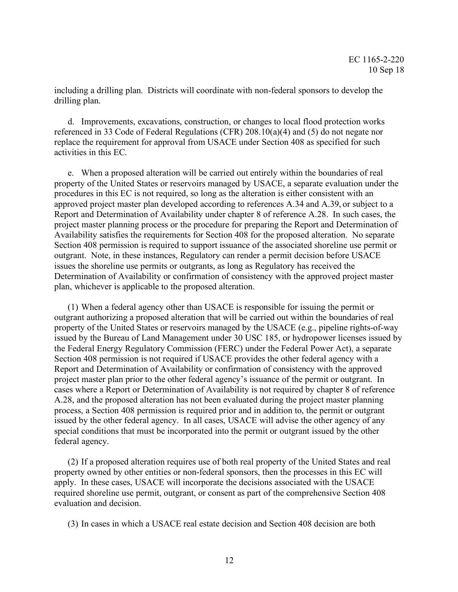including a drilling plan. Districts will coordinate with non-federal sponsors to develop the drilling plan.

d. Improvements, excavations, construction, or changes to local flood protection works referenced in 33 Code of Federal Regulations (CFR) 208.10(a)(4) and (5) do not negate nor replace the requirement for approval from USACE under Section 408 as specified for such activities in this EC.

e. When a proposed alteration will be carried out entirely within the boundaries of real property of the United States or reservoirs managed by USACE, a separate evaluation under the procedures in this EC is not required, so long as the alteration is either consistent with an approved project master plan developed according to references A.34 and A.39, or subject to a Report and Determination of Availability under chapter 8 of reference A.28. In such cases, the project master planning process or the procedure for preparing the Report and Determination of Availability satisfies the requirements for Section 408 for the proposed alteration. No separate Section 408 permission is required to support issuance of the associated shoreline use permit or outgrant. Note, in these instances, Regulatory can render a permit decision before USACE issues the shoreline use permits or outgrants, as long as Regulatory has received the Determination of Availability or confirmation of consistency with the approved project master plan, whichever is applicable to the proposed alteration.

(1) When a federal agency other than USACE is responsible for issuing the permit or outgrant authorizing a proposed alteration that will be carried out within the boundaries of real property of the United States or reservoirs managed by the USACE (e.g., pipeline rights-of-way issued by the Bureau of Land Management under 30 USC 185, or hydropower licenses issued by the Federal Energy Regulatory Commission (FERC) under the Federal Power Act), a separate Section 408 permission is not required if USACE provides the other federal agency with a Report and Determination of Availability or confirmation of consistency with the approved project master plan prior to the other federal agency's issuance of the permit or outgrant. In cases where a Report or Determination of Availability is not required by chapter 8 of reference A.28, and the proposed alteration has not been evaluated during the project master planning process, a Section 408 permission is required prior and in addition to, the permit or outgrant issued by the other federal agency. In all cases, USACE will advise the other agency of any special conditions that must be incorporated into the permit or outgrant issued by the other federal agency.

(2) If a proposed alteration requires use of both real property of the United States and real property owned by other entities or non-federal sponsors, then the processes in this EC will apply. In these cases, USACE will incorporate the decisions associated with the USACE required shoreline use permit, outgrant, or consent as part of the comprehensive Section 408 evaluation and decision.

(3) In cases in which a USACE real estate decision and Section 408 decision are both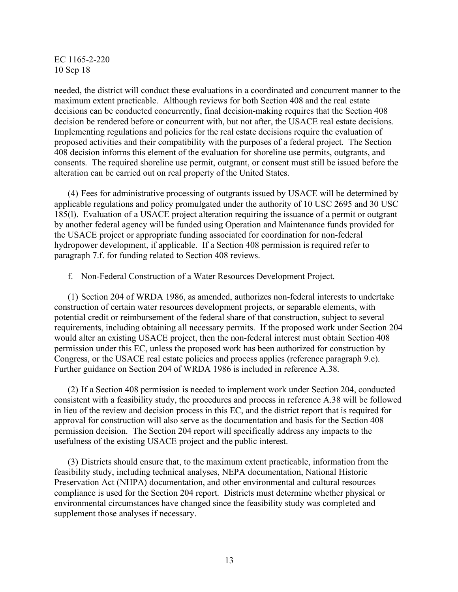needed, the district will conduct these evaluations in a coordinated and concurrent manner to the maximum extent practicable. Although reviews for both Section 408 and the real estate decisions can be conducted concurrently, final decision-making requires that the Section 408 decision be rendered before or concurrent with, but not after, the USACE real estate decisions. Implementing regulations and policies for the real estate decisions require the evaluation of proposed activities and their compatibility with the purposes of a federal project. The Section 408 decision informs this element of the evaluation for shoreline use permits, outgrants, and consents. The required shoreline use permit, outgrant, or consent must still be issued before the alteration can be carried out on real property of the United States.

(4) Fees for administrative processing of outgrants issued by USACE will be determined by applicable regulations and policy promulgated under the authority of 10 USC 2695 and 30 USC 185(l). Evaluation of a USACE project alteration requiring the issuance of a permit or outgrant by another federal agency will be funded using Operation and Maintenance funds provided for the USACE project or appropriate funding associated for coordination for non-federal hydropower development, if applicable. If a Section 408 permission is required refer to paragraph 7.f. for funding related to Section 408 reviews.

f. Non-Federal Construction of a Water Resources Development Project.

(1) Section 204 of WRDA 1986, as amended, authorizes non-federal interests to undertake construction of certain water resources development projects, or separable elements, with potential credit or reimbursement of the federal share of that construction, subject to several requirements, including obtaining all necessary permits. If the proposed work under Section 204 would alter an existing USACE project, then the non-federal interest must obtain Section 408 permission under this EC, unless the proposed work has been authorized for construction by Congress, or the USACE real estate policies and process applies (reference paragraph 9.e). Further guidance on Section 204 of WRDA 1986 is included in reference A.38.

(2) If a Section 408 permission is needed to implement work under Section 204, conducted consistent with a feasibility study, the procedures and process in reference A.38 will be followed in lieu of the review and decision process in this EC, and the district report that is required for approval for construction will also serve as the documentation and basis for the Section 408 permission decision. The Section 204 report will specifically address any impacts to the usefulness of the existing USACE project and the public interest.

(3) Districts should ensure that, to the maximum extent practicable, information from the feasibility study, including technical analyses, NEPA documentation, National Historic Preservation Act (NHPA) documentation, and other environmental and cultural resources compliance is used for the Section 204 report. Districts must determine whether physical or environmental circumstances have changed since the feasibility study was completed and supplement those analyses if necessary.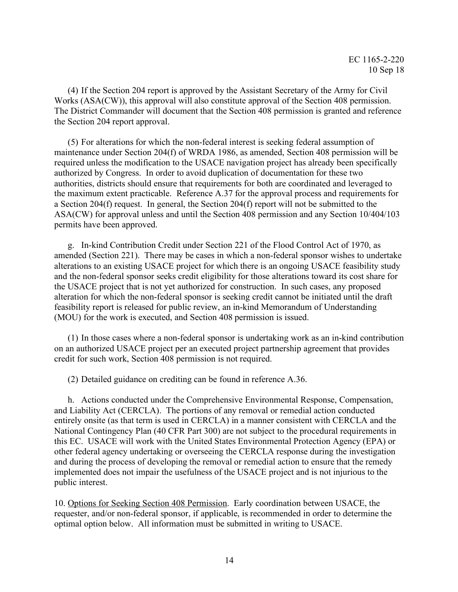(4) If the Section 204 report is approved by the Assistant Secretary of the Army for Civil Works (ASA(CW)), this approval will also constitute approval of the Section 408 permission. The District Commander will document that the Section 408 permission is granted and reference the Section 204 report approval.

(5) For alterations for which the non-federal interest is seeking federal assumption of maintenance under Section 204(f) of WRDA 1986, as amended, Section 408 permission will be required unless the modification to the USACE navigation project has already been specifically authorized by Congress. In order to avoid duplication of documentation for these two authorities, districts should ensure that requirements for both are coordinated and leveraged to the maximum extent practicable. Reference A.37 for the approval process and requirements for a Section 204(f) request. In general, the Section 204(f) report will not be submitted to the ASA(CW) for approval unless and until the Section 408 permission and any Section 10/404/103 permits have been approved.

g. In-kind Contribution Credit under Section 221 of the Flood Control Act of 1970, as amended (Section 221). There may be cases in which a non-federal sponsor wishes to undertake alterations to an existing USACE project for which there is an ongoing USACE feasibility study and the non-federal sponsor seeks credit eligibility for those alterations toward its cost share for the USACE project that is not yet authorized for construction. In such cases, any proposed alteration for which the non-federal sponsor is seeking credit cannot be initiated until the draft feasibility report is released for public review, an in-kind Memorandum of Understanding (MOU) for the work is executed, and Section 408 permission is issued.

(1) In those cases where a non-federal sponsor is undertaking work as an in-kind contribution on an authorized USACE project per an executed project partnership agreement that provides credit for such work, Section 408 permission is not required.

(2) Detailed guidance on crediting can be found in reference A.36.

h. Actions conducted under the Comprehensive Environmental Response, Compensation, and Liability Act (CERCLA). The portions of any removal or remedial action conducted entirely onsite (as that term is used in CERCLA) in a manner consistent with CERCLA and the National Contingency Plan (40 CFR Part 300) are not subject to the procedural requirements in this EC. USACE will work with the United States Environmental Protection Agency (EPA) or other federal agency undertaking or overseeing the CERCLA response during the investigation and during the process of developing the removal or remedial action to ensure that the remedy implemented does not impair the usefulness of the USACE project and is not injurious to the public interest.

10. Options for Seeking Section 408 Permission. Early coordination between USACE, the requester, and/or non-federal sponsor, if applicable, is recommended in order to determine the optimal option below. All information must be submitted in writing to USACE.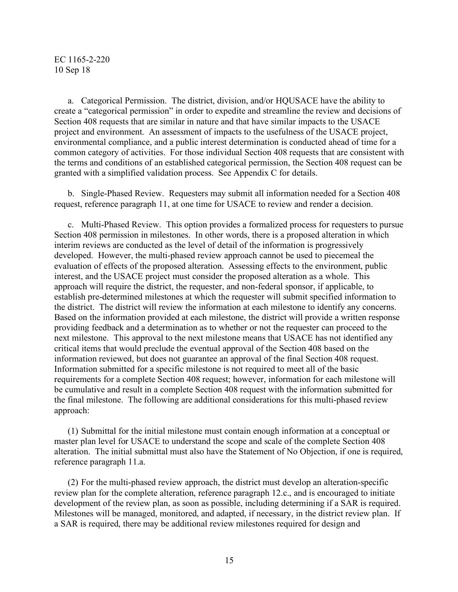a. Categorical Permission. The district, division, and/or HQUSACE have the ability to create a "categorical permission" in order to expedite and streamline the review and decisions of Section 408 requests that are similar in nature and that have similar impacts to the USACE project and environment. An assessment of impacts to the usefulness of the USACE project, environmental compliance, and a public interest determination is conducted ahead of time for a common category of activities. For those individual Section 408 requests that are consistent with the terms and conditions of an established categorical permission, the Section 408 request can be granted with a simplified validation process. See Appendix C for details.

b. Single-Phased Review. Requesters may submit all information needed for a Section 408 request, reference paragraph 11, at one time for USACE to review and render a decision.

c. Multi-Phased Review. This option provides a formalized process for requesters to pursue Section 408 permission in milestones. In other words, there is a proposed alteration in which interim reviews are conducted as the level of detail of the information is progressively developed. However, the multi-phased review approach cannot be used to piecemeal the evaluation of effects of the proposed alteration. Assessing effects to the environment, public interest, and the USACE project must consider the proposed alteration as a whole. This approach will require the district, the requester, and non-federal sponsor, if applicable, to establish pre-determined milestones at which the requester will submit specified information to the district. The district will review the information at each milestone to identify any concerns. Based on the information provided at each milestone, the district will provide a written response providing feedback and a determination as to whether or not the requester can proceed to the next milestone. This approval to the next milestone means that USACE has not identified any critical items that would preclude the eventual approval of the Section 408 based on the information reviewed, but does not guarantee an approval of the final Section 408 request. Information submitted for a specific milestone is not required to meet all of the basic requirements for a complete Section 408 request; however, information for each milestone will be cumulative and result in a complete Section 408 request with the information submitted for the final milestone. The following are additional considerations for this multi-phased review approach:

(1) Submittal for the initial milestone must contain enough information at a conceptual or master plan level for USACE to understand the scope and scale of the complete Section 408 alteration. The initial submittal must also have the Statement of No Objection, if one is required, reference paragraph 11.a.

(2) For the multi-phased review approach, the district must develop an alteration-specific review plan for the complete alteration, reference paragraph 12.c., and is encouraged to initiate development of the review plan, as soon as possible, including determining if a SAR is required. Milestones will be managed, monitored, and adapted, if necessary, in the district review plan. If a SAR is required, there may be additional review milestones required for design and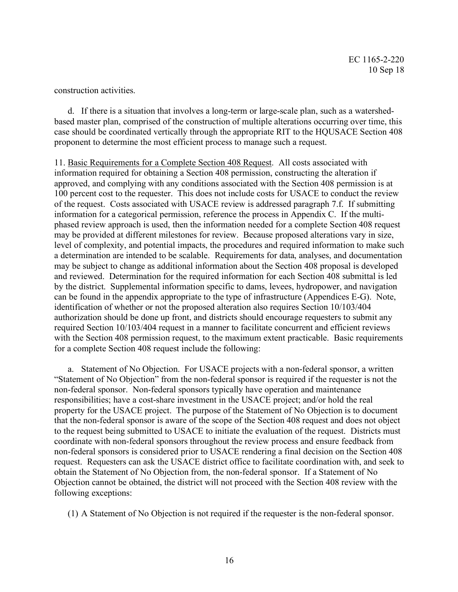construction activities.

d. If there is a situation that involves a long-term or large-scale plan, such as a watershedbased master plan, comprised of the construction of multiple alterations occurring over time, this case should be coordinated vertically through the appropriate RIT to the HQUSACE Section 408 proponent to determine the most efficient process to manage such a request.

11. Basic Requirements for a Complete Section 408 Request. All costs associated with information required for obtaining a Section 408 permission, constructing the alteration if approved, and complying with any conditions associated with the Section 408 permission is at 100 percent cost to the requester. This does not include costs for USACE to conduct the review of the request. Costs associated with USACE review is addressed paragraph 7.f. If submitting information for a categorical permission, reference the process in Appendix C. If the multiphased review approach is used, then the information needed for a complete Section 408 request may be provided at different milestones for review. Because proposed alterations vary in size, level of complexity, and potential impacts, the procedures and required information to make such a determination are intended to be scalable. Requirements for data, analyses, and documentation may be subject to change as additional information about the Section 408 proposal is developed and reviewed. Determination for the required information for each Section 408 submittal is led by the district. Supplemental information specific to dams, levees, hydropower, and navigation can be found in the appendix appropriate to the type of infrastructure (Appendices E-G). Note, identification of whether or not the proposed alteration also requires Section 10/103/404 authorization should be done up front, and districts should encourage requesters to submit any required Section 10/103/404 request in a manner to facilitate concurrent and efficient reviews with the Section 408 permission request, to the maximum extent practicable. Basic requirements for a complete Section 408 request include the following:

a. Statement of No Objection. For USACE projects with a non-federal sponsor, a written "Statement of No Objection" from the non-federal sponsor is required if the requester is not the non-federal sponsor. Non-federal sponsors typically have operation and maintenance responsibilities; have a cost-share investment in the USACE project; and/or hold the real property for the USACE project. The purpose of the Statement of No Objection is to document that the non-federal sponsor is aware of the scope of the Section 408 request and does not object to the request being submitted to USACE to initiate the evaluation of the request. Districts must coordinate with non-federal sponsors throughout the review process and ensure feedback from non-federal sponsors is considered prior to USACE rendering a final decision on the Section 408 request. Requesters can ask the USACE district office to facilitate coordination with, and seek to obtain the Statement of No Objection from, the non-federal sponsor. If a Statement of No Objection cannot be obtained, the district will not proceed with the Section 408 review with the following exceptions:

(1) A Statement of No Objection is not required if the requester is the non-federal sponsor.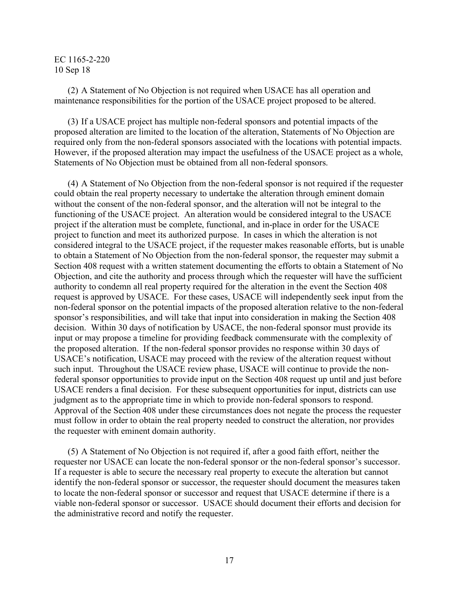(2) A Statement of No Objection is not required when USACE has all operation and maintenance responsibilities for the portion of the USACE project proposed to be altered.

(3) If a USACE project has multiple non-federal sponsors and potential impacts of the proposed alteration are limited to the location of the alteration, Statements of No Objection are required only from the non-federal sponsors associated with the locations with potential impacts. However, if the proposed alteration may impact the usefulness of the USACE project as a whole, Statements of No Objection must be obtained from all non-federal sponsors.

(4) A Statement of No Objection from the non-federal sponsor is not required if the requester could obtain the real property necessary to undertake the alteration through eminent domain without the consent of the non-federal sponsor, and the alteration will not be integral to the functioning of the USACE project. An alteration would be considered integral to the USACE project if the alteration must be complete, functional, and in-place in order for the USACE project to function and meet its authorized purpose. In cases in which the alteration is not considered integral to the USACE project, if the requester makes reasonable efforts, but is unable to obtain a Statement of No Objection from the non-federal sponsor, the requester may submit a Section 408 request with a written statement documenting the efforts to obtain a Statement of No Objection, and cite the authority and process through which the requester will have the sufficient authority to condemn all real property required for the alteration in the event the Section 408 request is approved by USACE. For these cases, USACE will independently seek input from the non-federal sponsor on the potential impacts of the proposed alteration relative to the non-federal sponsor's responsibilities, and will take that input into consideration in making the Section 408 decision. Within 30 days of notification by USACE, the non-federal sponsor must provide its input or may propose a timeline for providing feedback commensurate with the complexity of the proposed alteration. If the non-federal sponsor provides no response within 30 days of USACE's notification, USACE may proceed with the review of the alteration request without such input. Throughout the USACE review phase, USACE will continue to provide the nonfederal sponsor opportunities to provide input on the Section 408 request up until and just before USACE renders a final decision. For these subsequent opportunities for input, districts can use judgment as to the appropriate time in which to provide non-federal sponsors to respond. Approval of the Section 408 under these circumstances does not negate the process the requester must follow in order to obtain the real property needed to construct the alteration, nor provides the requester with eminent domain authority.

(5) A Statement of No Objection is not required if, after a good faith effort, neither the requester nor USACE can locate the non-federal sponsor or the non-federal sponsor's successor. If a requester is able to secure the necessary real property to execute the alteration but cannot identify the non-federal sponsor or successor, the requester should document the measures taken to locate the non-federal sponsor or successor and request that USACE determine if there is a viable non-federal sponsor or successor. USACE should document their efforts and decision for the administrative record and notify the requester.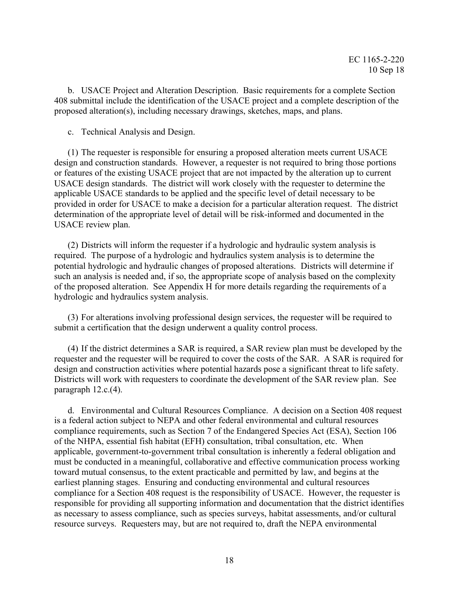b. USACE Project and Alteration Description. Basic requirements for a complete Section 408 submittal include the identification of the USACE project and a complete description of the proposed alteration(s), including necessary drawings, sketches, maps, and plans.

c. Technical Analysis and Design.

(1) The requester is responsible for ensuring a proposed alteration meets current USACE design and construction standards. However, a requester is not required to bring those portions or features of the existing USACE project that are not impacted by the alteration up to current USACE design standards. The district will work closely with the requester to determine the applicable USACE standards to be applied and the specific level of detail necessary to be provided in order for USACE to make a decision for a particular alteration request. The district determination of the appropriate level of detail will be risk-informed and documented in the USACE review plan.

(2) Districts will inform the requester if a hydrologic and hydraulic system analysis is required. The purpose of a hydrologic and hydraulics system analysis is to determine the potential hydrologic and hydraulic changes of proposed alterations. Districts will determine if such an analysis is needed and, if so, the appropriate scope of analysis based on the complexity of the proposed alteration. See Appendix H for more details regarding the requirements of a hydrologic and hydraulics system analysis.

(3) For alterations involving professional design services, the requester will be required to submit a certification that the design underwent a quality control process.

(4) If the district determines a SAR is required, a SAR review plan must be developed by the requester and the requester will be required to cover the costs of the SAR. A SAR is required for design and construction activities where potential hazards pose a significant threat to life safety. Districts will work with requesters to coordinate the development of the SAR review plan. See paragraph 12.c.(4).

d. Environmental and Cultural Resources Compliance. A decision on a Section 408 request is a federal action subject to NEPA and other federal environmental and cultural resources compliance requirements, such as Section 7 of the Endangered Species Act (ESA), Section 106 of the NHPA, essential fish habitat (EFH) consultation, tribal consultation, etc. When applicable, government-to-government tribal consultation is inherently a federal obligation and must be conducted in a meaningful, collaborative and effective communication process working toward mutual consensus, to the extent practicable and permitted by law, and begins at the earliest planning stages. Ensuring and conducting environmental and cultural resources compliance for a Section 408 request is the responsibility of USACE. However, the requester is responsible for providing all supporting information and documentation that the district identifies as necessary to assess compliance, such as species surveys, habitat assessments, and/or cultural resource surveys. Requesters may, but are not required to, draft the NEPA environmental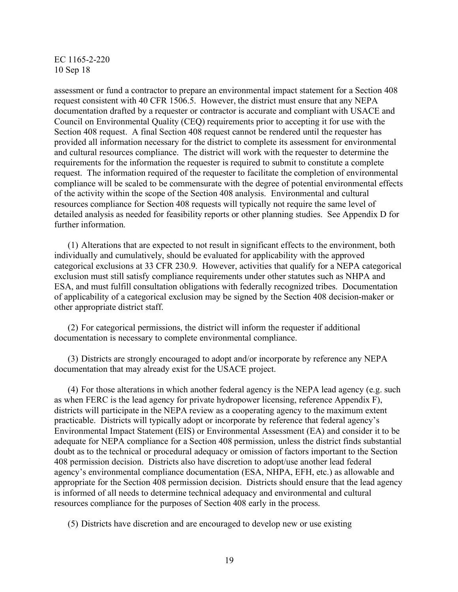assessment or fund a contractor to prepare an environmental impact statement for a Section 408 request consistent with 40 CFR 1506.5. However, the district must ensure that any NEPA documentation drafted by a requester or contractor is accurate and compliant with USACE and Council on Environmental Quality (CEQ) requirements prior to accepting it for use with the Section 408 request. A final Section 408 request cannot be rendered until the requester has provided all information necessary for the district to complete its assessment for environmental and cultural resources compliance. The district will work with the requester to determine the requirements for the information the requester is required to submit to constitute a complete request. The information required of the requester to facilitate the completion of environmental compliance will be scaled to be commensurate with the degree of potential environmental effects of the activity within the scope of the Section 408 analysis. Environmental and cultural resources compliance for Section 408 requests will typically not require the same level of detailed analysis as needed for feasibility reports or other planning studies. See Appendix D for further information.

(1) Alterations that are expected to not result in significant effects to the environment, both individually and cumulatively, should be evaluated for applicability with the approved categorical exclusions at 33 CFR 230.9. However, activities that qualify for a NEPA categorical exclusion must still satisfy compliance requirements under other statutes such as NHPA and ESA, and must fulfill consultation obligations with federally recognized tribes. Documentation of applicability of a categorical exclusion may be signed by the Section 408 decision-maker or other appropriate district staff.

(2) For categorical permissions, the district will inform the requester if additional documentation is necessary to complete environmental compliance.

(3) Districts are strongly encouraged to adopt and/or incorporate by reference any NEPA documentation that may already exist for the USACE project.

(4) For those alterations in which another federal agency is the NEPA lead agency (e.g. such as when FERC is the lead agency for private hydropower licensing, reference Appendix F), districts will participate in the NEPA review as a cooperating agency to the maximum extent practicable. Districts will typically adopt or incorporate by reference that federal agency's Environmental Impact Statement (EIS) or Environmental Assessment (EA) and consider it to be adequate for NEPA compliance for a Section 408 permission, unless the district finds substantial doubt as to the technical or procedural adequacy or omission of factors important to the Section 408 permission decision. Districts also have discretion to adopt/use another lead federal agency's environmental compliance documentation (ESA, NHPA, EFH, etc.) as allowable and appropriate for the Section 408 permission decision. Districts should ensure that the lead agency is informed of all needs to determine technical adequacy and environmental and cultural resources compliance for the purposes of Section 408 early in the process.

(5) Districts have discretion and are encouraged to develop new or use existing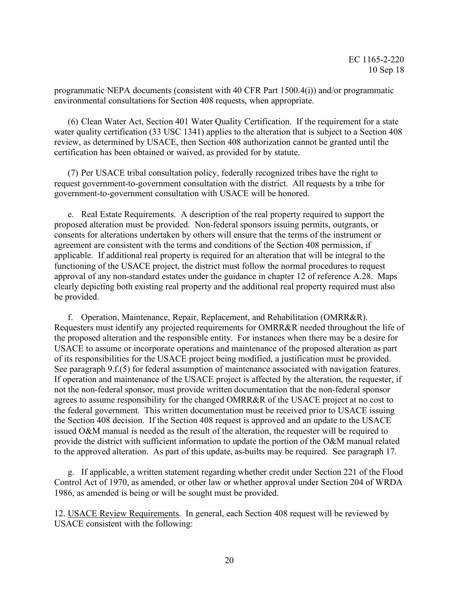programmatic NEPA documents (consistent with 40 CFR Part 1500.4(i)) and/or programmatic environmental consultations for Section 408 requests, when appropriate.

(6) Clean Water Act, Section 401 Water Quality Certification. If the requirement for a state water quality certification (33 USC 1341) applies to the alteration that is subject to a Section 408 review, as determined by USACE, then Section 408 authorization cannot be granted until the certification has been obtained or waived, as provided for by statute.

(7) Per USACE tribal consultation policy, federally recognized tribes have the right to request government-to-government consultation with the district. All requests by a tribe for government-to-government consultation with USACE will be honored.

e. Real Estate Requirements. A description of the real property required to support the proposed alteration must be provided. Non-federal sponsors issuing permits, outgrants, or consents for alterations undertaken by others will ensure that the terms of the instrument or agreement are consistent with the terms and conditions of the Section 408 permission, if applicable. If additional real property is required for an alteration that will be integral to the functioning of the USACE project, the district must follow the normal procedures to request approval of any non-standard estates under the guidance in chapter 12 of reference A.28. Maps clearly depicting both existing real property and the additional real property required must also be provided.

f. Operation, Maintenance, Repair, Replacement, and Rehabilitation (OMRR&R). Requesters must identify any projected requirements for OMRR&R needed throughout the life of the proposed alteration and the responsible entity. For instances when there may be a desire for USACE to assume or incorporate operations and maintenance of the proposed alteration as part of its responsibilities for the USACE project being modified, a justification must be provided. See paragraph 9.f.(5) for federal assumption of maintenance associated with navigation features. If operation and maintenance of the USACE project is affected by the alteration, the requester, if not the non-federal sponsor, must provide written documentation that the non-federal sponsor agrees to assume responsibility for the changed OMRR&R of the USACE project at no cost to the federal government. This written documentation must be received prior to USACE issuing the Section 408 decision. If the Section 408 request is approved and an update to the USACE issued O&M manual is needed as the result of the alteration, the requester will be required to provide the district with sufficient information to update the portion of the O&M manual related to the approved alteration. As part of this update, as-builts may be required. See paragraph 17.

g. If applicable, a written statement regarding whether credit under Section 221 of the Flood Control Act of 1970, as amended, or other law or whether approval under Section 204 of WRDA 1986, as amended is being or will be sought must be provided.

12. USACE Review Requirements. In general, each Section 408 request will be reviewed by USACE consistent with the following: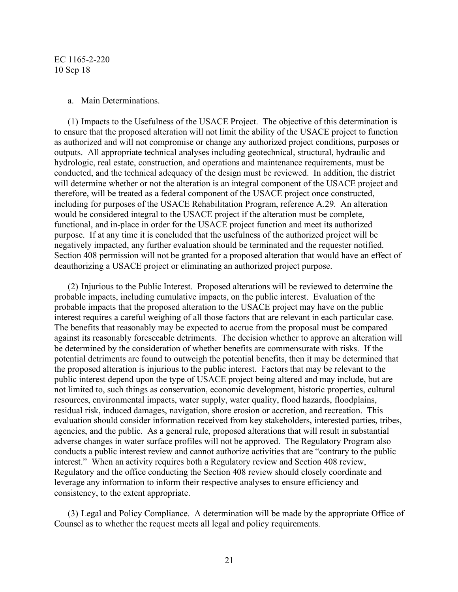#### a. Main Determinations.

(1) Impacts to the Usefulness of the USACE Project. The objective of this determination is to ensure that the proposed alteration will not limit the ability of the USACE project to function as authorized and will not compromise or change any authorized project conditions, purposes or outputs. All appropriate technical analyses including geotechnical, structural, hydraulic and hydrologic, real estate, construction, and operations and maintenance requirements, must be conducted, and the technical adequacy of the design must be reviewed. In addition, the district will determine whether or not the alteration is an integral component of the USACE project and therefore, will be treated as a federal component of the USACE project once constructed, including for purposes of the USACE Rehabilitation Program, reference A.29. An alteration would be considered integral to the USACE project if the alteration must be complete, functional, and in-place in order for the USACE project function and meet its authorized purpose. If at any time it is concluded that the usefulness of the authorized project will be negatively impacted, any further evaluation should be terminated and the requester notified. Section 408 permission will not be granted for a proposed alteration that would have an effect of deauthorizing a USACE project or eliminating an authorized project purpose.

(2) Injurious to the Public Interest. Proposed alterations will be reviewed to determine the probable impacts, including cumulative impacts, on the public interest. Evaluation of the probable impacts that the proposed alteration to the USACE project may have on the public interest requires a careful weighing of all those factors that are relevant in each particular case. The benefits that reasonably may be expected to accrue from the proposal must be compared against its reasonably foreseeable detriments. The decision whether to approve an alteration will be determined by the consideration of whether benefits are commensurate with risks. If the potential detriments are found to outweigh the potential benefits, then it may be determined that the proposed alteration is injurious to the public interest. Factors that may be relevant to the public interest depend upon the type of USACE project being altered and may include, but are not limited to, such things as conservation, economic development, historic properties, cultural resources, environmental impacts, water supply, water quality, flood hazards, floodplains, residual risk, induced damages, navigation, shore erosion or accretion, and recreation. This evaluation should consider information received from key stakeholders, interested parties, tribes, agencies, and the public. As a general rule, proposed alterations that will result in substantial adverse changes in water surface profiles will not be approved. The Regulatory Program also conducts a public interest review and cannot authorize activities that are "contrary to the public interest." When an activity requires both a Regulatory review and Section 408 review, Regulatory and the office conducting the Section 408 review should closely coordinate and leverage any information to inform their respective analyses to ensure efficiency and consistency, to the extent appropriate.

(3) Legal and Policy Compliance. A determination will be made by the appropriate Office of Counsel as to whether the request meets all legal and policy requirements.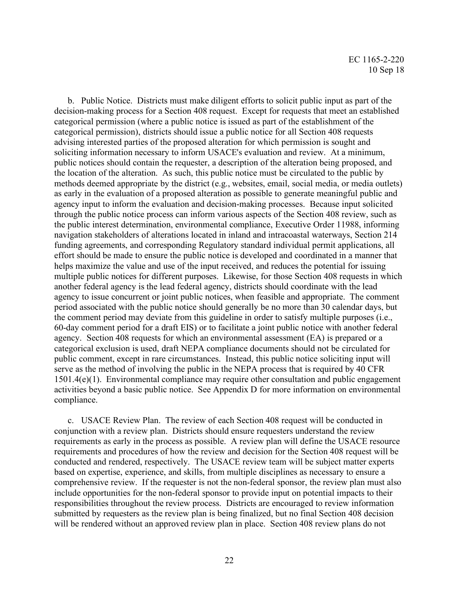b. Public Notice. Districts must make diligent efforts to solicit public input as part of the decision-making process for a Section 408 request. Except for requests that meet an established categorical permission (where a public notice is issued as part of the establishment of the categorical permission), districts should issue a public notice for all Section 408 requests advising interested parties of the proposed alteration for which permission is sought and soliciting information necessary to inform USACE's evaluation and review. At a minimum, public notices should contain the requester, a description of the alteration being proposed, and the location of the alteration. As such, this public notice must be circulated to the public by methods deemed appropriate by the district (e.g., websites, email, social media, or media outlets) as early in the evaluation of a proposed alteration as possible to generate meaningful public and agency input to inform the evaluation and decision-making processes. Because input solicited through the public notice process can inform various aspects of the Section 408 review, such as the public interest determination, environmental compliance, Executive Order 11988, informing navigation stakeholders of alterations located in inland and intracoastal waterways, Section 214 funding agreements, and corresponding Regulatory standard individual permit applications, all effort should be made to ensure the public notice is developed and coordinated in a manner that helps maximize the value and use of the input received, and reduces the potential for issuing multiple public notices for different purposes. Likewise, for those Section 408 requests in which another federal agency is the lead federal agency, districts should coordinate with the lead agency to issue concurrent or joint public notices, when feasible and appropriate. The comment period associated with the public notice should generally be no more than 30 calendar days, but the comment period may deviate from this guideline in order to satisfy multiple purposes (i.e., 60-day comment period for a draft EIS) or to facilitate a joint public notice with another federal agency. Section 408 requests for which an environmental assessment (EA) is prepared or a categorical exclusion is used, draft NEPA compliance documents should not be circulated for public comment, except in rare circumstances. Instead, this public notice soliciting input will serve as the method of involving the public in the NEPA process that is required by 40 CFR 1501.4(e)(1). Environmental compliance may require other consultation and public engagement activities beyond a basic public notice. See Appendix D for more information on environmental compliance.

c. USACE Review Plan. The review of each Section 408 request will be conducted in conjunction with a review plan. Districts should ensure requesters understand the review requirements as early in the process as possible. A review plan will define the USACE resource requirements and procedures of how the review and decision for the Section 408 request will be conducted and rendered, respectively. The USACE review team will be subject matter experts based on expertise, experience, and skills, from multiple disciplines as necessary to ensure a comprehensive review. If the requester is not the non-federal sponsor, the review plan must also include opportunities for the non-federal sponsor to provide input on potential impacts to their responsibilities throughout the review process. Districts are encouraged to review information submitted by requesters as the review plan is being finalized, but no final Section 408 decision will be rendered without an approved review plan in place. Section 408 review plans do not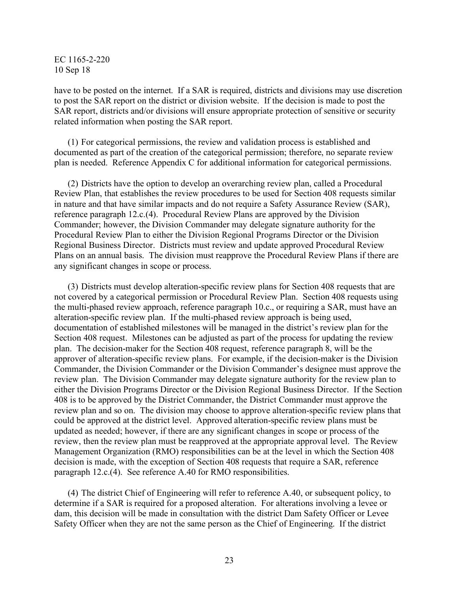have to be posted on the internet. If a SAR is required, districts and divisions may use discretion to post the SAR report on the district or division website. If the decision is made to post the SAR report, districts and/or divisions will ensure appropriate protection of sensitive or security related information when posting the SAR report.

(1) For categorical permissions, the review and validation process is established and documented as part of the creation of the categorical permission; therefore, no separate review plan is needed. Reference Appendix C for additional information for categorical permissions.

(2) Districts have the option to develop an overarching review plan, called a Procedural Review Plan, that establishes the review procedures to be used for Section 408 requests similar in nature and that have similar impacts and do not require a Safety Assurance Review (SAR), reference paragraph 12.c.(4). Procedural Review Plans are approved by the Division Commander; however, the Division Commander may delegate signature authority for the Procedural Review Plan to either the Division Regional Programs Director or the Division Regional Business Director. Districts must review and update approved Procedural Review Plans on an annual basis. The division must reapprove the Procedural Review Plans if there are any significant changes in scope or process.

(3) Districts must develop alteration-specific review plans for Section 408 requests that are not covered by a categorical permission or Procedural Review Plan. Section 408 requests using the multi-phased review approach, reference paragraph 10.c., or requiring a SAR, must have an alteration-specific review plan. If the multi-phased review approach is being used, documentation of established milestones will be managed in the district's review plan for the Section 408 request. Milestones can be adjusted as part of the process for updating the review plan. The decision-maker for the Section 408 request, reference paragraph 8, will be the approver of alteration-specific review plans. For example, if the decision-maker is the Division Commander, the Division Commander or the Division Commander's designee must approve the review plan. The Division Commander may delegate signature authority for the review plan to either the Division Programs Director or the Division Regional Business Director. If the Section 408 is to be approved by the District Commander, the District Commander must approve the review plan and so on. The division may choose to approve alteration-specific review plans that could be approved at the district level. Approved alteration-specific review plans must be updated as needed; however, if there are any significant changes in scope or process of the review, then the review plan must be reapproved at the appropriate approval level. The Review Management Organization (RMO) responsibilities can be at the level in which the Section 408 decision is made, with the exception of Section 408 requests that require a SAR, reference paragraph 12.c.(4). See reference A.40 for RMO responsibilities.

(4) The district Chief of Engineering will refer to reference A.40, or subsequent policy, to determine if a SAR is required for a proposed alteration. For alterations involving a levee or dam, this decision will be made in consultation with the district Dam Safety Officer or Levee Safety Officer when they are not the same person as the Chief of Engineering. If the district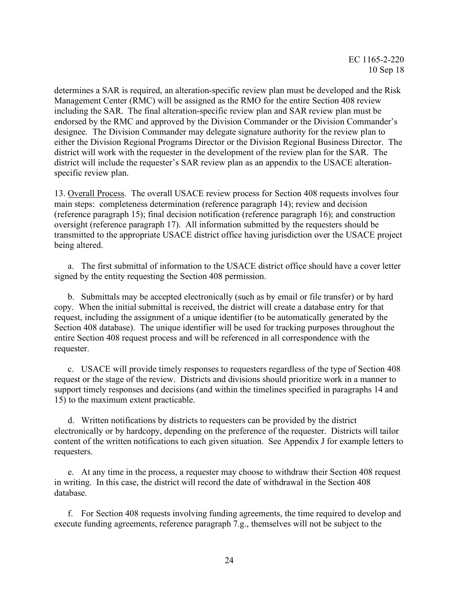determines a SAR is required, an alteration-specific review plan must be developed and the Risk Management Center (RMC) will be assigned as the RMO for the entire Section 408 review including the SAR. The final alteration-specific review plan and SAR review plan must be endorsed by the RMC and approved by the Division Commander or the Division Commander's designee. The Division Commander may delegate signature authority for the review plan to either the Division Regional Programs Director or the Division Regional Business Director. The district will work with the requester in the development of the review plan for the SAR. The district will include the requester's SAR review plan as an appendix to the USACE alterationspecific review plan.

13. Overall Process. The overall USACE review process for Section 408 requests involves four main steps: completeness determination (reference paragraph 14); review and decision (reference paragraph 15); final decision notification (reference paragraph 16); and construction oversight (reference paragraph 17). All information submitted by the requesters should be transmitted to the appropriate USACE district office having jurisdiction over the USACE project being altered.

a. The first submittal of information to the USACE district office should have a cover letter signed by the entity requesting the Section 408 permission.

b. Submittals may be accepted electronically (such as by email or file transfer) or by hard copy. When the initial submittal is received, the district will create a database entry for that request, including the assignment of a unique identifier (to be automatically generated by the Section 408 database). The unique identifier will be used for tracking purposes throughout the entire Section 408 request process and will be referenced in all correspondence with the requester.

c. USACE will provide timely responses to requesters regardless of the type of Section 408 request or the stage of the review. Districts and divisions should prioritize work in a manner to support timely responses and decisions (and within the timelines specified in paragraphs 14 and 15) to the maximum extent practicable.

d. Written notifications by districts to requesters can be provided by the district electronically or by hardcopy, depending on the preference of the requester. Districts will tailor content of the written notifications to each given situation. See Appendix J for example letters to requesters.

e. At any time in the process, a requester may choose to withdraw their Section 408 request in writing. In this case, the district will record the date of withdrawal in the Section 408 database.

f. For Section 408 requests involving funding agreements, the time required to develop and execute funding agreements, reference paragraph 7.g., themselves will not be subject to the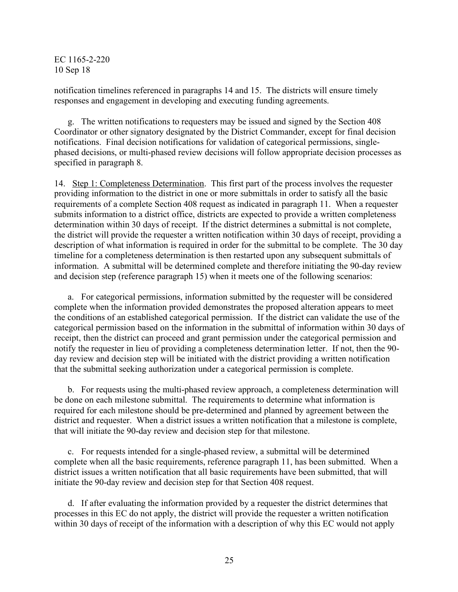notification timelines referenced in paragraphs 14 and 15. The districts will ensure timely responses and engagement in developing and executing funding agreements.

g. The written notifications to requesters may be issued and signed by the Section 408 Coordinator or other signatory designated by the District Commander, except for final decision notifications. Final decision notifications for validation of categorical permissions, singlephased decisions, or multi-phased review decisions will follow appropriate decision processes as specified in paragraph 8.

14. Step 1: Completeness Determination. This first part of the process involves the requester providing information to the district in one or more submittals in order to satisfy all the basic requirements of a complete Section 408 request as indicated in paragraph 11. When a requester submits information to a district office, districts are expected to provide a written completeness determination within 30 days of receipt. If the district determines a submittal is not complete, the district will provide the requester a written notification within 30 days of receipt, providing a description of what information is required in order for the submittal to be complete. The 30 day timeline for a completeness determination is then restarted upon any subsequent submittals of information. A submittal will be determined complete and therefore initiating the 90-day review and decision step (reference paragraph 15) when it meets one of the following scenarios:

a. For categorical permissions, information submitted by the requester will be considered complete when the information provided demonstrates the proposed alteration appears to meet the conditions of an established categorical permission. If the district can validate the use of the categorical permission based on the information in the submittal of information within 30 days of receipt, then the district can proceed and grant permission under the categorical permission and notify the requester in lieu of providing a completeness determination letter. If not, then the 90 day review and decision step will be initiated with the district providing a written notification that the submittal seeking authorization under a categorical permission is complete.

b. For requests using the multi-phased review approach, a completeness determination will be done on each milestone submittal. The requirements to determine what information is required for each milestone should be pre-determined and planned by agreement between the district and requester. When a district issues a written notification that a milestone is complete, that will initiate the 90-day review and decision step for that milestone.

c. For requests intended for a single-phased review, a submittal will be determined complete when all the basic requirements, reference paragraph 11, has been submitted. When a district issues a written notification that all basic requirements have been submitted, that will initiate the 90-day review and decision step for that Section 408 request.

d. If after evaluating the information provided by a requester the district determines that processes in this EC do not apply, the district will provide the requester a written notification within 30 days of receipt of the information with a description of why this EC would not apply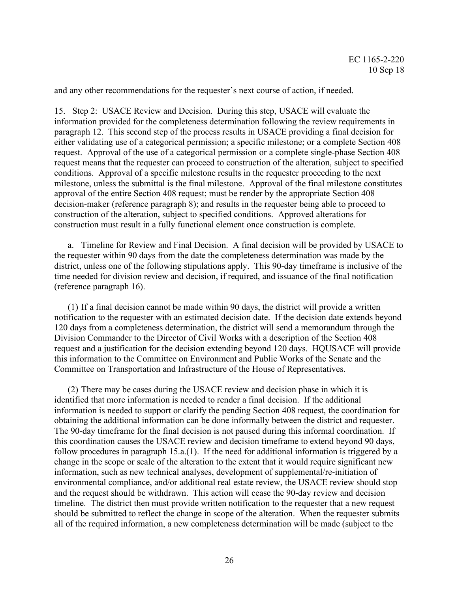and any other recommendations for the requester's next course of action, if needed.

15. Step 2: USACE Review and Decision. During this step, USACE will evaluate the information provided for the completeness determination following the review requirements in paragraph 12. This second step of the process results in USACE providing a final decision for either validating use of a categorical permission; a specific milestone; or a complete Section 408 request. Approval of the use of a categorical permission or a complete single-phase Section 408 request means that the requester can proceed to construction of the alteration, subject to specified conditions. Approval of a specific milestone results in the requester proceeding to the next milestone, unless the submittal is the final milestone. Approval of the final milestone constitutes approval of the entire Section 408 request; must be render by the appropriate Section 408 decision-maker (reference paragraph 8); and results in the requester being able to proceed to construction of the alteration, subject to specified conditions. Approved alterations for construction must result in a fully functional element once construction is complete.

a. Timeline for Review and Final Decision. A final decision will be provided by USACE to the requester within 90 days from the date the completeness determination was made by the district, unless one of the following stipulations apply. This 90-day timeframe is inclusive of the time needed for division review and decision, if required, and issuance of the final notification (reference paragraph 16).

(1) If a final decision cannot be made within 90 days, the district will provide a written notification to the requester with an estimated decision date. If the decision date extends beyond 120 days from a completeness determination, the district will send a memorandum through the Division Commander to the Director of Civil Works with a description of the Section 408 request and a justification for the decision extending beyond 120 days. HQUSACE will provide this information to the Committee on Environment and Public Works of the Senate and the Committee on Transportation and Infrastructure of the House of Representatives.

(2) There may be cases during the USACE review and decision phase in which it is identified that more information is needed to render a final decision. If the additional information is needed to support or clarify the pending Section 408 request, the coordination for obtaining the additional information can be done informally between the district and requester. The 90-day timeframe for the final decision is not paused during this informal coordination. If this coordination causes the USACE review and decision timeframe to extend beyond 90 days, follow procedures in paragraph 15.a.(1). If the need for additional information is triggered by a change in the scope or scale of the alteration to the extent that it would require significant new information, such as new technical analyses, development of supplemental/re-initiation of environmental compliance, and/or additional real estate review, the USACE review should stop and the request should be withdrawn. This action will cease the 90-day review and decision timeline. The district then must provide written notification to the requester that a new request should be submitted to reflect the change in scope of the alteration. When the requester submits all of the required information, a new completeness determination will be made (subject to the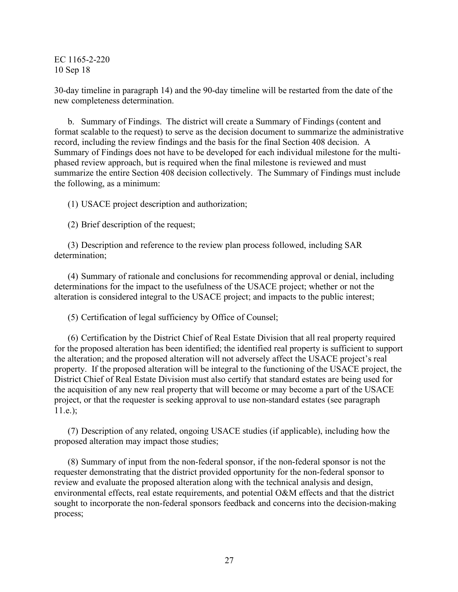30-day timeline in paragraph 14) and the 90-day timeline will be restarted from the date of the new completeness determination.

b. Summary of Findings. The district will create a Summary of Findings (content and format scalable to the request) to serve as the decision document to summarize the administrative record, including the review findings and the basis for the final Section 408 decision. A Summary of Findings does not have to be developed for each individual milestone for the multiphased review approach, but is required when the final milestone is reviewed and must summarize the entire Section 408 decision collectively. The Summary of Findings must include the following, as a minimum:

(1) USACE project description and authorization;

(2) Brief description of the request;

(3) Description and reference to the review plan process followed, including SAR determination;

(4) Summary of rationale and conclusions for recommending approval or denial, including determinations for the impact to the usefulness of the USACE project; whether or not the alteration is considered integral to the USACE project; and impacts to the public interest;

(5) Certification of legal sufficiency by Office of Counsel;

(6) Certification by the District Chief of Real Estate Division that all real property required for the proposed alteration has been identified; the identified real property is sufficient to support the alteration; and the proposed alteration will not adversely affect the USACE project's real property. If the proposed alteration will be integral to the functioning of the USACE project, the District Chief of Real Estate Division must also certify that standard estates are being used for the acquisition of any new real property that will become or may become a part of the USACE project, or that the requester is seeking approval to use non-standard estates (see paragraph  $11.e.$ );

(7) Description of any related, ongoing USACE studies (if applicable), including how the proposed alteration may impact those studies;

(8) Summary of input from the non-federal sponsor, if the non-federal sponsor is not the requester demonstrating that the district provided opportunity for the non-federal sponsor to review and evaluate the proposed alteration along with the technical analysis and design, environmental effects, real estate requirements, and potential O&M effects and that the district sought to incorporate the non-federal sponsors feedback and concerns into the decision-making process;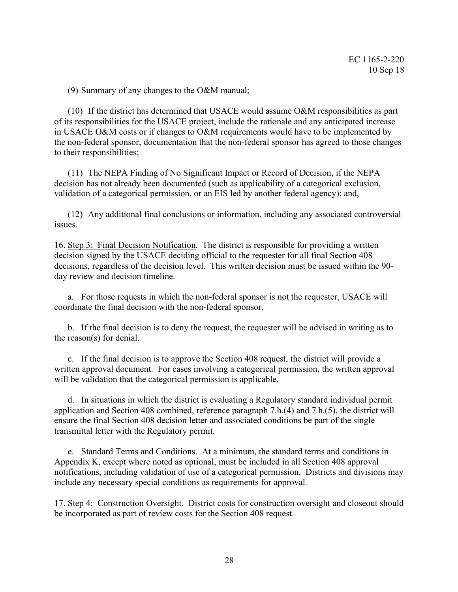(9) Summary of any changes to the O&M manual;

(10) If the district has determined that USACE would assume O&M responsibilities as part of its responsibilities for the USACE project, include the rationale and any anticipated increase in USACE O&M costs or if changes to O&M requirements would have to be implemented by the non-federal sponsor, documentation that the non-federal sponsor has agreed to those changes to their responsibilities;

(11) The NEPA Finding of No Significant Impact or Record of Decision, if the NEPA decision has not already been documented (such as applicability of a categorical exclusion, validation of a categorical permission, or an EIS led by another federal agency); and,

(12) Any additional final conclusions or information, including any associated controversial issues.

16. Step 3: Final Decision Notification. The district is responsible for providing a written decision signed by the USACE deciding official to the requester for all final Section 408 decisions, regardless of the decision level. This written decision must be issued within the 90 day review and decision timeline.

a. For those requests in which the non-federal sponsor is not the requester, USACE will coordinate the final decision with the non-federal sponsor.

b. If the final decision is to deny the request, the requester will be advised in writing as to the reason(s) for denial.

c. If the final decision is to approve the Section 408 request, the district will provide a written approval document. For cases involving a categorical permission, the written approval will be validation that the categorical permission is applicable.

d. In situations in which the district is evaluating a Regulatory standard individual permit application and Section 408 combined, reference paragraph 7.h.(4) and 7.h.(5), the district will ensure the final Section 408 decision letter and associated conditions be part of the single transmittal letter with the Regulatory permit.

e. Standard Terms and Conditions. At a minimum, the standard terms and conditions in Appendix K, except where noted as optional, must be included in all Section 408 approval notifications, including validation of use of a categorical permission. Districts and divisions may include any necessary special conditions as requirements for approval.

17. Step 4: Construction Oversight. District costs for construction oversight and closeout should be incorporated as part of review costs for the Section 408 request.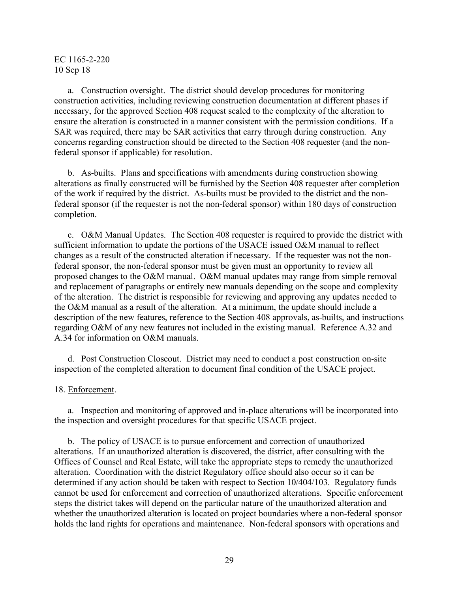a. Construction oversight. The district should develop procedures for monitoring construction activities, including reviewing construction documentation at different phases if necessary, for the approved Section 408 request scaled to the complexity of the alteration to ensure the alteration is constructed in a manner consistent with the permission conditions. If a SAR was required, there may be SAR activities that carry through during construction. Any concerns regarding construction should be directed to the Section 408 requester (and the nonfederal sponsor if applicable) for resolution.

b. As-builts. Plans and specifications with amendments during construction showing alterations as finally constructed will be furnished by the Section 408 requester after completion of the work if required by the district. As-builts must be provided to the district and the nonfederal sponsor (if the requester is not the non-federal sponsor) within 180 days of construction completion.

c. O&M Manual Updates. The Section 408 requester is required to provide the district with sufficient information to update the portions of the USACE issued O&M manual to reflect changes as a result of the constructed alteration if necessary. If the requester was not the nonfederal sponsor, the non-federal sponsor must be given must an opportunity to review all proposed changes to the O&M manual. O&M manual updates may range from simple removal and replacement of paragraphs or entirely new manuals depending on the scope and complexity of the alteration. The district is responsible for reviewing and approving any updates needed to the O&M manual as a result of the alteration. At a minimum, the update should include a description of the new features, reference to the Section 408 approvals, as-builts, and instructions regarding O&M of any new features not included in the existing manual. Reference A.32 and A.34 for information on O&M manuals.

d. Post Construction Closeout. District may need to conduct a post construction on-site inspection of the completed alteration to document final condition of the USACE project.

#### 18. Enforcement.

a. Inspection and monitoring of approved and in-place alterations will be incorporated into the inspection and oversight procedures for that specific USACE project.

b. The policy of USACE is to pursue enforcement and correction of unauthorized alterations. If an unauthorized alteration is discovered, the district, after consulting with the Offices of Counsel and Real Estate, will take the appropriate steps to remedy the unauthorized alteration. Coordination with the district Regulatory office should also occur so it can be determined if any action should be taken with respect to Section 10/404/103. Regulatory funds cannot be used for enforcement and correction of unauthorized alterations. Specific enforcement steps the district takes will depend on the particular nature of the unauthorized alteration and whether the unauthorized alteration is located on project boundaries where a non-federal sponsor holds the land rights for operations and maintenance. Non-federal sponsors with operations and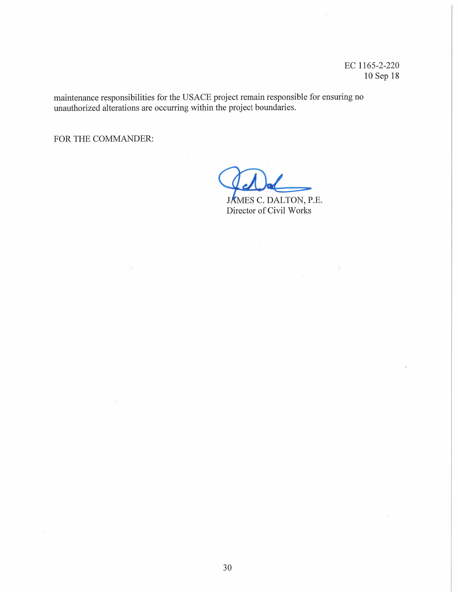maintenance responsibilities for the USACE project remain responsible for ensuring no unauthorized alterations are occurring within the project boundaries.

FOR THE COMMANDER:

JÁMES C. DALTON, P.E.

Director of Civil Works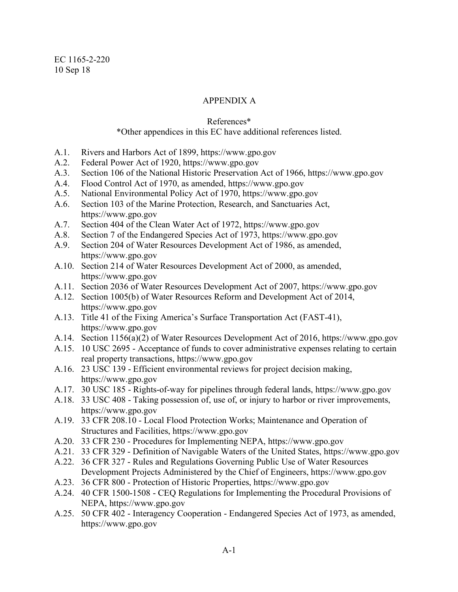# APPENDIX A

### References\*

### \*Other appendices in this EC have additional references listed.

- A.1. Rivers and Harbors Act of 1899, https://www.gpo.gov
- A.2. Federal Power Act of 1920, https://www.gpo.gov
- A.3. Section 106 of the National Historic Preservation Act of 1966, https://www.gpo.gov
- A.4. Flood Control Act of 1970, as amended, https://www.gpo.gov
- A.5. National Environmental Policy Act of 1970, https://www.gpo.gov
- A.6. Section 103 of the Marine Protection, Research, and Sanctuaries Act, https://www.gpo.gov
- A.7. Section 404 of the Clean Water Act of 1972, https://www.gpo.gov
- A.8. Section 7 of the Endangered Species Act of 1973, https://www.gpo.gov
- A.9. Section 204 of Water Resources Development Act of 1986, as amended, https://www.gpo.gov
- A.10. Section 214 of Water Resources Development Act of 2000, as amended, https://www.gpo.gov
- A.11. Section 2036 of Water Resources Development Act of 2007, https://www.gpo.gov
- A.12. Section 1005(b) of Water Resources Reform and Development Act of 2014, https://www.gpo.gov
- A.13. Title 41 of the Fixing America's Surface Transportation Act (FAST-41), https://www.gpo.gov
- A.14. Section 1156(a)(2) of Water Resources Development Act of 2016, https://www.gpo.gov
- A.15. 10 USC 2695 Acceptance of funds to cover administrative expenses relating to certain real property transactions, https://www.gpo.gov
- A.16. 23 USC 139 Efficient environmental reviews for project decision making, https://www.gpo.gov
- A.17. 30 USC 185 Rights-of-way for pipelines through federal lands, https://www.gpo.gov
- A.18. 33 USC 408 Taking possession of, use of, or injury to harbor or river improvements, https://www.gpo.gov
- A.19. 33 CFR 208.10 Local Flood Protection Works; Maintenance and Operation of Structures and Facilities, https://www.gpo.gov
- A.20. 33 CFR 230 Procedures for Implementing NEPA, https://www.gpo.gov
- A.21. 33 CFR 329 Definition of Navigable Waters of the United States, https://www.gpo.gov
- A.22. 36 CFR 327 Rules and Regulations Governing Public Use of Water Resources Development Projects Administered by the Chief of Engineers, https://www.gpo.gov
- A.23. 36 CFR 800 Protection of Historic Properties, https://www.gpo.gov
- A.24. 40 CFR 1500-1508 CEQ Regulations for Implementing the Procedural Provisions of NEPA, https://www.gpo.gov
- A.25. 50 CFR 402 Interagency Cooperation Endangered Species Act of 1973, as amended, https://www.gpo.gov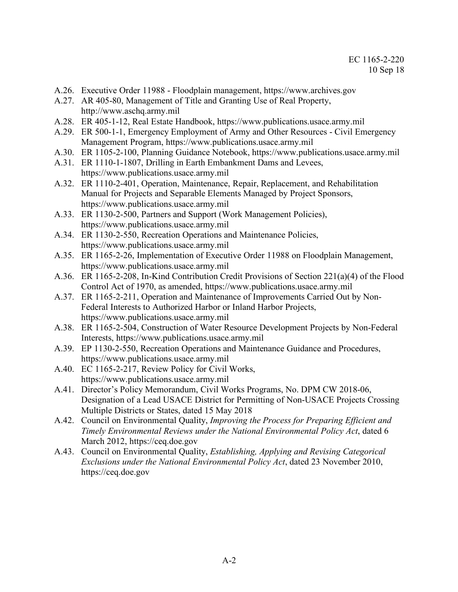- A.26. Executive Order 11988 Floodplain management, https://www.archives.gov
- A.27. AR 405-80, Management of Title and Granting Use of Real Property, http://www.aschq.army.mil
- A.28. ER 405-1-12, Real Estate Handbook, https://www.publications.usace.army.mil
- A.29. ER 500-1-1, Emergency Employment of Army and Other Resources Civil Emergency Management Program, https://www.publications.usace.army.mil
- A.30. ER 1105-2-100, Planning Guidance Notebook, https://www.publications.usace.army.mil
- A.31. ER 1110-1-1807, Drilling in Earth Embankment Dams and Levees, https://www.publications.usace.army.mil
- A.32. ER 1110-2-401, Operation, Maintenance, Repair, Replacement, and Rehabilitation Manual for Projects and Separable Elements Managed by Project Sponsors, https://www.publications.usace.army.mil
- A.33. ER 1130-2-500, Partners and Support (Work Management Policies), https://www.publications.usace.army.mil
- A.34. ER 1130-2-550, Recreation Operations and Maintenance Policies, https://www.publications.usace.army.mil
- A.35. ER 1165-2-26, Implementation of Executive Order 11988 on Floodplain Management, https://www.publications.usace.army.mil
- A.36. ER 1165-2-208, In-Kind Contribution Credit Provisions of Section 221(a)(4) of the Flood Control Act of 1970, as amended, https://www.publications.usace.army.mil
- A.37. ER 1165-2-211, Operation and Maintenance of Improvements Carried Out by Non-Federal Interests to Authorized Harbor or Inland Harbor Projects, https://www.publications.usace.army.mil
- A.38. ER 1165-2-504, Construction of Water Resource Development Projects by Non-Federal Interests, https://www.publications.usace.army.mil
- A.39. EP 1130-2-550, Recreation Operations and Maintenance Guidance and Procedures, https://www.publications.usace.army.mil
- A.40. EC 1165-2-217, Review Policy for Civil Works, https://www.publications.usace.army.mil
- A.41. Director's Policy Memorandum, Civil Works Programs, No. DPM CW 2018-06, Designation of a Lead USACE District for Permitting of Non-USACE Projects Crossing Multiple Districts or States, dated 15 May 2018
- A.42. Council on Environmental Quality, *Improving the Process for Preparing Efficient and Timely Environmental Reviews under the National Environmental Policy Act*, dated 6 March 2012, https://ceq.doe.gov
- A.43. Council on Environmental Quality, *Establishing, Applying and Revising Categorical Exclusions under the National Environmental Policy Act*, dated 23 November 2010, https://ceq.doe.gov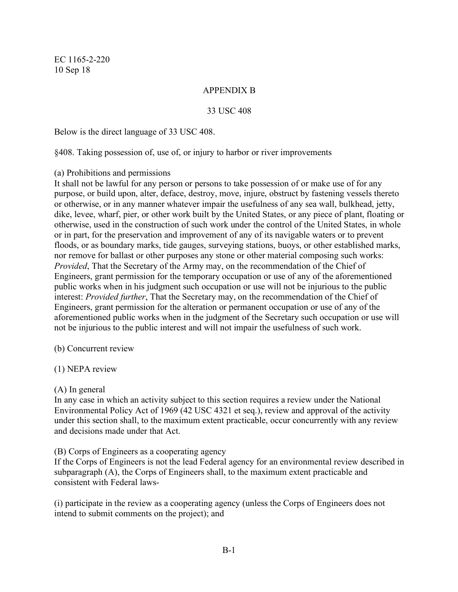## APPENDIX B

#### 33 USC 408

Below is the direct language of 33 USC 408.

§408. Taking possession of, use of, or injury to harbor or river improvements

#### (a) Prohibitions and permissions

It shall not be lawful for any person or persons to take possession of or make use of for any purpose, or build upon, alter, deface, destroy, move, injure, obstruct by fastening vessels thereto or otherwise, or in any manner whatever impair the usefulness of any sea wall, bulkhead, jetty, dike, levee, wharf, pier, or other work built by the United States, or any piece of plant, floating or otherwise, used in the construction of such work under the control of the United States, in whole or in part, for the preservation and improvement of any of its navigable waters or to prevent floods, or as boundary marks, tide gauges, surveying stations, buoys, or other established marks, nor remove for ballast or other purposes any stone or other material composing such works: *Provided*, That the Secretary of the Army may, on the recommendation of the Chief of Engineers, grant permission for the temporary occupation or use of any of the aforementioned public works when in his judgment such occupation or use will not be injurious to the public interest: *Provided further*, That the Secretary may, on the recommendation of the Chief of Engineers, grant permission for the alteration or permanent occupation or use of any of the aforementioned public works when in the judgment of the Secretary such occupation or use will not be injurious to the public interest and will not impair the usefulness of such work.

(b) Concurrent review

### (1) NEPA review

#### (A) In general

In any case in which an activity subject to this section requires a review under the National Environmental Policy Act of 1969 (42 USC 4321 et seq.), review and approval of the activity under this section shall, to the maximum extent practicable, occur concurrently with any review and decisions made under that Act.

#### (B) Corps of Engineers as a cooperating agency

If the Corps of Engineers is not the lead Federal agency for an environmental review described in subparagraph (A), the Corps of Engineers shall, to the maximum extent practicable and consistent with Federal laws-

(i) participate in the review as a cooperating agency (unless the Corps of Engineers does not intend to submit comments on the project); and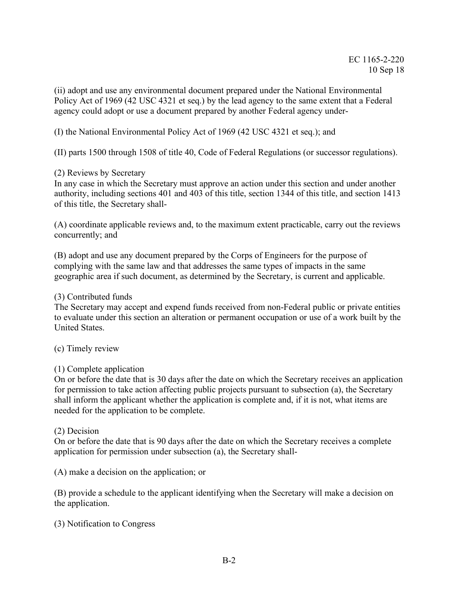(ii) adopt and use any environmental document prepared under the National Environmental Policy Act of 1969 (42 USC 4321 et seq.) by the lead agency to the same extent that a Federal agency could adopt or use a document prepared by another Federal agency under-

(I) the National Environmental Policy Act of 1969 (42 USC 4321 et seq.); and

(II) parts 1500 through 1508 of title 40, Code of Federal Regulations (or successor regulations).

### (2) Reviews by Secretary

In any case in which the Secretary must approve an action under this section and under another authority, including sections 401 and 403 of this title, section 1344 of this title, and section 1413 of this title, the Secretary shall-

(A) coordinate applicable reviews and, to the maximum extent practicable, carry out the reviews concurrently; and

(B) adopt and use any document prepared by the Corps of Engineers for the purpose of complying with the same law and that addresses the same types of impacts in the same geographic area if such document, as determined by the Secretary, is current and applicable.

### (3) Contributed funds

The Secretary may accept and expend funds received from non-Federal public or private entities to evaluate under this section an alteration or permanent occupation or use of a work built by the United States.

### (c) Timely review

### (1) Complete application

On or before the date that is 30 days after the date on which the Secretary receives an application for permission to take action affecting public projects pursuant to subsection (a), the Secretary shall inform the applicant whether the application is complete and, if it is not, what items are needed for the application to be complete.

### (2) Decision

On or before the date that is 90 days after the date on which the Secretary receives a complete application for permission under subsection (a), the Secretary shall-

(A) make a decision on the application; or

(B) provide a schedule to the applicant identifying when the Secretary will make a decision on the application.

(3) Notification to Congress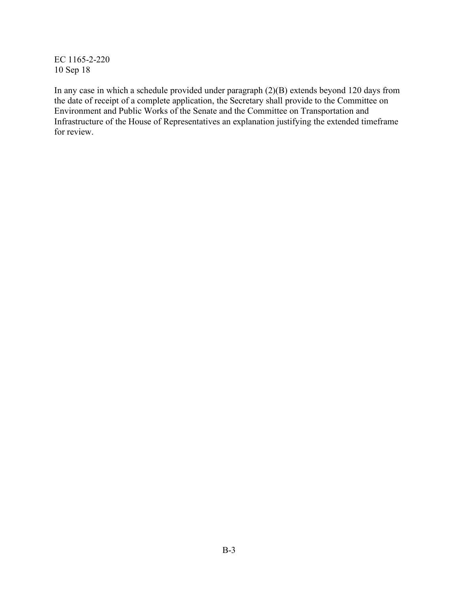In any case in which a schedule provided under paragraph (2)(B) extends beyond 120 days from the date of receipt of a complete application, the Secretary shall provide to the Committee on Environment and Public Works of the Senate and the Committee on Transportation and Infrastructure of the House of Representatives an explanation justifying the extended timeframe for review.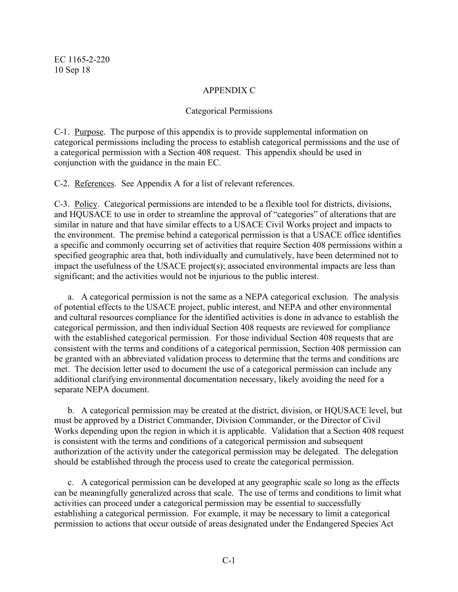# APPENDIX C

### Categorical Permissions

C-1. Purpose. The purpose of this appendix is to provide supplemental information on categorical permissions including the process to establish categorical permissions and the use of a categorical permission with a Section 408 request. This appendix should be used in conjunction with the guidance in the main EC.

C-2. References. See Appendix A for a list of relevant references.

C-3. Policy. Categorical permissions are intended to be a flexible tool for districts, divisions, and HQUSACE to use in order to streamline the approval of "categories" of alterations that are similar in nature and that have similar effects to a USACE Civil Works project and impacts to the environment. The premise behind a categorical permission is that a USACE office identifies a specific and commonly occurring set of activities that require Section 408 permissions within a specified geographic area that, both individually and cumulatively, have been determined not to impact the usefulness of the USACE project(s); associated environmental impacts are less than significant; and the activities would not be injurious to the public interest.

a. A categorical permission is not the same as a NEPA categorical exclusion. The analysis of potential effects to the USACE project, public interest, and NEPA and other environmental and cultural resources compliance for the identified activities is done in advance to establish the categorical permission, and then individual Section 408 requests are reviewed for compliance with the established categorical permission. For those individual Section 408 requests that are consistent with the terms and conditions of a categorical permission, Section 408 permission can be granted with an abbreviated validation process to determine that the terms and conditions are met. The decision letter used to document the use of a categorical permission can include any additional clarifying environmental documentation necessary, likely avoiding the need for a separate NEPA document.

b. A categorical permission may be created at the district, division, or HQUSACE level, but must be approved by a District Commander, Division Commander, or the Director of Civil Works depending upon the region in which it is applicable. Validation that a Section 408 request is consistent with the terms and conditions of a categorical permission and subsequent authorization of the activity under the categorical permission may be delegated. The delegation should be established through the process used to create the categorical permission.

c. A categorical permission can be developed at any geographic scale so long as the effects can be meaningfully generalized across that scale. The use of terms and conditions to limit what activities can proceed under a categorical permission may be essential to successfully establishing a categorical permission. For example, it may be necessary to limit a categorical permission to actions that occur outside of areas designated under the Endangered Species Act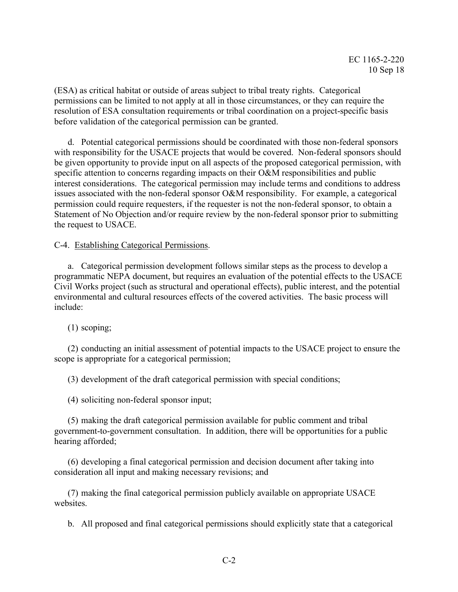(ESA) as critical habitat or outside of areas subject to tribal treaty rights. Categorical permissions can be limited to not apply at all in those circumstances, or they can require the resolution of ESA consultation requirements or tribal coordination on a project-specific basis before validation of the categorical permission can be granted.

d. Potential categorical permissions should be coordinated with those non-federal sponsors with responsibility for the USACE projects that would be covered. Non-federal sponsors should be given opportunity to provide input on all aspects of the proposed categorical permission, with specific attention to concerns regarding impacts on their O&M responsibilities and public interest considerations. The categorical permission may include terms and conditions to address issues associated with the non-federal sponsor O&M responsibility. For example, a categorical permission could require requesters, if the requester is not the non-federal sponsor, to obtain a Statement of No Objection and/or require review by the non-federal sponsor prior to submitting the request to USACE.

### C-4. Establishing Categorical Permissions.

a. Categorical permission development follows similar steps as the process to develop a programmatic NEPA document, but requires an evaluation of the potential effects to the USACE Civil Works project (such as structural and operational effects), public interest, and the potential environmental and cultural resources effects of the covered activities. The basic process will include:

(1) scoping;

(2) conducting an initial assessment of potential impacts to the USACE project to ensure the scope is appropriate for a categorical permission;

(3) development of the draft categorical permission with special conditions;

(4) soliciting non-federal sponsor input;

(5) making the draft categorical permission available for public comment and tribal government-to-government consultation. In addition, there will be opportunities for a public hearing afforded;

(6) developing a final categorical permission and decision document after taking into consideration all input and making necessary revisions; and

(7) making the final categorical permission publicly available on appropriate USACE websites.

b. All proposed and final categorical permissions should explicitly state that a categorical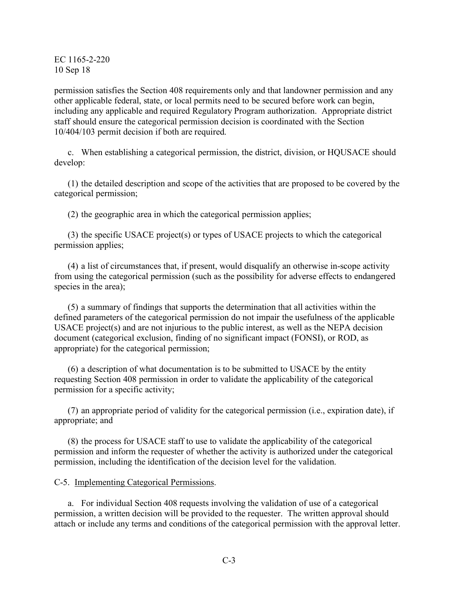permission satisfies the Section 408 requirements only and that landowner permission and any other applicable federal, state, or local permits need to be secured before work can begin, including any applicable and required Regulatory Program authorization. Appropriate district staff should ensure the categorical permission decision is coordinated with the Section 10/404/103 permit decision if both are required.

c. When establishing a categorical permission, the district, division, or HQUSACE should develop:

(1) the detailed description and scope of the activities that are proposed to be covered by the categorical permission;

(2) the geographic area in which the categorical permission applies;

(3) the specific USACE project(s) or types of USACE projects to which the categorical permission applies;

(4) a list of circumstances that, if present, would disqualify an otherwise in-scope activity from using the categorical permission (such as the possibility for adverse effects to endangered species in the area);

(5) a summary of findings that supports the determination that all activities within the defined parameters of the categorical permission do not impair the usefulness of the applicable USACE project(s) and are not injurious to the public interest, as well as the NEPA decision document (categorical exclusion, finding of no significant impact (FONSI), or ROD, as appropriate) for the categorical permission;

(6) a description of what documentation is to be submitted to USACE by the entity requesting Section 408 permission in order to validate the applicability of the categorical permission for a specific activity;

(7) an appropriate period of validity for the categorical permission (i.e., expiration date), if appropriate; and

(8) the process for USACE staff to use to validate the applicability of the categorical permission and inform the requester of whether the activity is authorized under the categorical permission, including the identification of the decision level for the validation.

C-5. Implementing Categorical Permissions.

a. For individual Section 408 requests involving the validation of use of a categorical permission, a written decision will be provided to the requester. The written approval should attach or include any terms and conditions of the categorical permission with the approval letter.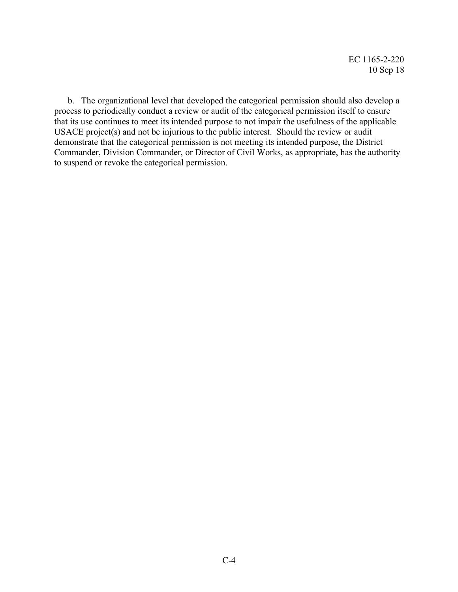b. The organizational level that developed the categorical permission should also develop a process to periodically conduct a review or audit of the categorical permission itself to ensure that its use continues to meet its intended purpose to not impair the usefulness of the applicable USACE project(s) and not be injurious to the public interest. Should the review or audit demonstrate that the categorical permission is not meeting its intended purpose, the District Commander, Division Commander, or Director of Civil Works, as appropriate, has the authority to suspend or revoke the categorical permission.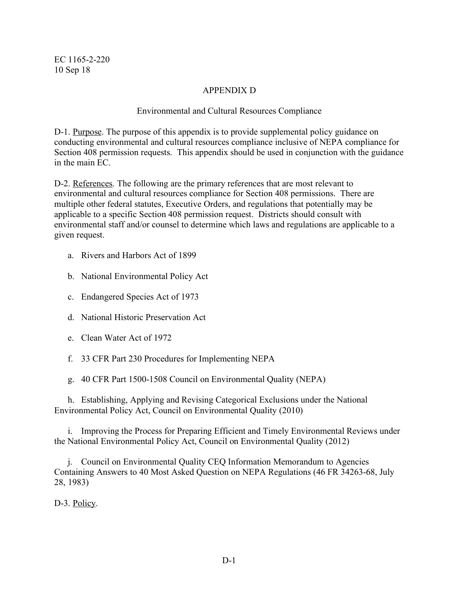# APPENDIX D

### Environmental and Cultural Resources Compliance

D-1. Purpose. The purpose of this appendix is to provide supplemental policy guidance on conducting environmental and cultural resources compliance inclusive of NEPA compliance for Section 408 permission requests. This appendix should be used in conjunction with the guidance in the main EC.

D-2. References. The following are the primary references that are most relevant to environmental and cultural resources compliance for Section 408 permissions. There are multiple other federal statutes, Executive Orders, and regulations that potentially may be applicable to a specific Section 408 permission request. Districts should consult with environmental staff and/or counsel to determine which laws and regulations are applicable to a given request.

- a. Rivers and Harbors Act of 1899
- b. National Environmental Policy Act
- c. Endangered Species Act of 1973
- d. National Historic Preservation Act
- e. Clean Water Act of 1972
- f. 33 CFR Part 230 Procedures for Implementing NEPA
- g. 40 CFR Part 1500-1508 Council on Environmental Quality (NEPA)

h. Establishing, Applying and Revising Categorical Exclusions under the National Environmental Policy Act, Council on Environmental Quality (2010)

i. Improving the Process for Preparing Efficient and Timely Environmental Reviews under the National Environmental Policy Act, Council on Environmental Quality (2012)

j. Council on Environmental Quality CEQ Information Memorandum to Agencies Containing Answers to 40 Most Asked Question on NEPA Regulations (46 FR 34263-68, July 28, 1983)

D-3. Policy.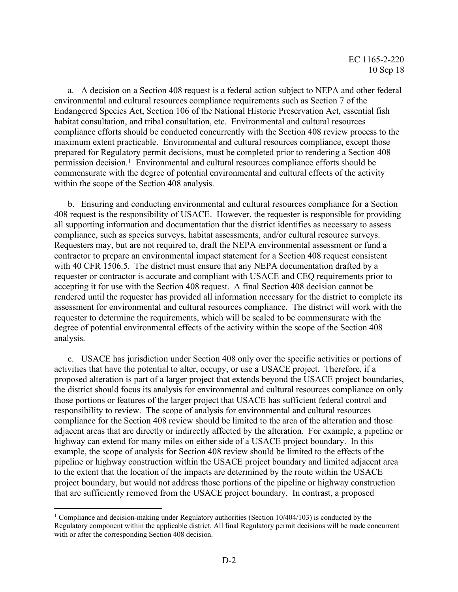a. A decision on a Section 408 request is a federal action subject to NEPA and other federal environmental and cultural resources compliance requirements such as Section 7 of the Endangered Species Act, Section 106 of the National Historic Preservation Act, essential fish habitat consultation, and tribal consultation, etc. Environmental and cultural resources compliance efforts should be conducted concurrently with the Section 408 review process to the maximum extent practicable. Environmental and cultural resources compliance, except those prepared for Regulatory permit decisions, must be completed prior to rendering a Section 408 permission decision.<sup>1</sup> Environmental and cultural resources compliance efforts should be commensurate with the degree of potential environmental and cultural effects of the activity within the scope of the Section 408 analysis.

b. Ensuring and conducting environmental and cultural resources compliance for a Section 408 request is the responsibility of USACE. However, the requester is responsible for providing all supporting information and documentation that the district identifies as necessary to assess compliance, such as species surveys, habitat assessments, and/or cultural resource surveys. Requesters may, but are not required to, draft the NEPA environmental assessment or fund a contractor to prepare an environmental impact statement for a Section 408 request consistent with 40 CFR 1506.5. The district must ensure that any NEPA documentation drafted by a requester or contractor is accurate and compliant with USACE and CEQ requirements prior to accepting it for use with the Section 408 request. A final Section 408 decision cannot be rendered until the requester has provided all information necessary for the district to complete its assessment for environmental and cultural resources compliance. The district will work with the requester to determine the requirements, which will be scaled to be commensurate with the degree of potential environmental effects of the activity within the scope of the Section 408 analysis.

c. USACE has jurisdiction under Section 408 only over the specific activities or portions of activities that have the potential to alter, occupy, or use a USACE project. Therefore, if a proposed alteration is part of a larger project that extends beyond the USACE project boundaries, the district should focus its analysis for environmental and cultural resources compliance on only those portions or features of the larger project that USACE has sufficient federal control and responsibility to review. The scope of analysis for environmental and cultural resources compliance for the Section 408 review should be limited to the area of the alteration and those adjacent areas that are directly or indirectly affected by the alteration. For example, a pipeline or highway can extend for many miles on either side of a USACE project boundary. In this example, the scope of analysis for Section 408 review should be limited to the effects of the pipeline or highway construction within the USACE project boundary and limited adjacent area to the extent that the location of the impacts are determined by the route within the USACE project boundary, but would not address those portions of the pipeline or highway construction that are sufficiently removed from the USACE project boundary. In contrast, a proposed

<sup>&</sup>lt;sup>1</sup> Compliance and decision-making under Regulatory authorities (Section  $10/404/103$ ) is conducted by the Regulatory component within the applicable district. All final Regulatory permit decisions will be made concurrent with or after the corresponding Section 408 decision.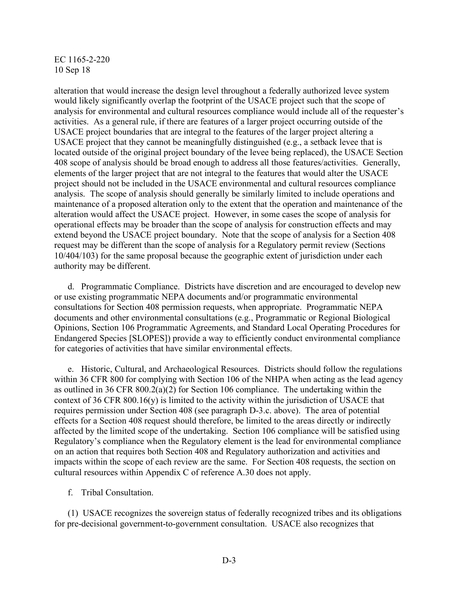alteration that would increase the design level throughout a federally authorized levee system would likely significantly overlap the footprint of the USACE project such that the scope of analysis for environmental and cultural resources compliance would include all of the requester's activities. As a general rule, if there are features of a larger project occurring outside of the USACE project boundaries that are integral to the features of the larger project altering a USACE project that they cannot be meaningfully distinguished (e.g., a setback levee that is located outside of the original project boundary of the levee being replaced), the USACE Section 408 scope of analysis should be broad enough to address all those features/activities. Generally, elements of the larger project that are not integral to the features that would alter the USACE project should not be included in the USACE environmental and cultural resources compliance analysis. The scope of analysis should generally be similarly limited to include operations and maintenance of a proposed alteration only to the extent that the operation and maintenance of the alteration would affect the USACE project. However, in some cases the scope of analysis for operational effects may be broader than the scope of analysis for construction effects and may extend beyond the USACE project boundary. Note that the scope of analysis for a Section 408 request may be different than the scope of analysis for a Regulatory permit review (Sections 10/404/103) for the same proposal because the geographic extent of jurisdiction under each authority may be different.

d. Programmatic Compliance. Districts have discretion and are encouraged to develop new or use existing programmatic NEPA documents and/or programmatic environmental consultations for Section 408 permission requests, when appropriate. Programmatic NEPA documents and other environmental consultations (e.g., Programmatic or Regional Biological Opinions, Section 106 Programmatic Agreements, and Standard Local Operating Procedures for Endangered Species [SLOPES]) provide a way to efficiently conduct environmental compliance for categories of activities that have similar environmental effects.

e. Historic, Cultural, and Archaeological Resources. Districts should follow the regulations within 36 CFR 800 for complying with Section 106 of the NHPA when acting as the lead agency as outlined in 36 CFR 800.2(a)(2) for Section 106 compliance. The undertaking within the context of 36 CFR 800.16(y) is limited to the activity within the jurisdiction of USACE that requires permission under Section 408 (see paragraph D-3.c. above). The area of potential effects for a Section 408 request should therefore, be limited to the areas directly or indirectly affected by the limited scope of the undertaking. Section 106 compliance will be satisfied using Regulatory's compliance when the Regulatory element is the lead for environmental compliance on an action that requires both Section 408 and Regulatory authorization and activities and impacts within the scope of each review are the same. For Section 408 requests, the section on cultural resources within Appendix C of reference A.30 does not apply.

f. Tribal Consultation.

(1) USACE recognizes the sovereign status of federally recognized tribes and its obligations for pre-decisional government-to-government consultation. USACE also recognizes that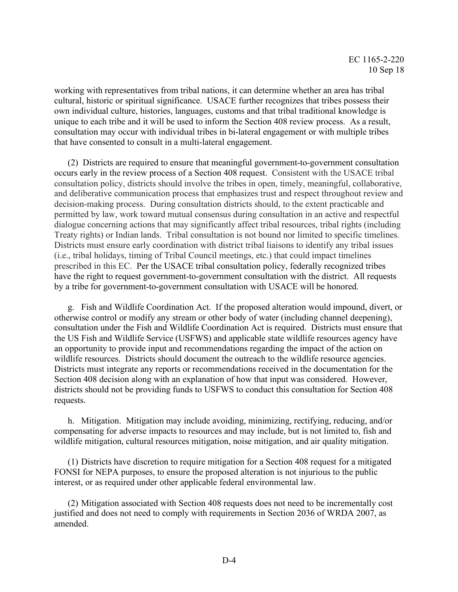working with representatives from tribal nations, it can determine whether an area has tribal cultural, historic or spiritual significance. USACE further recognizes that tribes possess their own individual culture, histories, languages, customs and that tribal traditional knowledge is unique to each tribe and it will be used to inform the Section 408 review process. As a result, consultation may occur with individual tribes in bi-lateral engagement or with multiple tribes that have consented to consult in a multi-lateral engagement.

(2) Districts are required to ensure that meaningful government-to-government consultation occurs early in the review process of a Section 408 request. Consistent with the USACE tribal consultation policy, districts should involve the tribes in open, timely, meaningful, collaborative, and deliberative communication process that emphasizes trust and respect throughout review and decision-making process. During consultation districts should, to the extent practicable and permitted by law, work toward mutual consensus during consultation in an active and respectful dialogue concerning actions that may significantly affect tribal resources, tribal rights (including Treaty rights) or Indian lands. Tribal consultation is not bound nor limited to specific timelines. Districts must ensure early coordination with district tribal liaisons to identify any tribal issues (i.e., tribal holidays, timing of Tribal Council meetings, etc.) that could impact timelines prescribed in this EC. Per the USACE tribal consultation policy, federally recognized tribes have the right to request government-to-government consultation with the district. All requests by a tribe for government-to-government consultation with USACE will be honored.

g. Fish and Wildlife Coordination Act. If the proposed alteration would impound, divert, or otherwise control or modify any stream or other body of water (including channel deepening), consultation under the Fish and Wildlife Coordination Act is required. Districts must ensure that the US Fish and Wildlife Service (USFWS) and applicable state wildlife resources agency have an opportunity to provide input and recommendations regarding the impact of the action on wildlife resources. Districts should document the outreach to the wildlife resource agencies. Districts must integrate any reports or recommendations received in the documentation for the Section 408 decision along with an explanation of how that input was considered. However, districts should not be providing funds to USFWS to conduct this consultation for Section 408 requests.

h. Mitigation. Mitigation may include avoiding, minimizing, rectifying, reducing, and/or compensating for adverse impacts to resources and may include, but is not limited to, fish and wildlife mitigation, cultural resources mitigation, noise mitigation, and air quality mitigation.

(1) Districts have discretion to require mitigation for a Section 408 request for a mitigated FONSI for NEPA purposes, to ensure the proposed alteration is not injurious to the public interest, or as required under other applicable federal environmental law.

(2) Mitigation associated with Section 408 requests does not need to be incrementally cost justified and does not need to comply with requirements in Section 2036 of WRDA 2007, as amended.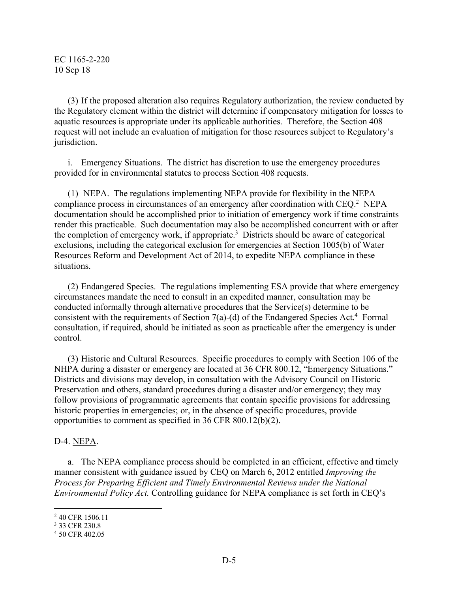(3) If the proposed alteration also requires Regulatory authorization, the review conducted by the Regulatory element within the district will determine if compensatory mitigation for losses to aquatic resources is appropriate under its applicable authorities. Therefore, the Section 408 request will not include an evaluation of mitigation for those resources subject to Regulatory's jurisdiction.

i. Emergency Situations. The district has discretion to use the emergency procedures provided for in environmental statutes to process Section 408 requests.

(1) NEPA. The regulations implementing NEPA provide for flexibility in the NEPA compliance process in circumstances of an emergency after coordination with CEQ.2 NEPA documentation should be accomplished prior to initiation of emergency work if time constraints render this practicable. Such documentation may also be accomplished concurrent with or after the completion of emergency work, if appropriate.3 Districts should be aware of categorical exclusions, including the categorical exclusion for emergencies at Section 1005(b) of Water Resources Reform and Development Act of 2014, to expedite NEPA compliance in these situations.

(2) Endangered Species. The regulations implementing ESA provide that where emergency circumstances mandate the need to consult in an expedited manner, consultation may be conducted informally through alternative procedures that the Service(s) determine to be consistent with the requirements of Section 7(a)-(d) of the Endangered Species Act. <sup>4</sup> Formal consultation, if required, should be initiated as soon as practicable after the emergency is under control.

(3) Historic and Cultural Resources. Specific procedures to comply with Section 106 of the NHPA during a disaster or emergency are located at 36 CFR 800.12, "Emergency Situations." Districts and divisions may develop, in consultation with the Advisory Council on Historic Preservation and others, standard procedures during a disaster and/or emergency; they may follow provisions of programmatic agreements that contain specific provisions for addressing historic properties in emergencies; or, in the absence of specific procedures, provide opportunities to comment as specified in 36 CFR 800.12(b)(2).

# D-4. NEPA.

a. The NEPA compliance process should be completed in an efficient, effective and timely manner consistent with guidance issued by CEQ on March 6, 2012 entitled *Improving the Process for Preparing Efficient and Timely Environmental Reviews under the National Environmental Policy Act.* Controlling guidance for NEPA compliance is set forth in CEQ's

 <sup>2</sup> 40 CFR 1506.11

<sup>3</sup> 33 CFR 230.8

<sup>4</sup> 50 CFR 402.05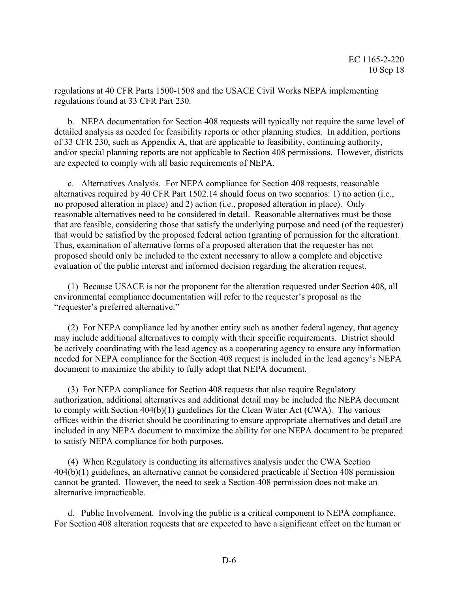regulations at 40 CFR Parts 1500-1508 and the USACE Civil Works NEPA implementing regulations found at 33 CFR Part 230.

b. NEPA documentation for Section 408 requests will typically not require the same level of detailed analysis as needed for feasibility reports or other planning studies. In addition, portions of 33 CFR 230, such as Appendix A, that are applicable to feasibility, continuing authority, and/or special planning reports are not applicable to Section 408 permissions. However, districts are expected to comply with all basic requirements of NEPA.

c. Alternatives Analysis. For NEPA compliance for Section 408 requests, reasonable alternatives required by 40 CFR Part 1502.14 should focus on two scenarios: 1) no action (i.e., no proposed alteration in place) and 2) action (i.e., proposed alteration in place). Only reasonable alternatives need to be considered in detail. Reasonable alternatives must be those that are feasible, considering those that satisfy the underlying purpose and need (of the requester) that would be satisfied by the proposed federal action (granting of permission for the alteration). Thus, examination of alternative forms of a proposed alteration that the requester has not proposed should only be included to the extent necessary to allow a complete and objective evaluation of the public interest and informed decision regarding the alteration request.

(1) Because USACE is not the proponent for the alteration requested under Section 408, all environmental compliance documentation will refer to the requester's proposal as the "requester's preferred alternative."

(2) For NEPA compliance led by another entity such as another federal agency, that agency may include additional alternatives to comply with their specific requirements. District should be actively coordinating with the lead agency as a cooperating agency to ensure any information needed for NEPA compliance for the Section 408 request is included in the lead agency's NEPA document to maximize the ability to fully adopt that NEPA document.

(3) For NEPA compliance for Section 408 requests that also require Regulatory authorization, additional alternatives and additional detail may be included the NEPA document to comply with Section 404(b)(1) guidelines for the Clean Water Act (CWA). The various offices within the district should be coordinating to ensure appropriate alternatives and detail are included in any NEPA document to maximize the ability for one NEPA document to be prepared to satisfy NEPA compliance for both purposes.

(4) When Regulatory is conducting its alternatives analysis under the CWA Section 404(b)(1) guidelines, an alternative cannot be considered practicable if Section 408 permission cannot be granted. However, the need to seek a Section 408 permission does not make an alternative impracticable.

d. Public Involvement. Involving the public is a critical component to NEPA compliance. For Section 408 alteration requests that are expected to have a significant effect on the human or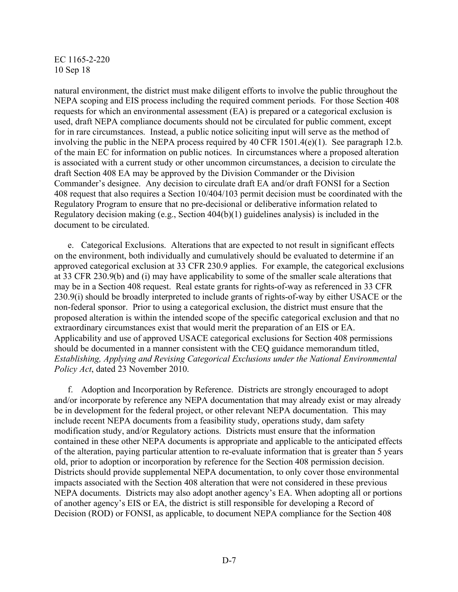natural environment, the district must make diligent efforts to involve the public throughout the NEPA scoping and EIS process including the required comment periods. For those Section 408 requests for which an environmental assessment (EA) is prepared or a categorical exclusion is used, draft NEPA compliance documents should not be circulated for public comment, except for in rare circumstances. Instead, a public notice soliciting input will serve as the method of involving the public in the NEPA process required by 40 CFR 1501.4(e)(1). See paragraph 12.b. of the main EC for information on public notices. In circumstances where a proposed alteration is associated with a current study or other uncommon circumstances, a decision to circulate the draft Section 408 EA may be approved by the Division Commander or the Division Commander's designee. Any decision to circulate draft EA and/or draft FONSI for a Section 408 request that also requires a Section 10/404/103 permit decision must be coordinated with the Regulatory Program to ensure that no pre-decisional or deliberative information related to Regulatory decision making (e.g., Section 404(b)(1) guidelines analysis) is included in the document to be circulated.

e. Categorical Exclusions. Alterations that are expected to not result in significant effects on the environment, both individually and cumulatively should be evaluated to determine if an approved categorical exclusion at 33 CFR 230.9 applies. For example, the categorical exclusions at 33 CFR 230.9(b) and (i) may have applicability to some of the smaller scale alterations that may be in a Section 408 request. Real estate grants for rights-of-way as referenced in 33 CFR 230.9(i) should be broadly interpreted to include grants of rights-of-way by either USACE or the non-federal sponsor. Prior to using a categorical exclusion, the district must ensure that the proposed alteration is within the intended scope of the specific categorical exclusion and that no extraordinary circumstances exist that would merit the preparation of an EIS or EA. Applicability and use of approved USACE categorical exclusions for Section 408 permissions should be documented in a manner consistent with the CEQ guidance memorandum titled, *Establishing, Applying and Revising Categorical Exclusions under the National Environmental Policy Act*, dated 23 November 2010.

f. Adoption and Incorporation by Reference. Districts are strongly encouraged to adopt and/or incorporate by reference any NEPA documentation that may already exist or may already be in development for the federal project, or other relevant NEPA documentation. This may include recent NEPA documents from a feasibility study, operations study, dam safety modification study, and/or Regulatory actions. Districts must ensure that the information contained in these other NEPA documents is appropriate and applicable to the anticipated effects of the alteration, paying particular attention to re-evaluate information that is greater than 5 years old, prior to adoption or incorporation by reference for the Section 408 permission decision. Districts should provide supplemental NEPA documentation, to only cover those environmental impacts associated with the Section 408 alteration that were not considered in these previous NEPA documents. Districts may also adopt another agency's EA. When adopting all or portions of another agency's EIS or EA, the district is still responsible for developing a Record of Decision (ROD) or FONSI, as applicable, to document NEPA compliance for the Section 408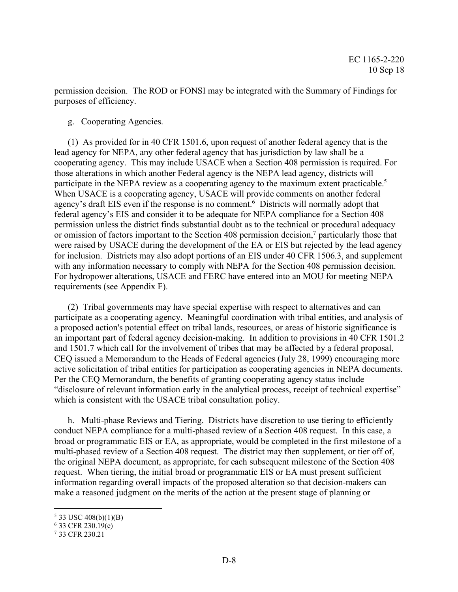permission decision. The ROD or FONSI may be integrated with the Summary of Findings for purposes of efficiency.

g. Cooperating Agencies.

(1) As provided for in 40 CFR 1501.6, upon request of another federal agency that is the lead agency for NEPA, any other federal agency that has jurisdiction by law shall be a cooperating agency. This may include USACE when a Section 408 permission is required. For those alterations in which another Federal agency is the NEPA lead agency, districts will participate in the NEPA review as a cooperating agency to the maximum extent practicable.<sup>5</sup> When USACE is a cooperating agency, USACE will provide comments on another federal agency's draft EIS even if the response is no comment.<sup>6</sup> Districts will normally adopt that federal agency's EIS and consider it to be adequate for NEPA compliance for a Section 408 permission unless the district finds substantial doubt as to the technical or procedural adequacy or omission of factors important to the Section 408 permission decision, <sup>7</sup> particularly those that were raised by USACE during the development of the EA or EIS but rejected by the lead agency for inclusion. Districts may also adopt portions of an EIS under 40 CFR 1506.3, and supplement with any information necessary to comply with NEPA for the Section 408 permission decision. For hydropower alterations, USACE and FERC have entered into an MOU for meeting NEPA requirements (see Appendix F).

(2) Tribal governments may have special expertise with respect to alternatives and can participate as a cooperating agency. Meaningful coordination with tribal entities, and analysis of a proposed action's potential effect on tribal lands, resources, or areas of historic significance is an important part of federal agency decision-making. In addition to provisions in 40 CFR 1501.2 and 1501.7 which call for the involvement of tribes that may be affected by a federal proposal, CEQ issued a Memorandum to the Heads of Federal agencies (July 28, 1999) encouraging more active solicitation of tribal entities for participation as cooperating agencies in NEPA documents. Per the CEQ Memorandum, the benefits of granting cooperating agency status include "disclosure of relevant information early in the analytical process, receipt of technical expertise" which is consistent with the USACE tribal consultation policy.

h. Multi-phase Reviews and Tiering. Districts have discretion to use tiering to efficiently conduct NEPA compliance for a multi-phased review of a Section 408 request. In this case, a broad or programmatic EIS or EA, as appropriate, would be completed in the first milestone of a multi-phased review of a Section 408 request. The district may then supplement, or tier off of, the original NEPA document, as appropriate, for each subsequent milestone of the Section 408 request. When tiering, the initial broad or programmatic EIS or EA must present sufficient information regarding overall impacts of the proposed alteration so that decision-makers can make a reasoned judgment on the merits of the action at the present stage of planning or

 $5$  33 USC 408(b)(1)(B)

 $6$  33 CFR 230.19(e)

<sup>7</sup> 33 CFR 230.21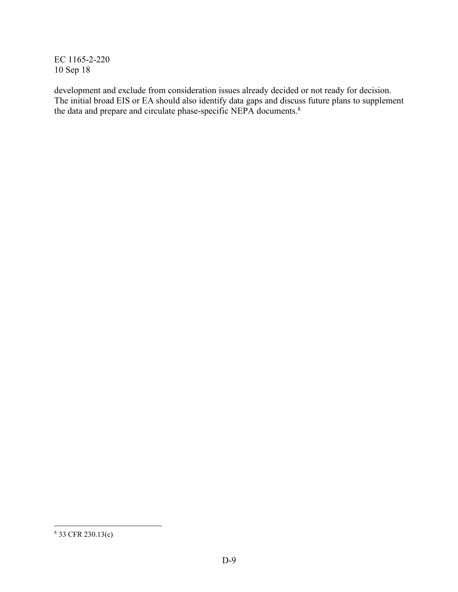development and exclude from consideration issues already decided or not ready for decision. The initial broad EIS or EA should also identify data gaps and discuss future plans to supplement the data and prepare and circulate phase-specific NEPA documents. 8

 <sup>8</sup> 33 CFR 230.13(c)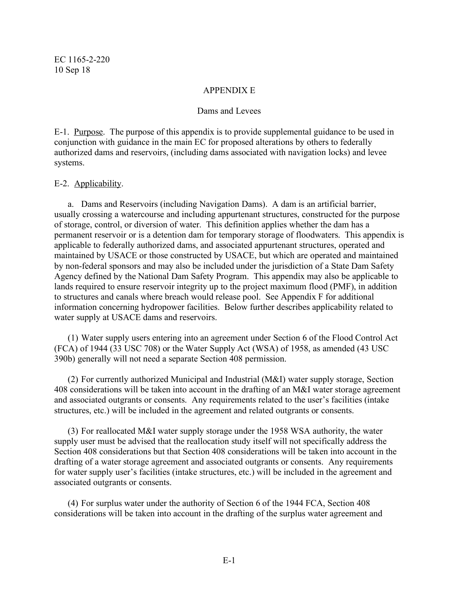### APPENDIX E

#### Dams and Levees

E-1. Purpose. The purpose of this appendix is to provide supplemental guidance to be used in conjunction with guidance in the main EC for proposed alterations by others to federally authorized dams and reservoirs, (including dams associated with navigation locks) and levee systems.

### E-2. Applicability.

a. Dams and Reservoirs (including Navigation Dams). A dam is an artificial barrier, usually crossing a watercourse and including appurtenant structures, constructed for the purpose of storage, control, or diversion of water. This definition applies whether the dam has a permanent reservoir or is a detention dam for temporary storage of floodwaters. This appendix is applicable to federally authorized dams, and associated appurtenant structures, operated and maintained by USACE or those constructed by USACE, but which are operated and maintained by non-federal sponsors and may also be included under the jurisdiction of a State Dam Safety Agency defined by the National Dam Safety Program. This appendix may also be applicable to lands required to ensure reservoir integrity up to the project maximum flood (PMF), in addition to structures and canals where breach would release pool. See Appendix F for additional information concerning hydropower facilities. Below further describes applicability related to water supply at USACE dams and reservoirs.

(1) Water supply users entering into an agreement under Section 6 of the Flood Control Act (FCA) of 1944 (33 USC 708) or the Water Supply Act (WSA) of 1958, as amended (43 USC 390b) generally will not need a separate Section 408 permission.

(2) For currently authorized Municipal and Industrial (M&I) water supply storage, Section 408 considerations will be taken into account in the drafting of an M&I water storage agreement and associated outgrants or consents. Any requirements related to the user's facilities (intake structures, etc.) will be included in the agreement and related outgrants or consents.

(3) For reallocated M&I water supply storage under the 1958 WSA authority, the water supply user must be advised that the reallocation study itself will not specifically address the Section 408 considerations but that Section 408 considerations will be taken into account in the drafting of a water storage agreement and associated outgrants or consents. Any requirements for water supply user's facilities (intake structures, etc.) will be included in the agreement and associated outgrants or consents.

(4) For surplus water under the authority of Section 6 of the 1944 FCA, Section 408 considerations will be taken into account in the drafting of the surplus water agreement and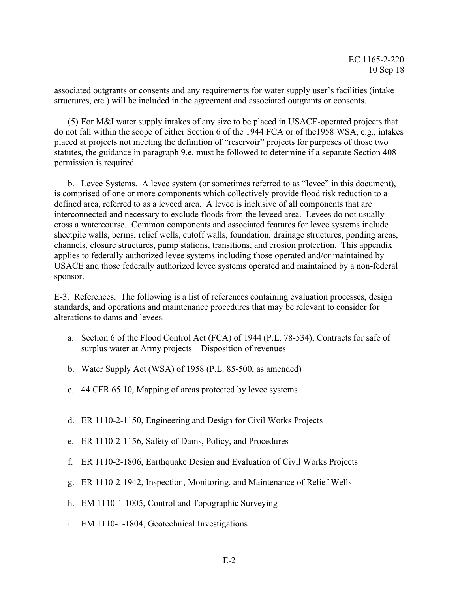associated outgrants or consents and any requirements for water supply user's facilities (intake structures, etc.) will be included in the agreement and associated outgrants or consents.

(5) For M&I water supply intakes of any size to be placed in USACE-operated projects that do not fall within the scope of either Section 6 of the 1944 FCA or of the1958 WSA, e.g., intakes placed at projects not meeting the definition of "reservoir" projects for purposes of those two statutes, the guidance in paragraph 9.e. must be followed to determine if a separate Section 408 permission is required.

b. Levee Systems. A levee system (or sometimes referred to as "levee" in this document), is comprised of one or more components which collectively provide flood risk reduction to a defined area, referred to as a leveed area. A levee is inclusive of all components that are interconnected and necessary to exclude floods from the leveed area. Levees do not usually cross a watercourse. Common components and associated features for levee systems include sheetpile walls, berms, relief wells, cutoff walls, foundation, drainage structures, ponding areas, channels, closure structures, pump stations, transitions, and erosion protection. This appendix applies to federally authorized levee systems including those operated and/or maintained by USACE and those federally authorized levee systems operated and maintained by a non-federal sponsor.

E-3. References. The following is a list of references containing evaluation processes, design standards, and operations and maintenance procedures that may be relevant to consider for alterations to dams and levees.

- a. Section 6 of the Flood Control Act (FCA) of 1944 (P.L. 78-534), Contracts for safe of surplus water at Army projects – Disposition of revenues
- b. Water Supply Act (WSA) of 1958 (P.L. 85-500, as amended)
- c. 44 CFR 65.10, Mapping of areas protected by levee systems
- d. ER 1110-2-1150, Engineering and Design for Civil Works Projects
- e. ER 1110-2-1156, Safety of Dams, Policy, and Procedures
- f. ER 1110-2-1806, Earthquake Design and Evaluation of Civil Works Projects
- g. ER 1110-2-1942, Inspection, Monitoring, and Maintenance of Relief Wells
- h. EM 1110-1-1005, Control and Topographic Surveying
- i. EM 1110-1-1804, Geotechnical Investigations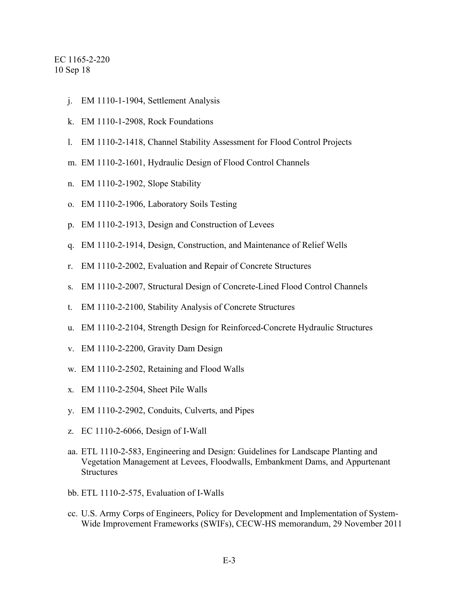- j. EM 1110-1-1904, Settlement Analysis
- k. EM 1110-1-2908, Rock Foundations
- l. EM 1110-2-1418, Channel Stability Assessment for Flood Control Projects
- m. EM 1110-2-1601, Hydraulic Design of Flood Control Channels
- n. EM 1110-2-1902, Slope Stability
- o. EM 1110-2-1906, Laboratory Soils Testing
- p. EM 1110-2-1913, Design and Construction of Levees
- q. EM 1110-2-1914, Design, Construction, and Maintenance of Relief Wells
- r. EM 1110-2-2002, Evaluation and Repair of Concrete Structures
- s. EM 1110-2-2007, Structural Design of Concrete-Lined Flood Control Channels
- t. EM 1110-2-2100, Stability Analysis of Concrete Structures
- u. EM 1110-2-2104, Strength Design for Reinforced-Concrete Hydraulic Structures
- v. EM 1110-2-2200, Gravity Dam Design
- w. EM 1110-2-2502, Retaining and Flood Walls
- x. EM 1110-2-2504, Sheet Pile Walls
- y. EM 1110-2-2902, Conduits, Culverts, and Pipes
- z. EC 1110-2-6066, Design of I-Wall
- aa. ETL 1110-2-583, Engineering and Design: Guidelines for Landscape Planting and Vegetation Management at Levees, Floodwalls, Embankment Dams, and Appurtenant **Structures**
- bb. ETL 1110-2-575, Evaluation of I-Walls
- cc. U.S. Army Corps of Engineers, Policy for Development and Implementation of System-Wide Improvement Frameworks (SWIFs), CECW-HS memorandum, 29 November 2011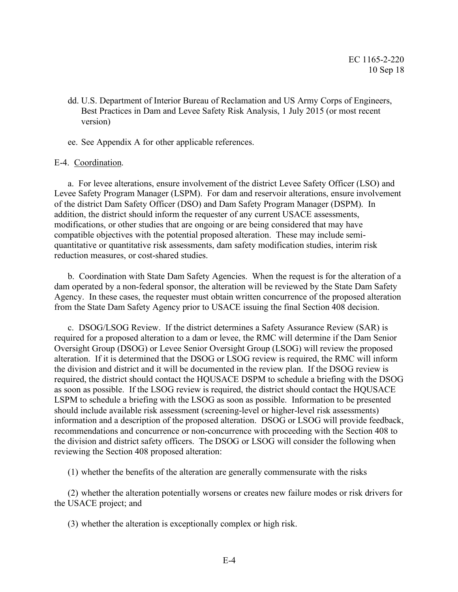- dd. U.S. Department of Interior Bureau of Reclamation and US Army Corps of Engineers, Best Practices in Dam and Levee Safety Risk Analysis, 1 July 2015 (or most recent version)
- ee. See Appendix A for other applicable references.

### E-4. Coordination.

a. For levee alterations, ensure involvement of the district Levee Safety Officer (LSO) and Levee Safety Program Manager (LSPM). For dam and reservoir alterations, ensure involvement of the district Dam Safety Officer (DSO) and Dam Safety Program Manager (DSPM). In addition, the district should inform the requester of any current USACE assessments, modifications, or other studies that are ongoing or are being considered that may have compatible objectives with the potential proposed alteration. These may include semiquantitative or quantitative risk assessments, dam safety modification studies, interim risk reduction measures, or cost-shared studies.

b. Coordination with State Dam Safety Agencies. When the request is for the alteration of a dam operated by a non-federal sponsor, the alteration will be reviewed by the State Dam Safety Agency. In these cases, the requester must obtain written concurrence of the proposed alteration from the State Dam Safety Agency prior to USACE issuing the final Section 408 decision.

c. DSOG/LSOG Review. If the district determines a Safety Assurance Review (SAR) is required for a proposed alteration to a dam or levee, the RMC will determine if the Dam Senior Oversight Group (DSOG) or Levee Senior Oversight Group (LSOG) will review the proposed alteration. If it is determined that the DSOG or LSOG review is required, the RMC will inform the division and district and it will be documented in the review plan. If the DSOG review is required, the district should contact the HQUSACE DSPM to schedule a briefing with the DSOG as soon as possible. If the LSOG review is required, the district should contact the HQUSACE LSPM to schedule a briefing with the LSOG as soon as possible. Information to be presented should include available risk assessment (screening-level or higher-level risk assessments) information and a description of the proposed alteration. DSOG or LSOG will provide feedback, recommendations and concurrence or non-concurrence with proceeding with the Section 408 to the division and district safety officers. The DSOG or LSOG will consider the following when reviewing the Section 408 proposed alteration:

(1) whether the benefits of the alteration are generally commensurate with the risks

(2) whether the alteration potentially worsens or creates new failure modes or risk drivers for the USACE project; and

(3) whether the alteration is exceptionally complex or high risk.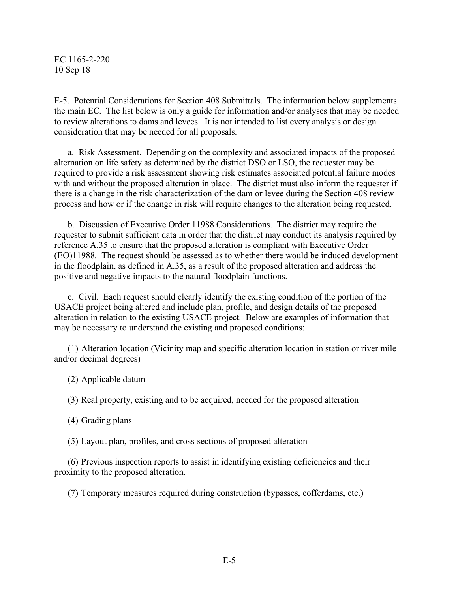E-5. Potential Considerations for Section 408 Submittals. The information below supplements the main EC. The list below is only a guide for information and/or analyses that may be needed to review alterations to dams and levees. It is not intended to list every analysis or design consideration that may be needed for all proposals.

a. Risk Assessment. Depending on the complexity and associated impacts of the proposed alternation on life safety as determined by the district DSO or LSO, the requester may be required to provide a risk assessment showing risk estimates associated potential failure modes with and without the proposed alteration in place. The district must also inform the requester if there is a change in the risk characterization of the dam or levee during the Section 408 review process and how or if the change in risk will require changes to the alteration being requested.

b. Discussion of Executive Order 11988 Considerations. The district may require the requester to submit sufficient data in order that the district may conduct its analysis required by reference A.35 to ensure that the proposed alteration is compliant with Executive Order (EO)11988. The request should be assessed as to whether there would be induced development in the floodplain, as defined in A.35, as a result of the proposed alteration and address the positive and negative impacts to the natural floodplain functions.

c. Civil. Each request should clearly identify the existing condition of the portion of the USACE project being altered and include plan, profile, and design details of the proposed alteration in relation to the existing USACE project. Below are examples of information that may be necessary to understand the existing and proposed conditions:

(1) Alteration location (Vicinity map and specific alteration location in station or river mile and/or decimal degrees)

(2) Applicable datum

(3) Real property, existing and to be acquired, needed for the proposed alteration

(4) Grading plans

(5) Layout plan, profiles, and cross-sections of proposed alteration

(6) Previous inspection reports to assist in identifying existing deficiencies and their proximity to the proposed alteration.

(7) Temporary measures required during construction (bypasses, cofferdams, etc.)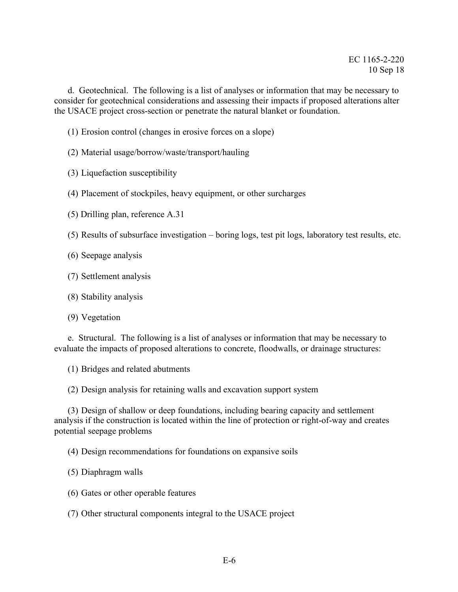d. Geotechnical. The following is a list of analyses or information that may be necessary to consider for geotechnical considerations and assessing their impacts if proposed alterations alter the USACE project cross-section or penetrate the natural blanket or foundation.

- (1) Erosion control (changes in erosive forces on a slope)
- (2) Material usage/borrow/waste/transport/hauling
- (3) Liquefaction susceptibility
- (4) Placement of stockpiles, heavy equipment, or other surcharges
- (5) Drilling plan, reference A.31
- (5) Results of subsurface investigation boring logs, test pit logs, laboratory test results, etc.
- (6) Seepage analysis
- (7) Settlement analysis
- (8) Stability analysis
- (9) Vegetation

e. Structural. The following is a list of analyses or information that may be necessary to evaluate the impacts of proposed alterations to concrete, floodwalls, or drainage structures:

(1) Bridges and related abutments

(2) Design analysis for retaining walls and excavation support system

(3) Design of shallow or deep foundations, including bearing capacity and settlement analysis if the construction is located within the line of protection or right-of-way and creates potential seepage problems

(4) Design recommendations for foundations on expansive soils

- (5) Diaphragm walls
- (6) Gates or other operable features
- (7) Other structural components integral to the USACE project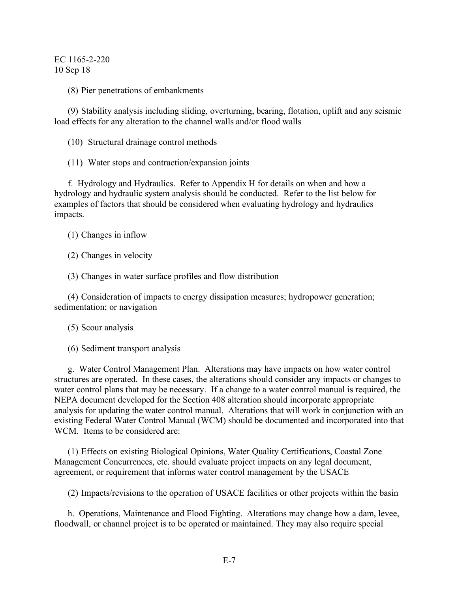(8) Pier penetrations of embankments

(9) Stability analysis including sliding, overturning, bearing, flotation, uplift and any seismic load effects for any alteration to the channel walls and/or flood walls

(10) Structural drainage control methods

(11) Water stops and contraction/expansion joints

f. Hydrology and Hydraulics. Refer to Appendix H for details on when and how a hydrology and hydraulic system analysis should be conducted. Refer to the list below for examples of factors that should be considered when evaluating hydrology and hydraulics impacts.

(1) Changes in inflow

(2) Changes in velocity

(3) Changes in water surface profiles and flow distribution

(4) Consideration of impacts to energy dissipation measures; hydropower generation; sedimentation; or navigation

(5) Scour analysis

(6) Sediment transport analysis

g. Water Control Management Plan. Alterations may have impacts on how water control structures are operated. In these cases, the alterations should consider any impacts or changes to water control plans that may be necessary. If a change to a water control manual is required, the NEPA document developed for the Section 408 alteration should incorporate appropriate analysis for updating the water control manual. Alterations that will work in conjunction with an existing Federal Water Control Manual (WCM) should be documented and incorporated into that WCM. Items to be considered are:

(1) Effects on existing Biological Opinions, Water Quality Certifications, Coastal Zone Management Concurrences, etc. should evaluate project impacts on any legal document, agreement, or requirement that informs water control management by the USACE

(2) Impacts/revisions to the operation of USACE facilities or other projects within the basin

h. Operations, Maintenance and Flood Fighting. Alterations may change how a dam, levee, floodwall, or channel project is to be operated or maintained. They may also require special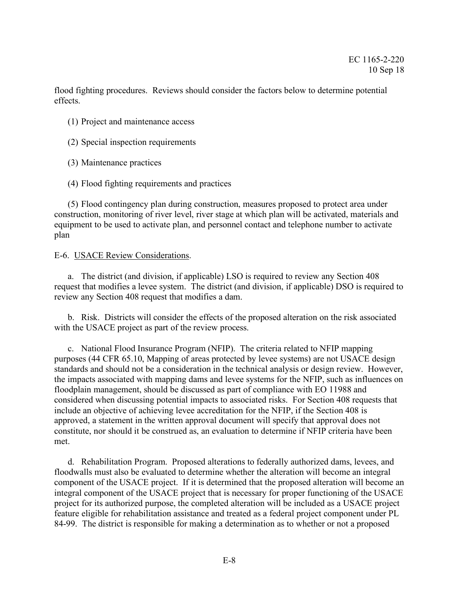flood fighting procedures. Reviews should consider the factors below to determine potential effects.

- (1) Project and maintenance access
- (2) Special inspection requirements
- (3) Maintenance practices
- (4) Flood fighting requirements and practices

(5) Flood contingency plan during construction, measures proposed to protect area under construction, monitoring of river level, river stage at which plan will be activated, materials and equipment to be used to activate plan, and personnel contact and telephone number to activate plan

### E-6. USACE Review Considerations.

a. The district (and division, if applicable) LSO is required to review any Section 408 request that modifies a levee system. The district (and division, if applicable) DSO is required to review any Section 408 request that modifies a dam.

b. Risk. Districts will consider the effects of the proposed alteration on the risk associated with the USACE project as part of the review process.

c. National Flood Insurance Program (NFIP). The criteria related to NFIP mapping purposes (44 CFR 65.10, Mapping of areas protected by levee systems) are not USACE design standards and should not be a consideration in the technical analysis or design review. However, the impacts associated with mapping dams and levee systems for the NFIP, such as influences on floodplain management, should be discussed as part of compliance with EO 11988 and considered when discussing potential impacts to associated risks. For Section 408 requests that include an objective of achieving levee accreditation for the NFIP, if the Section 408 is approved, a statement in the written approval document will specify that approval does not constitute, nor should it be construed as, an evaluation to determine if NFIP criteria have been met.

d. Rehabilitation Program. Proposed alterations to federally authorized dams, levees, and floodwalls must also be evaluated to determine whether the alteration will become an integral component of the USACE project. If it is determined that the proposed alteration will become an integral component of the USACE project that is necessary for proper functioning of the USACE project for its authorized purpose, the completed alteration will be included as a USACE project feature eligible for rehabilitation assistance and treated as a federal project component under PL 84-99. The district is responsible for making a determination as to whether or not a proposed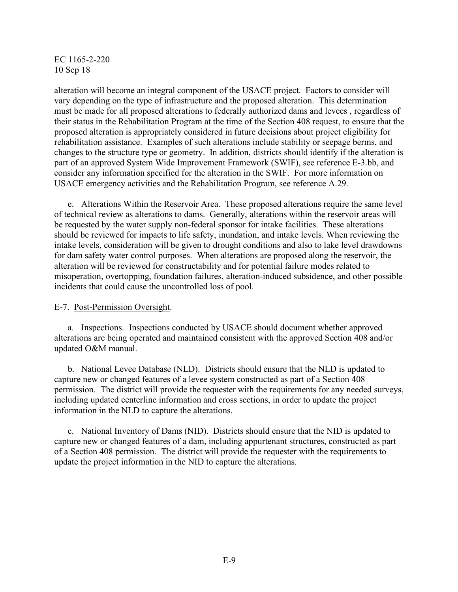alteration will become an integral component of the USACE project. Factors to consider will vary depending on the type of infrastructure and the proposed alteration. This determination must be made for all proposed alterations to federally authorized dams and levees , regardless of their status in the Rehabilitation Program at the time of the Section 408 request, to ensure that the proposed alteration is appropriately considered in future decisions about project eligibility for rehabilitation assistance. Examples of such alterations include stability or seepage berms, and changes to the structure type or geometry. In addition, districts should identify if the alteration is part of an approved System Wide Improvement Framework (SWIF), see reference E-3.bb, and consider any information specified for the alteration in the SWIF. For more information on USACE emergency activities and the Rehabilitation Program, see reference A.29.

e. Alterations Within the Reservoir Area. These proposed alterations require the same level of technical review as alterations to dams. Generally, alterations within the reservoir areas will be requested by the water supply non-federal sponsor for intake facilities. These alterations should be reviewed for impacts to life safety, inundation, and intake levels. When reviewing the intake levels, consideration will be given to drought conditions and also to lake level drawdowns for dam safety water control purposes. When alterations are proposed along the reservoir, the alteration will be reviewed for constructability and for potential failure modes related to misoperation, overtopping, foundation failures, alteration-induced subsidence, and other possible incidents that could cause the uncontrolled loss of pool.

### E-7. Post-Permission Oversight.

a. Inspections. Inspections conducted by USACE should document whether approved alterations are being operated and maintained consistent with the approved Section 408 and/or updated O&M manual.

b. National Levee Database (NLD). Districts should ensure that the NLD is updated to capture new or changed features of a levee system constructed as part of a Section 408 permission. The district will provide the requester with the requirements for any needed surveys, including updated centerline information and cross sections, in order to update the project information in the NLD to capture the alterations.

c. National Inventory of Dams (NID). Districts should ensure that the NID is updated to capture new or changed features of a dam, including appurtenant structures, constructed as part of a Section 408 permission. The district will provide the requester with the requirements to update the project information in the NID to capture the alterations.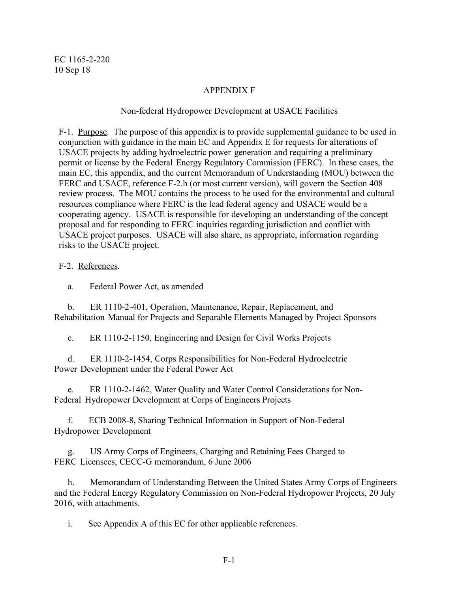# APPENDIX F

# Non-federal Hydropower Development at USACE Facilities

F-1. Purpose. The purpose of this appendix is to provide supplemental guidance to be used in conjunction with guidance in the main EC and Appendix E for requests for alterations of USACE projects by adding hydroelectric power generation and requiring a preliminary permit or license by the Federal Energy Regulatory Commission (FERC). In these cases, the main EC, this appendix, and the current Memorandum of Understanding (MOU) between the FERC and USACE, reference F-2.h (or most current version), will govern the Section 408 review process. The MOU contains the process to be used for the environmental and cultural resources compliance where FERC is the lead federal agency and USACE would be a cooperating agency. USACE is responsible for developing an understanding of the concept proposal and for responding to FERC inquiries regarding jurisdiction and conflict with USACE project purposes. USACE will also share, as appropriate, information regarding risks to the USACE project.

## F-2. References.

a. Federal Power Act, as amended

b. ER 1110-2-401, Operation, Maintenance, Repair, Replacement, and Rehabilitation Manual for Projects and Separable Elements Managed by Project Sponsors

c. ER 1110-2-1150, Engineering and Design for Civil Works Projects

d. ER 1110-2-1454, Corps Responsibilities for Non-Federal Hydroelectric Power Development under the Federal Power Act

e. ER 1110-2-1462, Water Quality and Water Control Considerations for Non-Federal Hydropower Development at Corps of Engineers Projects

f. ECB 2008-8, Sharing Technical Information in Support of Non-Federal Hydropower Development

g. US Army Corps of Engineers, Charging and Retaining Fees Charged to FERC Licensees, CECC-G memorandum, 6 June 2006

h. Memorandum of Understanding Between the United States Army Corps of Engineers and the Federal Energy Regulatory Commission on Non-Federal Hydropower Projects, 20 July 2016, with attachments.

i. See Appendix A of this EC for other applicable references.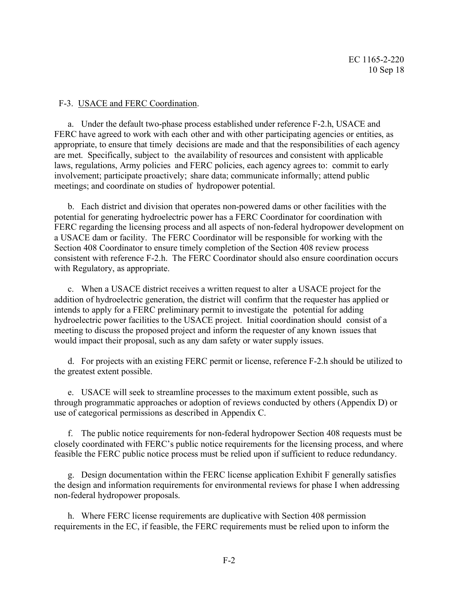### F-3. USACE and FERC Coordination.

a. Under the default two-phase process established under reference F-2.h, USACE and FERC have agreed to work with each other and with other participating agencies or entities, as appropriate, to ensure that timely decisions are made and that the responsibilities of each agency are met. Specifically, subject to the availability of resources and consistent with applicable laws, regulations, Army policies and FERC policies, each agency agrees to: commit to early involvement; participate proactively; share data; communicate informally; attend public meetings; and coordinate on studies of hydropower potential.

b. Each district and division that operates non-powered dams or other facilities with the potential for generating hydroelectric power has a FERC Coordinator for coordination with FERC regarding the licensing process and all aspects of non-federal hydropower development on a USACE dam or facility. The FERC Coordinator will be responsible for working with the Section 408 Coordinator to ensure timely completion of the Section 408 review process consistent with reference F-2.h. The FERC Coordinator should also ensure coordination occurs with Regulatory, as appropriate.

c. When a USACE district receives a written request to alter a USACE project for the addition of hydroelectric generation, the district will confirm that the requester has applied or intends to apply for a FERC preliminary permit to investigate the potential for adding hydroelectric power facilities to the USACE project. Initial coordination should consist of a meeting to discuss the proposed project and inform the requester of any known issues that would impact their proposal, such as any dam safety or water supply issues.

d. For projects with an existing FERC permit or license, reference F-2.h should be utilized to the greatest extent possible.

e. USACE will seek to streamline processes to the maximum extent possible, such as through programmatic approaches or adoption of reviews conducted by others (Appendix D) or use of categorical permissions as described in Appendix C.

f. The public notice requirements for non-federal hydropower Section 408 requests must be closely coordinated with FERC's public notice requirements for the licensing process, and where feasible the FERC public notice process must be relied upon if sufficient to reduce redundancy.

g. Design documentation within the FERC license application Exhibit F generally satisfies the design and information requirements for environmental reviews for phase I when addressing non-federal hydropower proposals.

h. Where FERC license requirements are duplicative with Section 408 permission requirements in the EC, if feasible, the FERC requirements must be relied upon to inform the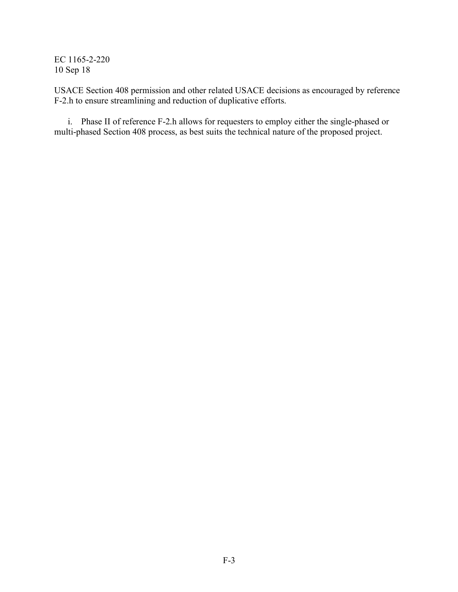USACE Section 408 permission and other related USACE decisions as encouraged by reference F-2.h to ensure streamlining and reduction of duplicative efforts.

i. Phase II of reference F-2.h allows for requesters to employ either the single-phased or multi-phased Section 408 process, as best suits the technical nature of the proposed project.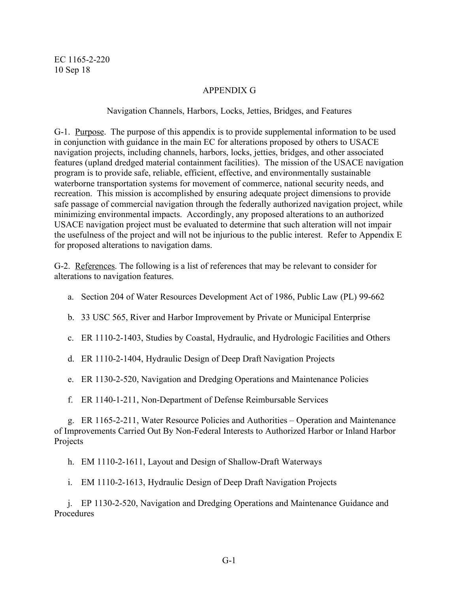# APPENDIX G

# Navigation Channels, Harbors, Locks, Jetties, Bridges, and Features

G-1. Purpose. The purpose of this appendix is to provide supplemental information to be used in conjunction with guidance in the main EC for alterations proposed by others to USACE navigation projects, including channels, harbors, locks, jetties, bridges, and other associated features (upland dredged material containment facilities). The mission of the USACE navigation program is to provide safe, reliable, efficient, effective, and environmentally sustainable waterborne transportation systems for movement of commerce, national security needs, and recreation. This mission is accomplished by ensuring adequate project dimensions to provide safe passage of commercial navigation through the federally authorized navigation project, while minimizing environmental impacts. Accordingly, any proposed alterations to an authorized USACE navigation project must be evaluated to determine that such alteration will not impair the usefulness of the project and will not be injurious to the public interest. Refer to Appendix E for proposed alterations to navigation dams.

G-2. References. The following is a list of references that may be relevant to consider for alterations to navigation features.

- a. Section 204 of Water Resources Development Act of 1986, Public Law (PL) 99-662
- b. 33 USC 565, River and Harbor Improvement by Private or Municipal Enterprise
- c. ER 1110-2-1403, Studies by Coastal, Hydraulic, and Hydrologic Facilities and Others
- d. ER 1110-2-1404, Hydraulic Design of Deep Draft Navigation Projects
- e. ER 1130-2-520, Navigation and Dredging Operations and Maintenance Policies
- f. ER 1140-1-211, Non-Department of Defense Reimbursable Services

g. ER 1165-2-211, Water Resource Policies and Authorities – Operation and Maintenance of Improvements Carried Out By Non-Federal Interests to Authorized Harbor or Inland Harbor Projects

h. EM 1110-2-1611, Layout and Design of Shallow-Draft Waterways

i. EM 1110-2-1613, Hydraulic Design of Deep Draft Navigation Projects

j. EP 1130-2-520, Navigation and Dredging Operations and Maintenance Guidance and Procedures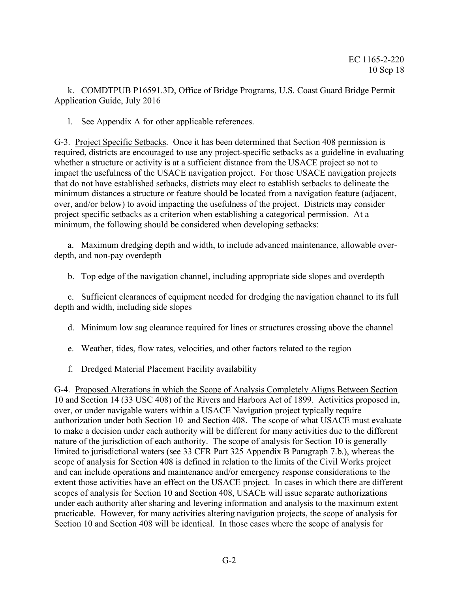k. COMDTPUB P16591.3D, Office of Bridge Programs, U.S. Coast Guard Bridge Permit Application Guide, July 2016

l. See Appendix A for other applicable references.

G-3. Project Specific Setbacks. Once it has been determined that Section 408 permission is required, districts are encouraged to use any project-specific setbacks as a guideline in evaluating whether a structure or activity is at a sufficient distance from the USACE project so not to impact the usefulness of the USACE navigation project. For those USACE navigation projects that do not have established setbacks, districts may elect to establish setbacks to delineate the minimum distances a structure or feature should be located from a navigation feature (adjacent, over, and/or below) to avoid impacting the usefulness of the project. Districts may consider project specific setbacks as a criterion when establishing a categorical permission. At a minimum, the following should be considered when developing setbacks:

a. Maximum dredging depth and width, to include advanced maintenance, allowable overdepth, and non-pay overdepth

b. Top edge of the navigation channel, including appropriate side slopes and overdepth

c. Sufficient clearances of equipment needed for dredging the navigation channel to its full depth and width, including side slopes

- d. Minimum low sag clearance required for lines or structures crossing above the channel
- e. Weather, tides, flow rates, velocities, and other factors related to the region
- f. Dredged Material Placement Facility availability

G-4. Proposed Alterations in which the Scope of Analysis Completely Aligns Between Section 10 and Section 14 (33 USC 408) of the Rivers and Harbors Act of 1899. Activities proposed in, over, or under navigable waters within a USACE Navigation project typically require authorization under both Section 10 and Section 408. The scope of what USACE must evaluate to make a decision under each authority will be different for many activities due to the different nature of the jurisdiction of each authority. The scope of analysis for Section 10 is generally limited to jurisdictional waters (see 33 CFR Part 325 Appendix B Paragraph 7.b.), whereas the scope of analysis for Section 408 is defined in relation to the limits of the Civil Works project and can include operations and maintenance and/or emergency response considerations to the extent those activities have an effect on the USACE project. In cases in which there are different scopes of analysis for Section 10 and Section 408, USACE will issue separate authorizations under each authority after sharing and levering information and analysis to the maximum extent practicable. However, for many activities altering navigation projects, the scope of analysis for Section 10 and Section 408 will be identical. In those cases where the scope of analysis for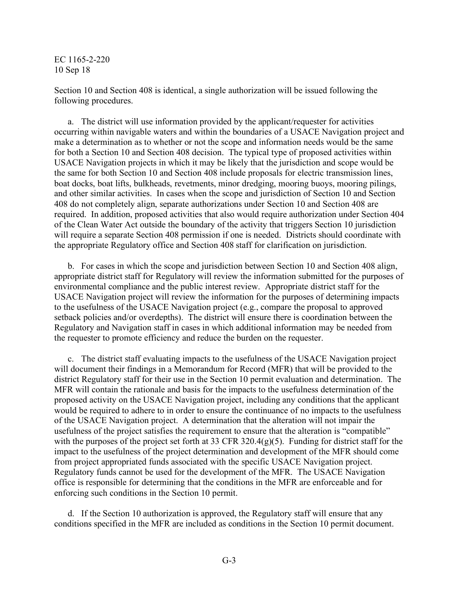Section 10 and Section 408 is identical, a single authorization will be issued following the following procedures.

a. The district will use information provided by the applicant/requester for activities occurring within navigable waters and within the boundaries of a USACE Navigation project and make a determination as to whether or not the scope and information needs would be the same for both a Section 10 and Section 408 decision. The typical type of proposed activities within USACE Navigation projects in which it may be likely that the jurisdiction and scope would be the same for both Section 10 and Section 408 include proposals for electric transmission lines, boat docks, boat lifts, bulkheads, revetments, minor dredging, mooring buoys, mooring pilings, and other similar activities. In cases when the scope and jurisdiction of Section 10 and Section 408 do not completely align, separate authorizations under Section 10 and Section 408 are required. In addition, proposed activities that also would require authorization under Section 404 of the Clean Water Act outside the boundary of the activity that triggers Section 10 jurisdiction will require a separate Section 408 permission if one is needed. Districts should coordinate with the appropriate Regulatory office and Section 408 staff for clarification on jurisdiction.

b. For cases in which the scope and jurisdiction between Section 10 and Section 408 align, appropriate district staff for Regulatory will review the information submitted for the purposes of environmental compliance and the public interest review. Appropriate district staff for the USACE Navigation project will review the information for the purposes of determining impacts to the usefulness of the USACE Navigation project (e.g., compare the proposal to approved setback policies and/or overdepths). The district will ensure there is coordination between the Regulatory and Navigation staff in cases in which additional information may be needed from the requester to promote efficiency and reduce the burden on the requester.

c. The district staff evaluating impacts to the usefulness of the USACE Navigation project will document their findings in a Memorandum for Record (MFR) that will be provided to the district Regulatory staff for their use in the Section 10 permit evaluation and determination. The MFR will contain the rationale and basis for the impacts to the usefulness determination of the proposed activity on the USACE Navigation project, including any conditions that the applicant would be required to adhere to in order to ensure the continuance of no impacts to the usefulness of the USACE Navigation project. A determination that the alteration will not impair the usefulness of the project satisfies the requirement to ensure that the alteration is "compatible" with the purposes of the project set forth at 33 CFR 320.4(g)(5). Funding for district staff for the impact to the usefulness of the project determination and development of the MFR should come from project appropriated funds associated with the specific USACE Navigation project. Regulatory funds cannot be used for the development of the MFR. The USACE Navigation office is responsible for determining that the conditions in the MFR are enforceable and for enforcing such conditions in the Section 10 permit.

d. If the Section 10 authorization is approved, the Regulatory staff will ensure that any conditions specified in the MFR are included as conditions in the Section 10 permit document.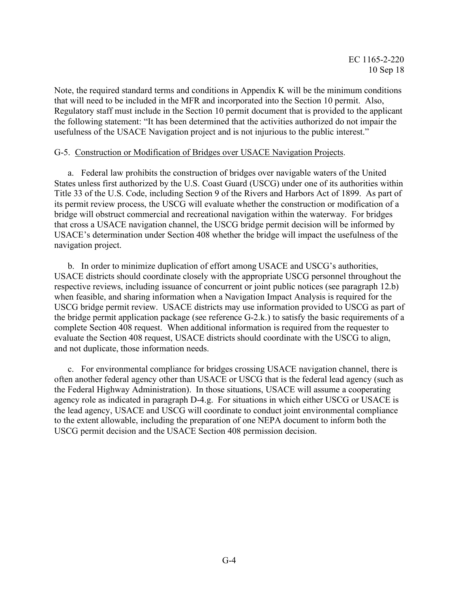Note, the required standard terms and conditions in Appendix K will be the minimum conditions that will need to be included in the MFR and incorporated into the Section 10 permit. Also, Regulatory staff must include in the Section 10 permit document that is provided to the applicant the following statement: "It has been determined that the activities authorized do not impair the usefulness of the USACE Navigation project and is not injurious to the public interest."

#### G-5. Construction or Modification of Bridges over USACE Navigation Projects.

a. Federal law prohibits the construction of bridges over navigable waters of the United States unless first authorized by the U.S. Coast Guard (USCG) under one of its authorities within Title 33 of the U.S. Code, including Section 9 of the Rivers and Harbors Act of 1899. As part of its permit review process, the USCG will evaluate whether the construction or modification of a bridge will obstruct commercial and recreational navigation within the waterway. For bridges that cross a USACE navigation channel, the USCG bridge permit decision will be informed by USACE's determination under Section 408 whether the bridge will impact the usefulness of the navigation project.

b. In order to minimize duplication of effort among USACE and USCG's authorities, USACE districts should coordinate closely with the appropriate USCG personnel throughout the respective reviews, including issuance of concurrent or joint public notices (see paragraph 12.b) when feasible, and sharing information when a Navigation Impact Analysis is required for the USCG bridge permit review. USACE districts may use information provided to USCG as part of the bridge permit application package (see reference G-2.k.) to satisfy the basic requirements of a complete Section 408 request. When additional information is required from the requester to evaluate the Section 408 request, USACE districts should coordinate with the USCG to align, and not duplicate, those information needs.

c. For environmental compliance for bridges crossing USACE navigation channel, there is often another federal agency other than USACE or USCG that is the federal lead agency (such as the Federal Highway Administration). In those situations, USACE will assume a cooperating agency role as indicated in paragraph D-4.g. For situations in which either USCG or USACE is the lead agency, USACE and USCG will coordinate to conduct joint environmental compliance to the extent allowable, including the preparation of one NEPA document to inform both the USCG permit decision and the USACE Section 408 permission decision.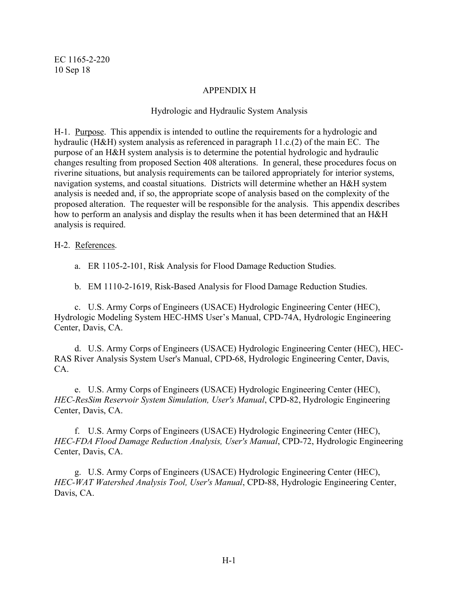# APPENDIX H

# Hydrologic and Hydraulic System Analysis

H-1. Purpose. This appendix is intended to outline the requirements for a hydrologic and hydraulic (H&H) system analysis as referenced in paragraph 11.c.(2) of the main EC. The purpose of an H&H system analysis is to determine the potential hydrologic and hydraulic changes resulting from proposed Section 408 alterations. In general, these procedures focus on riverine situations, but analysis requirements can be tailored appropriately for interior systems, navigation systems, and coastal situations. Districts will determine whether an H&H system analysis is needed and, if so, the appropriate scope of analysis based on the complexity of the proposed alteration. The requester will be responsible for the analysis. This appendix describes how to perform an analysis and display the results when it has been determined that an H&H analysis is required.

## H-2. References.

a. ER 1105-2-101, Risk Analysis for Flood Damage Reduction Studies.

b. EM 1110-2-1619, Risk-Based Analysis for Flood Damage Reduction Studies.

c. U.S. Army Corps of Engineers (USACE) Hydrologic Engineering Center (HEC), Hydrologic Modeling System HEC-HMS User's Manual, CPD-74A, Hydrologic Engineering Center, Davis, CA.

d. U.S. Army Corps of Engineers (USACE) Hydrologic Engineering Center (HEC), HEC-RAS River Analysis System User's Manual, CPD-68, Hydrologic Engineering Center, Davis, CA.

e. U.S. Army Corps of Engineers (USACE) Hydrologic Engineering Center (HEC), *HEC-ResSim Reservoir System Simulation, User's Manual*, CPD-82, Hydrologic Engineering Center, Davis, CA.

f. U.S. Army Corps of Engineers (USACE) Hydrologic Engineering Center (HEC), *HEC-FDA Flood Damage Reduction Analysis, User's Manual*, CPD-72, Hydrologic Engineering Center, Davis, CA.

g. U.S. Army Corps of Engineers (USACE) Hydrologic Engineering Center (HEC), *HEC-WAT Watershed Analysis Tool, User's Manual*, CPD-88, Hydrologic Engineering Center, Davis, CA.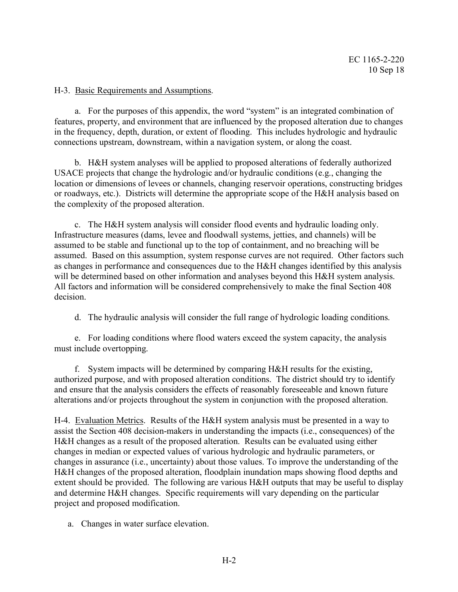# H-3. Basic Requirements and Assumptions.

a. For the purposes of this appendix, the word "system" is an integrated combination of features, property, and environment that are influenced by the proposed alteration due to changes in the frequency, depth, duration, or extent of flooding. This includes hydrologic and hydraulic connections upstream, downstream, within a navigation system, or along the coast.

b. H&H system analyses will be applied to proposed alterations of federally authorized USACE projects that change the hydrologic and/or hydraulic conditions (e.g., changing the location or dimensions of levees or channels, changing reservoir operations, constructing bridges or roadways, etc.). Districts will determine the appropriate scope of the H&H analysis based on the complexity of the proposed alteration.

c. The H&H system analysis will consider flood events and hydraulic loading only. Infrastructure measures (dams, levee and floodwall systems, jetties, and channels) will be assumed to be stable and functional up to the top of containment, and no breaching will be assumed. Based on this assumption, system response curves are not required. Other factors such as changes in performance and consequences due to the H&H changes identified by this analysis will be determined based on other information and analyses beyond this H&H system analysis. All factors and information will be considered comprehensively to make the final Section 408 decision.

d. The hydraulic analysis will consider the full range of hydrologic loading conditions.

e. For loading conditions where flood waters exceed the system capacity, the analysis must include overtopping.

f. System impacts will be determined by comparing H&H results for the existing, authorized purpose, and with proposed alteration conditions. The district should try to identify and ensure that the analysis considers the effects of reasonably foreseeable and known future alterations and/or projects throughout the system in conjunction with the proposed alteration.

H-4. Evaluation Metrics. Results of the H&H system analysis must be presented in a way to assist the Section 408 decision-makers in understanding the impacts (i.e., consequences) of the H&H changes as a result of the proposed alteration. Results can be evaluated using either changes in median or expected values of various hydrologic and hydraulic parameters, or changes in assurance (i.e., uncertainty) about those values. To improve the understanding of the H&H changes of the proposed alteration, floodplain inundation maps showing flood depths and extent should be provided. The following are various H&H outputs that may be useful to display and determine H&H changes. Specific requirements will vary depending on the particular project and proposed modification.

a. Changes in water surface elevation.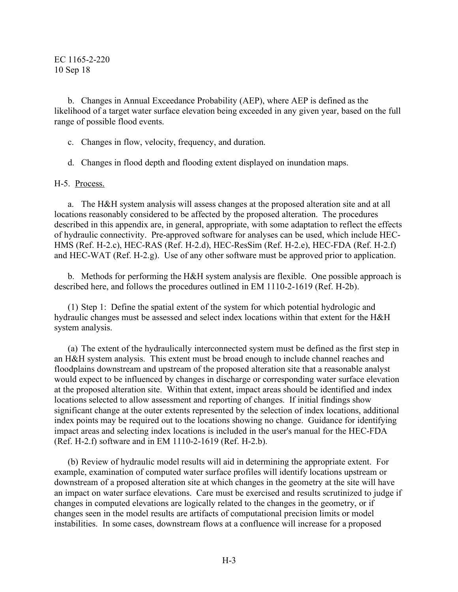b. Changes in Annual Exceedance Probability (AEP), where AEP is defined as the likelihood of a target water surface elevation being exceeded in any given year, based on the full range of possible flood events.

- c. Changes in flow, velocity, frequency, and duration.
- d. Changes in flood depth and flooding extent displayed on inundation maps.

#### H-5. Process.

a. The H&H system analysis will assess changes at the proposed alteration site and at all locations reasonably considered to be affected by the proposed alteration. The procedures described in this appendix are, in general, appropriate, with some adaptation to reflect the effects of hydraulic connectivity. Pre-approved software for analyses can be used, which include HEC-HMS (Ref. H-2.c), HEC-RAS (Ref. H-2.d), HEC-ResSim (Ref. H-2.e), HEC-FDA (Ref. H-2.f) and HEC-WAT (Ref. H-2.g). Use of any other software must be approved prior to application.

b. Methods for performing the H&H system analysis are flexible. One possible approach is described here, and follows the procedures outlined in EM 1110-2-1619 (Ref. H-2b).

(1) Step 1: Define the spatial extent of the system for which potential hydrologic and hydraulic changes must be assessed and select index locations within that extent for the H&H system analysis.

(a) The extent of the hydraulically interconnected system must be defined as the first step in an H&H system analysis. This extent must be broad enough to include channel reaches and floodplains downstream and upstream of the proposed alteration site that a reasonable analyst would expect to be influenced by changes in discharge or corresponding water surface elevation at the proposed alteration site. Within that extent, impact areas should be identified and index locations selected to allow assessment and reporting of changes. If initial findings show significant change at the outer extents represented by the selection of index locations, additional index points may be required out to the locations showing no change. Guidance for identifying impact areas and selecting index locations is included in the user's manual for the HEC-FDA (Ref. H-2.f) software and in EM 1110-2-1619 (Ref. H-2.b).

(b) Review of hydraulic model results will aid in determining the appropriate extent. For example, examination of computed water surface profiles will identify locations upstream or downstream of a proposed alteration site at which changes in the geometry at the site will have an impact on water surface elevations. Care must be exercised and results scrutinized to judge if changes in computed elevations are logically related to the changes in the geometry, or if changes seen in the model results are artifacts of computational precision limits or model instabilities. In some cases, downstream flows at a confluence will increase for a proposed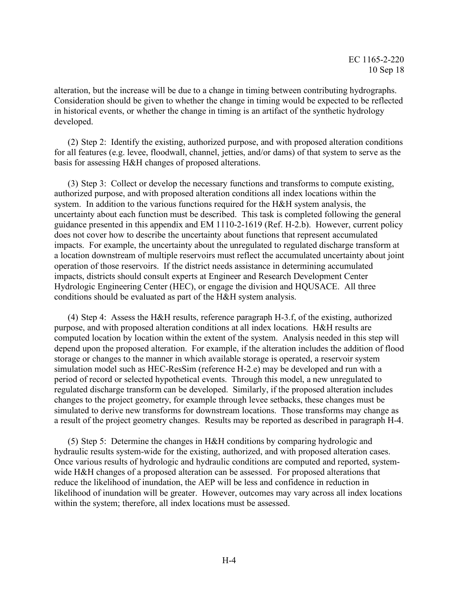alteration, but the increase will be due to a change in timing between contributing hydrographs. Consideration should be given to whether the change in timing would be expected to be reflected in historical events, or whether the change in timing is an artifact of the synthetic hydrology developed.

(2) Step 2: Identify the existing, authorized purpose, and with proposed alteration conditions for all features (e.g. levee, floodwall, channel, jetties, and/or dams) of that system to serve as the basis for assessing H&H changes of proposed alterations.

(3) Step 3: Collect or develop the necessary functions and transforms to compute existing, authorized purpose, and with proposed alteration conditions all index locations within the system. In addition to the various functions required for the H&H system analysis, the uncertainty about each function must be described. This task is completed following the general guidance presented in this appendix and EM 1110-2-1619 (Ref. H-2.b). However, current policy does not cover how to describe the uncertainty about functions that represent accumulated impacts. For example, the uncertainty about the unregulated to regulated discharge transform at a location downstream of multiple reservoirs must reflect the accumulated uncertainty about joint operation of those reservoirs. If the district needs assistance in determining accumulated impacts, districts should consult experts at Engineer and Research Development Center Hydrologic Engineering Center (HEC), or engage the division and HQUSACE. All three conditions should be evaluated as part of the H&H system analysis.

(4) Step 4: Assess the H&H results, reference paragraph H-3.f, of the existing, authorized purpose, and with proposed alteration conditions at all index locations. H&H results are computed location by location within the extent of the system. Analysis needed in this step will depend upon the proposed alteration. For example, if the alteration includes the addition of flood storage or changes to the manner in which available storage is operated, a reservoir system simulation model such as HEC-ResSim (reference H-2.e) may be developed and run with a period of record or selected hypothetical events. Through this model, a new unregulated to regulated discharge transform can be developed. Similarly, if the proposed alteration includes changes to the project geometry, for example through levee setbacks, these changes must be simulated to derive new transforms for downstream locations. Those transforms may change as a result of the project geometry changes. Results may be reported as described in paragraph H-4.

(5) Step 5: Determine the changes in H&H conditions by comparing hydrologic and hydraulic results system-wide for the existing, authorized, and with proposed alteration cases. Once various results of hydrologic and hydraulic conditions are computed and reported, systemwide H&H changes of a proposed alteration can be assessed. For proposed alterations that reduce the likelihood of inundation, the AEP will be less and confidence in reduction in likelihood of inundation will be greater. However, outcomes may vary across all index locations within the system; therefore, all index locations must be assessed.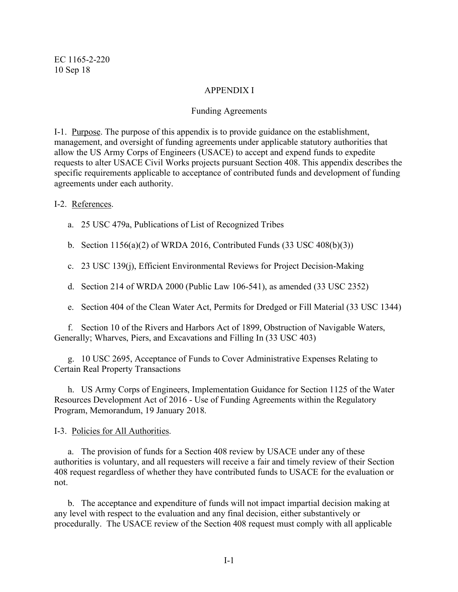#### APPENDIX I

#### Funding Agreements

I-1. Purpose. The purpose of this appendix is to provide guidance on the establishment, management, and oversight of funding agreements under applicable statutory authorities that allow the US Army Corps of Engineers (USACE) to accept and expend funds to expedite requests to alter USACE Civil Works projects pursuant Section 408. This appendix describes the specific requirements applicable to acceptance of contributed funds and development of funding agreements under each authority.

#### I-2. References.

- a. 25 USC 479a, Publications of List of Recognized Tribes
- b. Section  $1156(a)(2)$  of WRDA 2016, Contributed Funds  $(33 \text{ USC } 408(b)(3))$
- c. 23 USC 139(j), Efficient Environmental Reviews for Project Decision-Making
- d. Section 214 of WRDA 2000 (Public Law 106-541), as amended (33 USC 2352)
- e. Section 404 of the Clean Water Act, Permits for Dredged or Fill Material (33 USC 1344)

f. Section 10 of the Rivers and Harbors Act of 1899, Obstruction of Navigable Waters, Generally; Wharves, Piers, and Excavations and Filling In (33 USC 403)

g. 10 USC 2695, Acceptance of Funds to Cover Administrative Expenses Relating to Certain Real Property Transactions

h. US Army Corps of Engineers, Implementation Guidance for Section 1125 of the Water Resources Development Act of 2016 - Use of Funding Agreements within the Regulatory Program, Memorandum, 19 January 2018.

I-3. Policies for All Authorities.

a. The provision of funds for a Section 408 review by USACE under any of these authorities is voluntary, and all requesters will receive a fair and timely review of their Section 408 request regardless of whether they have contributed funds to USACE for the evaluation or not.

b. The acceptance and expenditure of funds will not impact impartial decision making at any level with respect to the evaluation and any final decision, either substantively or procedurally. The USACE review of the Section 408 request must comply with all applicable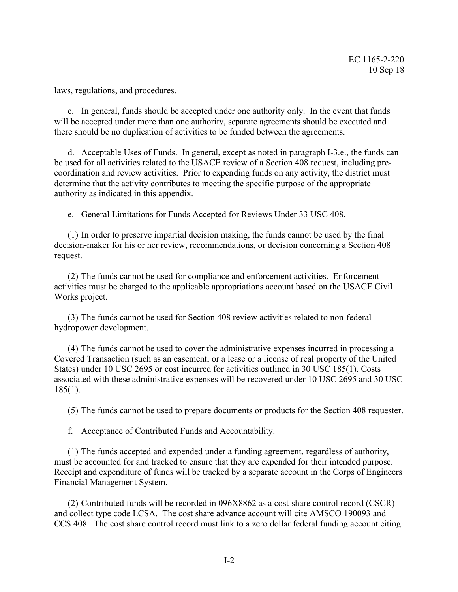laws, regulations, and procedures.

c. In general, funds should be accepted under one authority only. In the event that funds will be accepted under more than one authority, separate agreements should be executed and there should be no duplication of activities to be funded between the agreements.

d. Acceptable Uses of Funds. In general, except as noted in paragraph I-3.e., the funds can be used for all activities related to the USACE review of a Section 408 request, including precoordination and review activities. Prior to expending funds on any activity, the district must determine that the activity contributes to meeting the specific purpose of the appropriate authority as indicated in this appendix.

e. General Limitations for Funds Accepted for Reviews Under 33 USC 408.

(1) In order to preserve impartial decision making, the funds cannot be used by the final decision-maker for his or her review, recommendations, or decision concerning a Section 408 request.

(2) The funds cannot be used for compliance and enforcement activities. Enforcement activities must be charged to the applicable appropriations account based on the USACE Civil Works project.

(3) The funds cannot be used for Section 408 review activities related to non-federal hydropower development.

(4) The funds cannot be used to cover the administrative expenses incurred in processing a Covered Transaction (such as an easement, or a lease or a license of real property of the United States) under 10 USC 2695 or cost incurred for activities outlined in 30 USC 185(1). Costs associated with these administrative expenses will be recovered under 10 USC 2695 and 30 USC 185(1).

(5) The funds cannot be used to prepare documents or products for the Section 408 requester.

f. Acceptance of Contributed Funds and Accountability.

(1) The funds accepted and expended under a funding agreement, regardless of authority, must be accounted for and tracked to ensure that they are expended for their intended purpose. Receipt and expenditure of funds will be tracked by a separate account in the Corps of Engineers Financial Management System.

(2) Contributed funds will be recorded in 096X8862 as a cost-share control record (CSCR) and collect type code LCSA. The cost share advance account will cite AMSCO 190093 and CCS 408. The cost share control record must link to a zero dollar federal funding account citing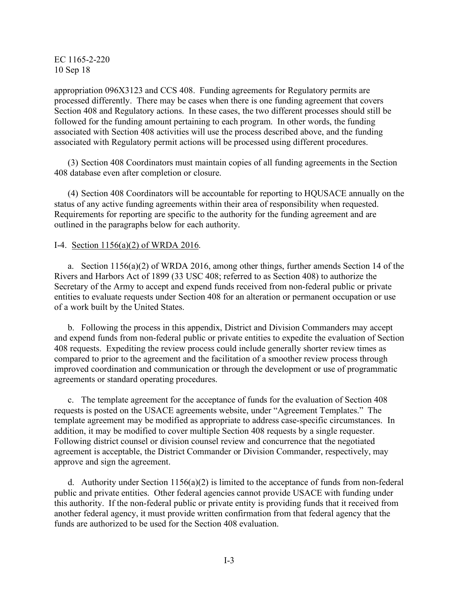appropriation 096X3123 and CCS 408. Funding agreements for Regulatory permits are processed differently. There may be cases when there is one funding agreement that covers Section 408 and Regulatory actions. In these cases, the two different processes should still be followed for the funding amount pertaining to each program. In other words, the funding associated with Section 408 activities will use the process described above, and the funding associated with Regulatory permit actions will be processed using different procedures.

(3) Section 408 Coordinators must maintain copies of all funding agreements in the Section 408 database even after completion or closure.

(4) Section 408 Coordinators will be accountable for reporting to HQUSACE annually on the status of any active funding agreements within their area of responsibility when requested. Requirements for reporting are specific to the authority for the funding agreement and are outlined in the paragraphs below for each authority.

#### I-4. Section 1156(a)(2) of WRDA 2016.

a. Section 1156(a)(2) of WRDA 2016, among other things, further amends Section 14 of the Rivers and Harbors Act of 1899 (33 USC 408; referred to as Section 408) to authorize the Secretary of the Army to accept and expend funds received from non-federal public or private entities to evaluate requests under Section 408 for an alteration or permanent occupation or use of a work built by the United States.

b. Following the process in this appendix, District and Division Commanders may accept and expend funds from non-federal public or private entities to expedite the evaluation of Section 408 requests. Expediting the review process could include generally shorter review times as compared to prior to the agreement and the facilitation of a smoother review process through improved coordination and communication or through the development or use of programmatic agreements or standard operating procedures.

c. The template agreement for the acceptance of funds for the evaluation of Section 408 requests is posted on the USACE agreements website, under "Agreement Templates." The template agreement may be modified as appropriate to address case-specific circumstances. In addition, it may be modified to cover multiple Section 408 requests by a single requester. Following district counsel or division counsel review and concurrence that the negotiated agreement is acceptable, the District Commander or Division Commander, respectively, may approve and sign the agreement.

d. Authority under Section  $1156(a)(2)$  is limited to the acceptance of funds from non-federal public and private entities. Other federal agencies cannot provide USACE with funding under this authority. If the non-federal public or private entity is providing funds that it received from another federal agency, it must provide written confirmation from that federal agency that the funds are authorized to be used for the Section 408 evaluation.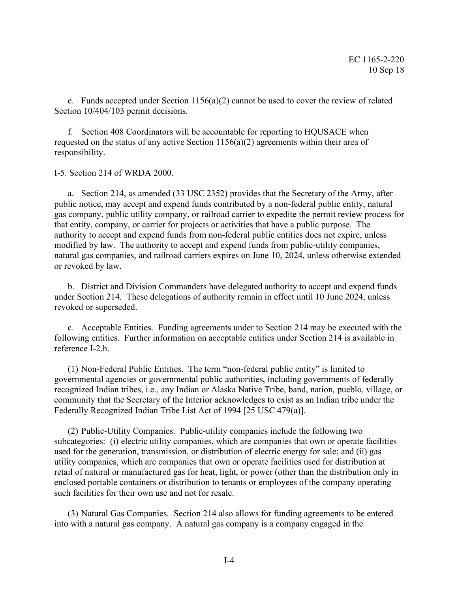e. Funds accepted under Section 1156(a)(2) cannot be used to cover the review of related Section  $10/404/103$  permit decisions.

f. Section 408 Coordinators will be accountable for reporting to HQUSACE when requested on the status of any active Section  $1156(a)(2)$  agreements within their area of responsibility.

#### I-5. Section 214 of WRDA 2000.

a. Section 214, as amended (33 USC 2352) provides that the Secretary of the Army, after public notice, may accept and expend funds contributed by a non-federal public entity, natural gas company, public utility company, or railroad carrier to expedite the permit review process for that entity, company, or carrier for projects or activities that have a public purpose. The authority to accept and expend funds from non-federal public entities does not expire, unless modified by law. The authority to accept and expend funds from public-utility companies, natural gas companies, and railroad carriers expires on June 10, 2024, unless otherwise extended or revoked by law.

b. District and Division Commanders have delegated authority to accept and expend funds under Section 214. These delegations of authority remain in effect until 10 June 2024, unless revoked or superseded.

c. Acceptable Entities. Funding agreements under to Section 214 may be executed with the following entities. Further information on acceptable entities under Section 214 is available in reference I-2.h.

(1) Non-Federal Public Entities. The term "non-federal public entity" is limited to governmental agencies or governmental public authorities, including governments of federally recognized Indian tribes, i.e., any Indian or Alaska Native Tribe, band, nation, pueblo, village, or community that the Secretary of the Interior acknowledges to exist as an Indian tribe under the Federally Recognized Indian Tribe List Act of 1994 [25 USC 479(a)].

(2) Public-Utility Companies. Public-utility companies include the following two subcategories: (i) electric utility companies, which are companies that own or operate facilities used for the generation, transmission, or distribution of electric energy for sale; and (ii) gas utility companies, which are companies that own or operate facilities used for distribution at retail of natural or manufactured gas for heat, light, or power (other than the distribution only in enclosed portable containers or distribution to tenants or employees of the company operating such facilities for their own use and not for resale.

(3) Natural Gas Companies. Section 214 also allows for funding agreements to be entered into with a natural gas company. A natural gas company is a company engaged in the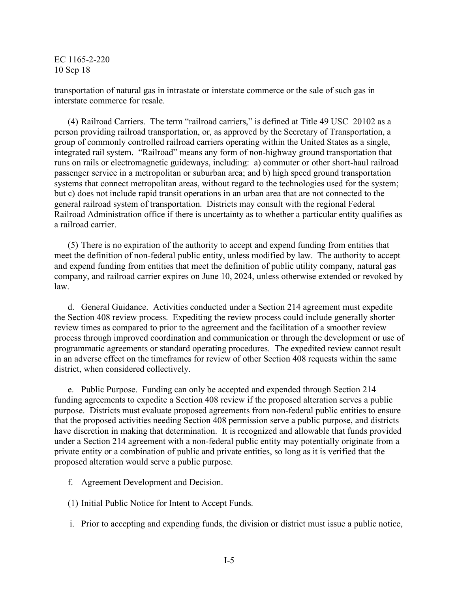transportation of natural gas in intrastate or interstate commerce or the sale of such gas in interstate commerce for resale.

(4) Railroad Carriers. The term "railroad carriers," is defined at Title 49 USC 20102 as a person providing railroad transportation, or, as approved by the Secretary of Transportation, a group of commonly controlled railroad carriers operating within the United States as a single, integrated rail system. "Railroad" means any form of non-highway ground transportation that runs on rails or electromagnetic guideways, including: a) commuter or other short-haul railroad passenger service in a metropolitan or suburban area; and b) high speed ground transportation systems that connect metropolitan areas, without regard to the technologies used for the system; but c) does not include rapid transit operations in an urban area that are not connected to the general railroad system of transportation. Districts may consult with the regional Federal Railroad Administration office if there is uncertainty as to whether a particular entity qualifies as a railroad carrier.

(5) There is no expiration of the authority to accept and expend funding from entities that meet the definition of non-federal public entity, unless modified by law. The authority to accept and expend funding from entities that meet the definition of public utility company, natural gas company, and railroad carrier expires on June 10, 2024, unless otherwise extended or revoked by law.

d. General Guidance. Activities conducted under a Section 214 agreement must expedite the Section 408 review process. Expediting the review process could include generally shorter review times as compared to prior to the agreement and the facilitation of a smoother review process through improved coordination and communication or through the development or use of programmatic agreements or standard operating procedures. The expedited review cannot result in an adverse effect on the timeframes for review of other Section 408 requests within the same district, when considered collectively.

e. Public Purpose. Funding can only be accepted and expended through Section 214 funding agreements to expedite a Section 408 review if the proposed alteration serves a public purpose. Districts must evaluate proposed agreements from non-federal public entities to ensure that the proposed activities needing Section 408 permission serve a public purpose, and districts have discretion in making that determination. It is recognized and allowable that funds provided under a Section 214 agreement with a non-federal public entity may potentially originate from a private entity or a combination of public and private entities, so long as it is verified that the proposed alteration would serve a public purpose.

- f. Agreement Development and Decision.
- (1) Initial Public Notice for Intent to Accept Funds.
- i. Prior to accepting and expending funds, the division or district must issue a public notice,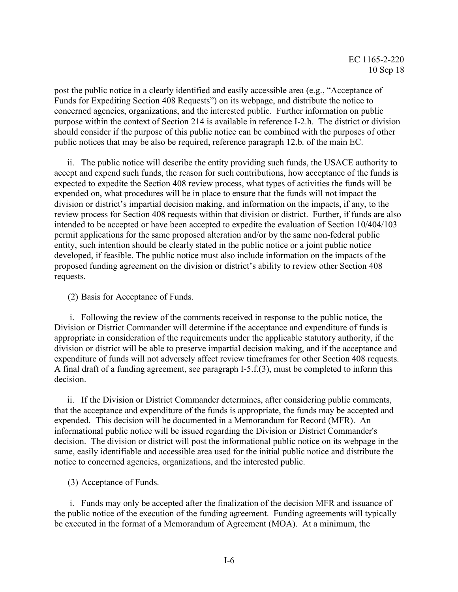post the public notice in a clearly identified and easily accessible area (e.g., "Acceptance of Funds for Expediting Section 408 Requests") on its webpage, and distribute the notice to concerned agencies, organizations, and the interested public. Further information on public purpose within the context of Section 214 is available in reference I-2.h. The district or division should consider if the purpose of this public notice can be combined with the purposes of other public notices that may be also be required, reference paragraph 12.b. of the main EC.

ii. The public notice will describe the entity providing such funds, the USACE authority to accept and expend such funds, the reason for such contributions, how acceptance of the funds is expected to expedite the Section 408 review process, what types of activities the funds will be expended on, what procedures will be in place to ensure that the funds will not impact the division or district's impartial decision making, and information on the impacts, if any, to the review process for Section 408 requests within that division or district. Further, if funds are also intended to be accepted or have been accepted to expedite the evaluation of Section 10/404/103 permit applications for the same proposed alteration and/or by the same non-federal public entity, such intention should be clearly stated in the public notice or a joint public notice developed, if feasible. The public notice must also include information on the impacts of the proposed funding agreement on the division or district's ability to review other Section 408 requests.

(2) Basis for Acceptance of Funds.

i. Following the review of the comments received in response to the public notice, the Division or District Commander will determine if the acceptance and expenditure of funds is appropriate in consideration of the requirements under the applicable statutory authority, if the division or district will be able to preserve impartial decision making, and if the acceptance and expenditure of funds will not adversely affect review timeframes for other Section 408 requests. A final draft of a funding agreement, see paragraph I-5.f.(3), must be completed to inform this decision.

ii. If the Division or District Commander determines, after considering public comments, that the acceptance and expenditure of the funds is appropriate, the funds may be accepted and expended. This decision will be documented in a Memorandum for Record (MFR). An informational public notice will be issued regarding the Division or District Commander's decision. The division or district will post the informational public notice on its webpage in the same, easily identifiable and accessible area used for the initial public notice and distribute the notice to concerned agencies, organizations, and the interested public.

(3) Acceptance of Funds.

i. Funds may only be accepted after the finalization of the decision MFR and issuance of the public notice of the execution of the funding agreement. Funding agreements will typically be executed in the format of a Memorandum of Agreement (MOA). At a minimum, the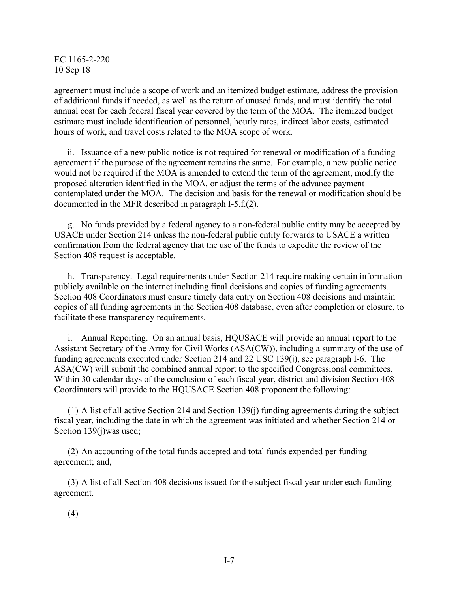agreement must include a scope of work and an itemized budget estimate, address the provision of additional funds if needed, as well as the return of unused funds, and must identify the total annual cost for each federal fiscal year covered by the term of the MOA. The itemized budget estimate must include identification of personnel, hourly rates, indirect labor costs, estimated hours of work, and travel costs related to the MOA scope of work.

ii. Issuance of a new public notice is not required for renewal or modification of a funding agreement if the purpose of the agreement remains the same. For example, a new public notice would not be required if the MOA is amended to extend the term of the agreement, modify the proposed alteration identified in the MOA, or adjust the terms of the advance payment contemplated under the MOA. The decision and basis for the renewal or modification should be documented in the MFR described in paragraph I-5.f.(2).

g. No funds provided by a federal agency to a non-federal public entity may be accepted by USACE under Section 214 unless the non-federal public entity forwards to USACE a written confirmation from the federal agency that the use of the funds to expedite the review of the Section 408 request is acceptable.

h. Transparency. Legal requirements under Section 214 require making certain information publicly available on the internet including final decisions and copies of funding agreements. Section 408 Coordinators must ensure timely data entry on Section 408 decisions and maintain copies of all funding agreements in the Section 408 database, even after completion or closure, to facilitate these transparency requirements.

i. Annual Reporting. On an annual basis, HQUSACE will provide an annual report to the Assistant Secretary of the Army for Civil Works (ASA(CW)), including a summary of the use of funding agreements executed under Section 214 and 22 USC 139(j), see paragraph I-6. The ASA(CW) will submit the combined annual report to the specified Congressional committees. Within 30 calendar days of the conclusion of each fiscal year, district and division Section 408 Coordinators will provide to the HQUSACE Section 408 proponent the following:

(1) A list of all active Section 214 and Section 139(j) funding agreements during the subject fiscal year, including the date in which the agreement was initiated and whether Section 214 or Section 139(j)was used;

(2) An accounting of the total funds accepted and total funds expended per funding agreement; and,

(3) A list of all Section 408 decisions issued for the subject fiscal year under each funding agreement.

(4)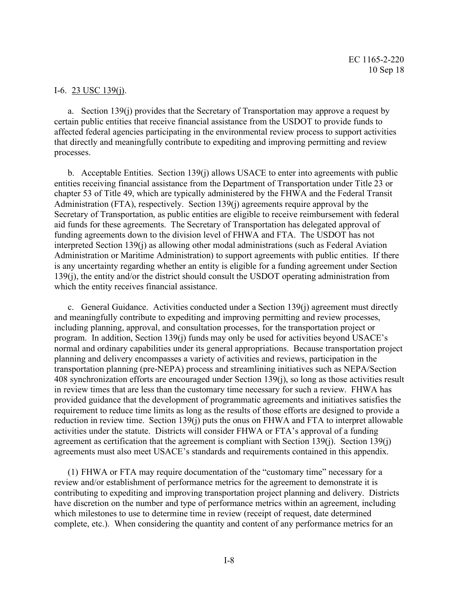#### I-6. 23 USC 139(j).

a. Section 139(j) provides that the Secretary of Transportation may approve a request by certain public entities that receive financial assistance from the USDOT to provide funds to affected federal agencies participating in the environmental review process to support activities that directly and meaningfully contribute to expediting and improving permitting and review processes.

b. Acceptable Entities. Section 139(j) allows USACE to enter into agreements with public entities receiving financial assistance from the Department of Transportation under Title 23 or chapter 53 of Title 49, which are typically administered by the FHWA and the Federal Transit Administration (FTA), respectively. Section 139(j) agreements require approval by the Secretary of Transportation, as public entities are eligible to receive reimbursement with federal aid funds for these agreements. The Secretary of Transportation has delegated approval of funding agreements down to the division level of FHWA and FTA. The USDOT has not interpreted Section 139(j) as allowing other modal administrations (such as Federal Aviation Administration or Maritime Administration) to support agreements with public entities. If there is any uncertainty regarding whether an entity is eligible for a funding agreement under Section 139(j), the entity and/or the district should consult the USDOT operating administration from which the entity receives financial assistance.

c. General Guidance. Activities conducted under a Section 139(j) agreement must directly and meaningfully contribute to expediting and improving permitting and review processes, including planning, approval, and consultation processes, for the transportation project or program. In addition, Section 139(j) funds may only be used for activities beyond USACE's normal and ordinary capabilities under its general appropriations. Because transportation project planning and delivery encompasses a variety of activities and reviews, participation in the transportation planning (pre-NEPA) process and streamlining initiatives such as NEPA/Section 408 synchronization efforts are encouraged under Section 139(j), so long as those activities result in review times that are less than the customary time necessary for such a review. FHWA has provided guidance that the development of programmatic agreements and initiatives satisfies the requirement to reduce time limits as long as the results of those efforts are designed to provide a reduction in review time. Section 139(j) puts the onus on FHWA and FTA to interpret allowable activities under the statute. Districts will consider FHWA or FTA's approval of a funding agreement as certification that the agreement is compliant with Section 139(j). Section 139(j) agreements must also meet USACE's standards and requirements contained in this appendix.

(1) FHWA or FTA may require documentation of the "customary time" necessary for a review and/or establishment of performance metrics for the agreement to demonstrate it is contributing to expediting and improving transportation project planning and delivery. Districts have discretion on the number and type of performance metrics within an agreement, including which milestones to use to determine time in review (receipt of request, date determined complete, etc.). When considering the quantity and content of any performance metrics for an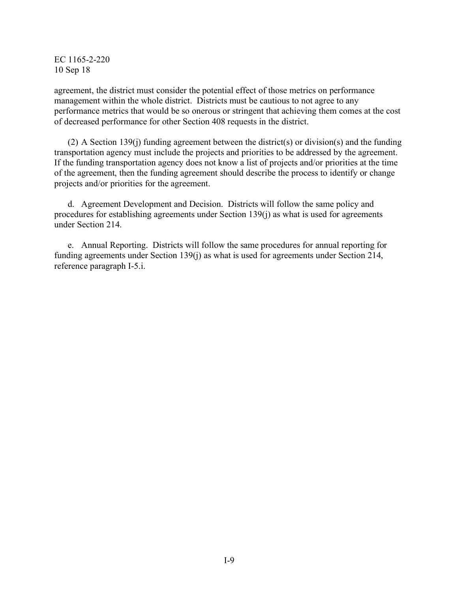agreement, the district must consider the potential effect of those metrics on performance management within the whole district. Districts must be cautious to not agree to any performance metrics that would be so onerous or stringent that achieving them comes at the cost of decreased performance for other Section 408 requests in the district.

(2) A Section 139(j) funding agreement between the district(s) or division(s) and the funding transportation agency must include the projects and priorities to be addressed by the agreement. If the funding transportation agency does not know a list of projects and/or priorities at the time of the agreement, then the funding agreement should describe the process to identify or change projects and/or priorities for the agreement.

d. Agreement Development and Decision. Districts will follow the same policy and procedures for establishing agreements under Section 139(j) as what is used for agreements under Section 214.

e. Annual Reporting. Districts will follow the same procedures for annual reporting for funding agreements under Section 139(j) as what is used for agreements under Section 214, reference paragraph I-5.i.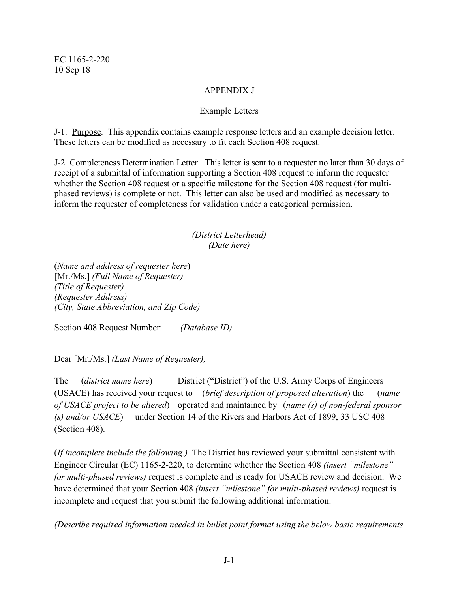## APPENDIX J

## Example Letters

J-1. Purpose. This appendix contains example response letters and an example decision letter. These letters can be modified as necessary to fit each Section 408 request.

J-2. Completeness Determination Letter. This letter is sent to a requester no later than 30 days of receipt of a submittal of information supporting a Section 408 request to inform the requester whether the Section 408 request or a specific milestone for the Section 408 request (for multiphased reviews) is complete or not. This letter can also be used and modified as necessary to inform the requester of completeness for validation under a categorical permission.

## *(District Letterhead) (Date here)*

(*Name and address of requester here*) [Mr./Ms.] *(Full Name of Requester) (Title of Requester) (Requester Address) (City, State Abbreviation, and Zip Code)*

Section 408 Request Number: *(Database ID)* 

Dear [Mr./Ms.] *(Last Name of Requester),*

The *(district name here)* District ("District") of the U.S. Army Corps of Engineers (USACE) has received your request to (*brief description of proposed alteration*) the (*name of USACE project to be altered*) operated and maintained by (*name (s) of non-federal sponsor (s) and/or USACE*) under Section 14 of the Rivers and Harbors Act of 1899, 33 USC 408 (Section 408).

(*If incomplete include the following.)* The District has reviewed your submittal consistent with Engineer Circular (EC) 1165-2-220, to determine whether the Section 408 *(insert "milestone" for multi-phased reviews)* request is complete and is ready for USACE review and decision. We have determined that your Section 408 *(insert "milestone" for multi-phased reviews)* request is incomplete and request that you submit the following additional information:

*(Describe required information needed in bullet point format using the below basic requirements*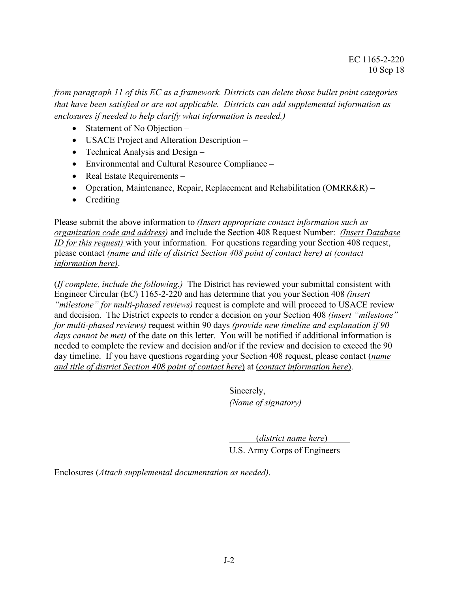*from paragraph 11 of this EC as a framework. Districts can delete those bullet point categories that have been satisfied or are not applicable. Districts can add supplemental information as enclosures if needed to help clarify what information is needed.)*

- Statement of No Objection –
- USACE Project and Alteration Description –
- Technical Analysis and Design –
- Environmental and Cultural Resource Compliance –
- Real Estate Requirements –
- Operation, Maintenance, Repair, Replacement and Rehabilitation (OMRR&R) –
- Crediting

Please submit the above information to *(Insert appropriate contact information such as organization code and address)* and include the Section 408 Request Number: *(Insert Database ID for this request)* with your information. For questions regarding your Section 408 request, please contact *(name and title of district Section 408 point of contact here) at (contact information here)*.

(*If complete, include the following.)* The District has reviewed your submittal consistent with Engineer Circular (EC) 1165-2-220 and has determine that you your Section 408 *(insert "milestone" for multi-phased reviews)* request is complete and will proceed to USACE review and decision. The District expects to render a decision on your Section 408 *(insert "milestone" for multi-phased reviews)* request within 90 days *(provide new timeline and explanation if 90 days cannot be met)* of the date on this letter. You will be notified if additional information is needed to complete the review and decision and/or if the review and decision to exceed the 90 day timeline. If you have questions regarding your Section 408 request, please contact (*name and title of district Section 408 point of contact here*) at (*contact information here*).

> Sincerely, *(Name of signatory)*

(*district name here*) U.S. Army Corps of Engineers

Enclosures (*Attach supplemental documentation as needed).*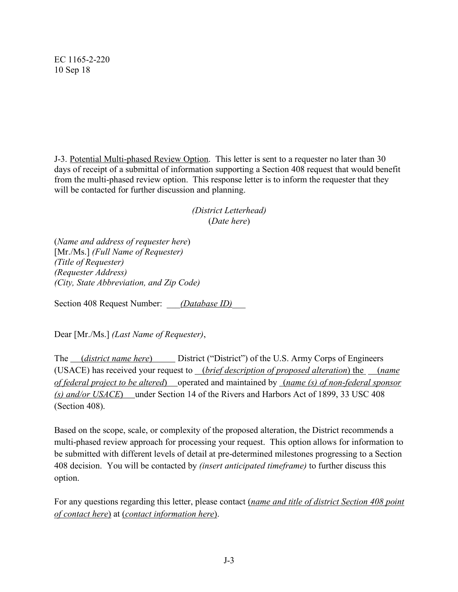J-3. Potential Multi-phased Review Option. This letter is sent to a requester no later than 30 days of receipt of a submittal of information supporting a Section 408 request that would benefit from the multi-phased review option. This response letter is to inform the requester that they will be contacted for further discussion and planning.

> *(District Letterhead)* (*Date here*)

(*Name and address of requester here*) [Mr./Ms.] *(Full Name of Requester) (Title of Requester) (Requester Address) (City, State Abbreviation, and Zip Code)*

Section 408 Request Number: *(Database ID)* 

Dear [Mr./Ms.] *(Last Name of Requester)*,

The *(district name here*) District ("District") of the U.S. Army Corps of Engineers (USACE) has received your request to (*brief description of proposed alteration*) the (*name of federal project to be altered*) operated and maintained by (*name (s) of non-federal sponsor (s) and/or USACE*) under Section 14 of the Rivers and Harbors Act of 1899, 33 USC 408 (Section 408).

Based on the scope, scale, or complexity of the proposed alteration, the District recommends a multi-phased review approach for processing your request. This option allows for information to be submitted with different levels of detail at pre-determined milestones progressing to a Section 408 decision. You will be contacted by *(insert anticipated timeframe)* to further discuss this option.

For any questions regarding this letter, please contact (*name and title of district Section 408 point of contact here*) at (*contact information here*).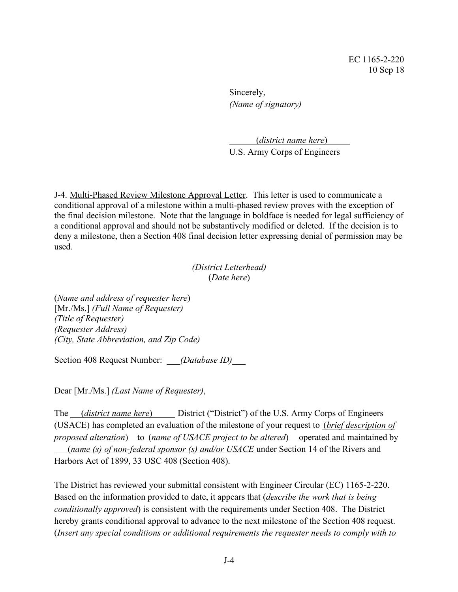Sincerely, *(Name of signatory)*

(*district name here*) U.S. Army Corps of Engineers

J-4. Multi-Phased Review Milestone Approval Letter. This letter is used to communicate a conditional approval of a milestone within a multi-phased review proves with the exception of the final decision milestone. Note that the language in boldface is needed for legal sufficiency of a conditional approval and should not be substantively modified or deleted. If the decision is to deny a milestone, then a Section 408 final decision letter expressing denial of permission may be used.

#### *(District Letterhead)* (*Date here*)

(*Name and address of requester here*) [Mr./Ms.] *(Full Name of Requester) (Title of Requester) (Requester Address) (City, State Abbreviation, and Zip Code)*

Section 408 Request Number: *(Database ID)* 

Dear [Mr./Ms.] *(Last Name of Requester)*,

The *(district name here)* District ("District") of the U.S. Army Corps of Engineers (USACE) has completed an evaluation of the milestone of your request to (*brief description of proposed alteration*) to *(name of USACE project to be altered)* operated and maintained by (*name (s) of non-federal sponsor (s) and/or USACE* under Section 14 of the Rivers and Harbors Act of 1899, 33 USC 408 (Section 408).

The District has reviewed your submittal consistent with Engineer Circular (EC) 1165-2-220. Based on the information provided to date, it appears that (*describe the work that is being conditionally approved*) is consistent with the requirements under Section 408. The District hereby grants conditional approval to advance to the next milestone of the Section 408 request. (*Insert any special conditions or additional requirements the requester needs to comply with to*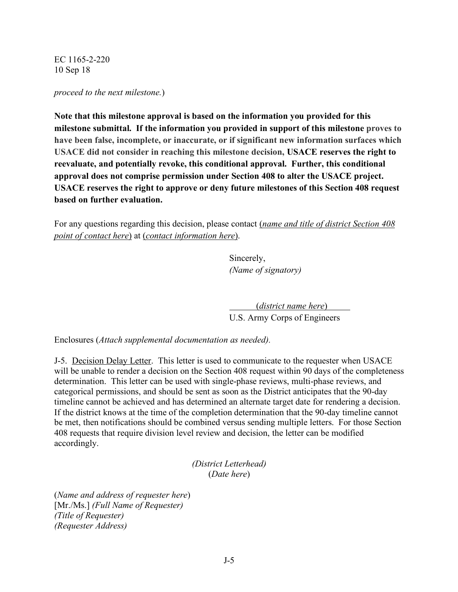*proceed to the next milestone.*)

**Note that this milestone approval is based on the information you provided for this milestone submittal. If the information you provided in support of this milestone proves to have been false, incomplete, or inaccurate, or if significant new information surfaces which USACE did not consider in reaching this milestone decision, USACE reserves the right to reevaluate, and potentially revoke, this conditional approval. Further, this conditional approval does not comprise permission under Section 408 to alter the USACE project. USACE reserves the right to approve or deny future milestones of this Section 408 request based on further evaluation.**

For any questions regarding this decision, please contact (*name and title of district Section 408 point of contact here*) at (*contact information here*).

> Sincerely, *(Name of signatory)*

(*district name here*) U.S. Army Corps of Engineers

Enclosures (*Attach supplemental documentation as needed).*

J-5. Decision Delay Letter. This letter is used to communicate to the requester when USACE will be unable to render a decision on the Section 408 request within 90 days of the completeness determination. This letter can be used with single-phase reviews, multi-phase reviews, and categorical permissions, and should be sent as soon as the District anticipates that the 90-day timeline cannot be achieved and has determined an alternate target date for rendering a decision. If the district knows at the time of the completion determination that the 90-day timeline cannot be met, then notifications should be combined versus sending multiple letters. For those Section 408 requests that require division level review and decision, the letter can be modified accordingly.

> *(District Letterhead)* (*Date here*)

(*Name and address of requester here*) [Mr./Ms.] *(Full Name of Requester) (Title of Requester) (Requester Address)*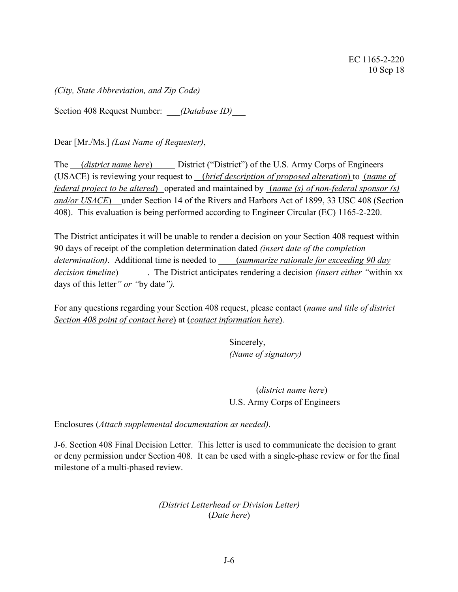*(City, State Abbreviation, and Zip Code)*

Section 408 Request Number: *(Database ID)* 

Dear [Mr./Ms.] *(Last Name of Requester)*,

The *(district name here)* District ("District") of the U.S. Army Corps of Engineers (USACE) is reviewing your request to (*brief description of proposed alteration*) to (*name of federal project to be altered*) operated and maintained by (*name (s) of non-federal sponsor (s) and/or USACE*) under Section 14 of the Rivers and Harbors Act of 1899, 33 USC 408 (Section 408). This evaluation is being performed according to Engineer Circular (EC) 1165-2-220.

The District anticipates it will be unable to render a decision on your Section 408 request within 90 days of receipt of the completion determination dated *(insert date of the completion determination)*. Additional time is needed to \_\_\_\_(*summarize rationale for exceeding 90 day decision timeline*) . The District anticipates rendering a decision *(insert either "*within xx days of this letter*" or "*by date*").* 

For any questions regarding your Section 408 request, please contact (*name and title of district Section 408 point of contact here*) at (*contact information here*).

> Sincerely, *(Name of signatory)*

(*district name here*) U.S. Army Corps of Engineers

Enclosures (*Attach supplemental documentation as needed).*

J-6. Section 408 Final Decision Letter. This letter is used to communicate the decision to grant or deny permission under Section 408. It can be used with a single-phase review or for the final milestone of a multi-phased review.

> *(District Letterhead or Division Letter)* (*Date here*)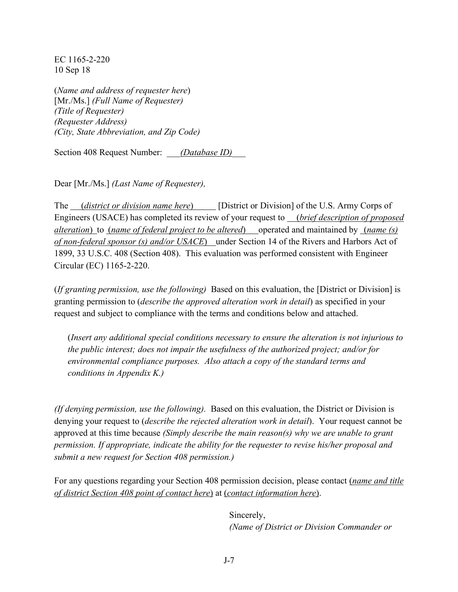(*Name and address of requester here*) [Mr./Ms.] *(Full Name of Requester) (Title of Requester) (Requester Address) (City, State Abbreviation, and Zip Code)*

Section 408 Request Number: *\_\_\_(Database ID)\_\_\_*

Dear [Mr./Ms.] *(Last Name of Requester),*

The *(district or division name here*) [District or Division] of the U.S. Army Corps of Engineers (USACE) has completed its review of your request to (*brief description of proposed alteration*) to (*name of federal project to be altered*) operated and maintained by (*name (s) of non-federal sponsor (s) and/or USACE*) under Section 14 of the Rivers and Harbors Act of 1899, 33 U.S.C. 408 (Section 408). This evaluation was performed consistent with Engineer Circular (EC) 1165-2-220.

(*If granting permission, use the following)* Based on this evaluation, the [District or Division] is granting permission to (*describe the approved alteration work in detail*) as specified in your request and subject to compliance with the terms and conditions below and attached.

(*Insert any additional special conditions necessary to ensure the alteration is not injurious to the public interest; does not impair the usefulness of the authorized project; and/or for environmental compliance purposes. Also attach a copy of the standard terms and conditions in Appendix K.)*

*(If denying permission, use the following).* Based on this evaluation, the District or Division is denying your request to (*describe the rejected alteration work in detail*). Your request cannot be approved at this time because *(Simply describe the main reason(s) why we are unable to grant permission. If appropriate, indicate the ability for the requester to revise his/her proposal and submit a new request for Section 408 permission.)* 

For any questions regarding your Section 408 permission decision, please contact (*name and title of district Section 408 point of contact here*) at (*contact information here*).

> Sincerely, *(Name of District or Division Commander or*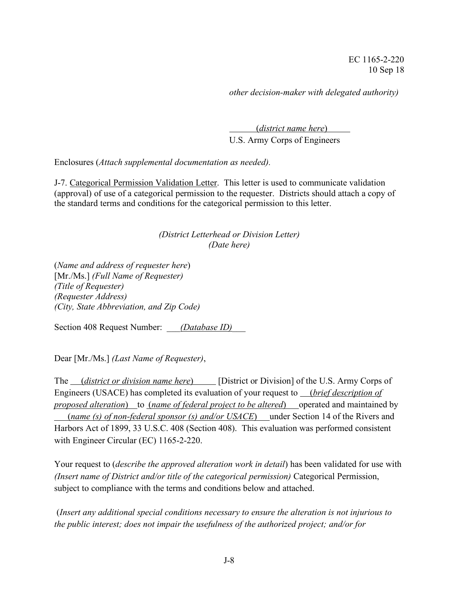*other decision-maker with delegated authority)*

(*district name here*) U.S. Army Corps of Engineers

Enclosures (*Attach supplemental documentation as needed).*

J-7. Categorical Permission Validation Letter. This letter is used to communicate validation (approval) of use of a categorical permission to the requester. Districts should attach a copy of the standard terms and conditions for the categorical permission to this letter.

## *(District Letterhead or Division Letter) (Date here)*

(*Name and address of requester here*) [Mr./Ms.] *(Full Name of Requester) (Title of Requester) (Requester Address) (City, State Abbreviation, and Zip Code)*

Section 408 Request Number: *(Database ID)* 

Dear [Mr./Ms.] *(Last Name of Requester)*,

The *(district or division name here*) [District or Division] of the U.S. Army Corps of Engineers (USACE) has completed its evaluation of your request to (*brief description of proposed alteration*) to (*name of federal project to be altered*) operated and maintained by (*name (s) of non-federal sponsor (s) and/or USACE*) under Section 14 of the Rivers and Harbors Act of 1899, 33 U.S.C. 408 (Section 408). This evaluation was performed consistent with Engineer Circular (EC) 1165-2-220.

Your request to (*describe the approved alteration work in detail*) has been validated for use with *(Insert name of District and/or title of the categorical permission)* Categorical Permission, subject to compliance with the terms and conditions below and attached.

(*Insert any additional special conditions necessary to ensure the alteration is not injurious to the public interest; does not impair the usefulness of the authorized project; and/or for*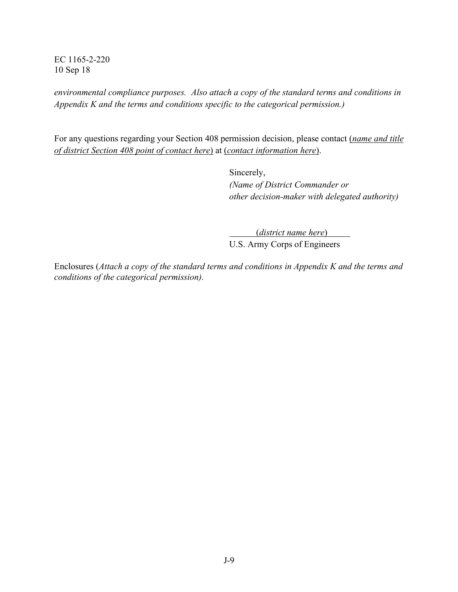*environmental compliance purposes. Also attach a copy of the standard terms and conditions in Appendix K and the terms and conditions specific to the categorical permission.)*

For any questions regarding your Section 408 permission decision, please contact (*name and title of district Section 408 point of contact here*) at (*contact information here*).

> Sincerely, *(Name of District Commander or other decision-maker with delegated authority)*

> > (*district name here*)

U.S. Army Corps of Engineers

Enclosures (*Attach a copy of the standard terms and conditions in Appendix K and the terms and conditions of the categorical permission).*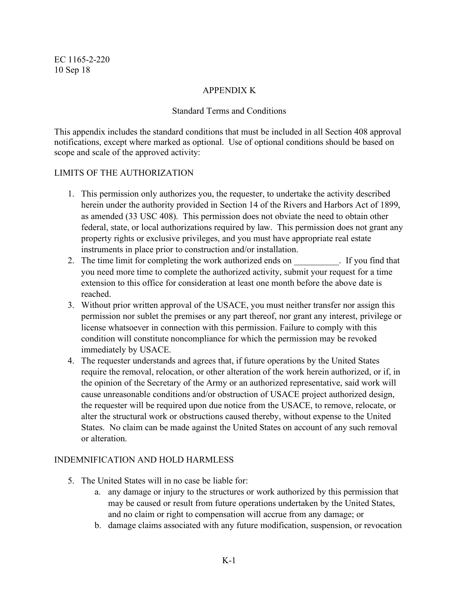## APPENDIX K

#### Standard Terms and Conditions

This appendix includes the standard conditions that must be included in all Section 408 approval notifications, except where marked as optional. Use of optional conditions should be based on scope and scale of the approved activity:

#### LIMITS OF THE AUTHORIZATION

- 1. This permission only authorizes you, the requester, to undertake the activity described herein under the authority provided in Section 14 of the Rivers and Harbors Act of 1899, as amended (33 USC 408). This permission does not obviate the need to obtain other federal, state, or local authorizations required by law. This permission does not grant any property rights or exclusive privileges, and you must have appropriate real estate instruments in place prior to construction and/or installation.
- 2. The time limit for completing the work authorized ends on Figure 1. If you find that you need more time to complete the authorized activity, submit your request for a time extension to this office for consideration at least one month before the above date is reached.
- 3. Without prior written approval of the USACE, you must neither transfer nor assign this permission nor sublet the premises or any part thereof, nor grant any interest, privilege or license whatsoever in connection with this permission. Failure to comply with this condition will constitute noncompliance for which the permission may be revoked immediately by USACE.
- 4. The requester understands and agrees that, if future operations by the United States require the removal, relocation, or other alteration of the work herein authorized, or if, in the opinion of the Secretary of the Army or an authorized representative, said work will cause unreasonable conditions and/or obstruction of USACE project authorized design, the requester will be required upon due notice from the USACE, to remove, relocate, or alter the structural work or obstructions caused thereby, without expense to the United States. No claim can be made against the United States on account of any such removal or alteration.

## INDEMNIFICATION AND HOLD HARMLESS

- 5. The United States will in no case be liable for:
	- a. any damage or injury to the structures or work authorized by this permission that may be caused or result from future operations undertaken by the United States, and no claim or right to compensation will accrue from any damage; or
	- b. damage claims associated with any future modification, suspension, or revocation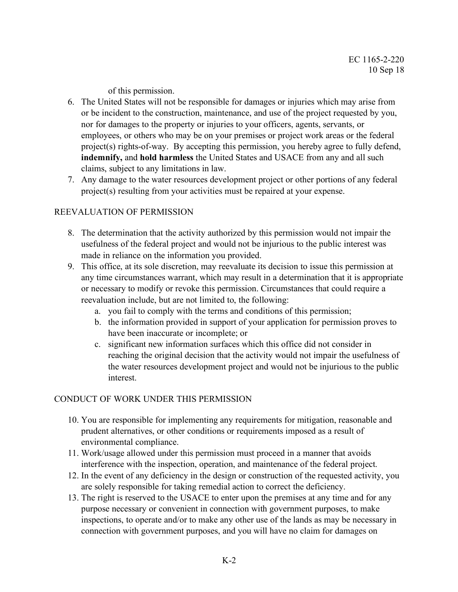of this permission.

- 6. The United States will not be responsible for damages or injuries which may arise from or be incident to the construction, maintenance, and use of the project requested by you, nor for damages to the property or injuries to your officers, agents, servants, or employees, or others who may be on your premises or project work areas or the federal project(s) rights-of-way. By accepting this permission, you hereby agree to fully defend, **indemnify,** and **hold harmless** the United States and USACE from any and all such claims, subject to any limitations in law.
- 7. Any damage to the water resources development project or other portions of any federal project(s) resulting from your activities must be repaired at your expense.

## REEVALUATION OF PERMISSION

- 8. The determination that the activity authorized by this permission would not impair the usefulness of the federal project and would not be injurious to the public interest was made in reliance on the information you provided.
- 9. This office, at its sole discretion, may reevaluate its decision to issue this permission at any time circumstances warrant, which may result in a determination that it is appropriate or necessary to modify or revoke this permission. Circumstances that could require a reevaluation include, but are not limited to, the following:
	- a. you fail to comply with the terms and conditions of this permission;
	- b. the information provided in support of your application for permission proves to have been inaccurate or incomplete; or
	- c. significant new information surfaces which this office did not consider in reaching the original decision that the activity would not impair the usefulness of the water resources development project and would not be injurious to the public interest.

## CONDUCT OF WORK UNDER THIS PERMISSION

- 10. You are responsible for implementing any requirements for mitigation, reasonable and prudent alternatives, or other conditions or requirements imposed as a result of environmental compliance.
- 11. Work/usage allowed under this permission must proceed in a manner that avoids interference with the inspection, operation, and maintenance of the federal project.
- 12. In the event of any deficiency in the design or construction of the requested activity, you are solely responsible for taking remedial action to correct the deficiency.
- 13. The right is reserved to the USACE to enter upon the premises at any time and for any purpose necessary or convenient in connection with government purposes, to make inspections, to operate and/or to make any other use of the lands as may be necessary in connection with government purposes, and you will have no claim for damages on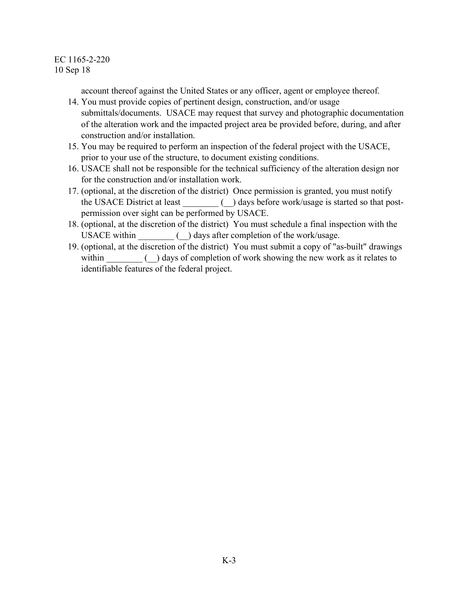account thereof against the United States or any officer, agent or employee thereof.

- 14. You must provide copies of pertinent design, construction, and/or usage submittals/documents. USACE may request that survey and photographic documentation of the alteration work and the impacted project area be provided before, during, and after construction and/or installation.
- 15. You may be required to perform an inspection of the federal project with the USACE, prior to your use of the structure, to document existing conditions.
- 16. USACE shall not be responsible for the technical sufficiency of the alteration design nor for the construction and/or installation work.
- 17. (optional, at the discretion of the district) Once permission is granted, you must notify the USACE District at least  $\qquad \qquad$  ays before work/usage is started so that postpermission over sight can be performed by USACE.
- 18. (optional, at the discretion of the district) You must schedule a final inspection with the USACE within \_\_\_\_\_\_\_\_ (\_\_) days after completion of the work/usage.
- 19. (optional, at the discretion of the district) You must submit a copy of "as-built" drawings within  $\qquad \qquad$  ( $\qquad$ ) days of completion of work showing the new work as it relates to identifiable features of the federal project.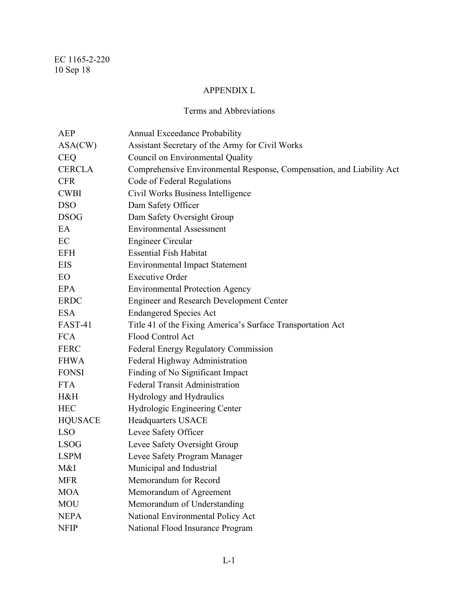# APPENDIX L

# Terms and Abbreviations

| AEP            | Annual Exceedance Probability                                         |
|----------------|-----------------------------------------------------------------------|
| ASA(CW)        | Assistant Secretary of the Army for Civil Works                       |
| <b>CEQ</b>     | Council on Environmental Quality                                      |
| <b>CERCLA</b>  | Comprehensive Environmental Response, Compensation, and Liability Act |
| <b>CFR</b>     | Code of Federal Regulations                                           |
| <b>CWBI</b>    | Civil Works Business Intelligence                                     |
| <b>DSO</b>     | Dam Safety Officer                                                    |
| <b>DSOG</b>    | Dam Safety Oversight Group                                            |
| EA             | <b>Environmental Assessment</b>                                       |
| EC             | Engineer Circular                                                     |
| EFH            | <b>Essential Fish Habitat</b>                                         |
| EIS            | <b>Environmental Impact Statement</b>                                 |
| EO             | <b>Executive Order</b>                                                |
| EPA            | <b>Environmental Protection Agency</b>                                |
| <b>ERDC</b>    | <b>Engineer and Research Development Center</b>                       |
| <b>ESA</b>     | <b>Endangered Species Act</b>                                         |
| <b>FAST-41</b> | Title 41 of the Fixing America's Surface Transportation Act           |
| <b>FCA</b>     | Flood Control Act                                                     |
| <b>FERC</b>    | Federal Energy Regulatory Commission                                  |
| <b>FHWA</b>    | Federal Highway Administration                                        |
| <b>FONSI</b>   | Finding of No Significant Impact                                      |
| <b>FTA</b>     | <b>Federal Transit Administration</b>                                 |
| H&H            | Hydrology and Hydraulics                                              |
| <b>HEC</b>     | Hydrologic Engineering Center                                         |
| <b>HQUSACE</b> | <b>Headquarters USACE</b>                                             |
| <b>LSO</b>     | Levee Safety Officer                                                  |
| <b>LSOG</b>    | Levee Safety Oversight Group                                          |
| <b>LSPM</b>    | Levee Safety Program Manager                                          |
| M&I            | Municipal and Industrial                                              |
| <b>MFR</b>     | Memorandum for Record                                                 |
| <b>MOA</b>     | Memorandum of Agreement                                               |
| <b>MOU</b>     | Memorandum of Understanding                                           |
| <b>NEPA</b>    | National Environmental Policy Act                                     |
| <b>NFIP</b>    | National Flood Insurance Program                                      |